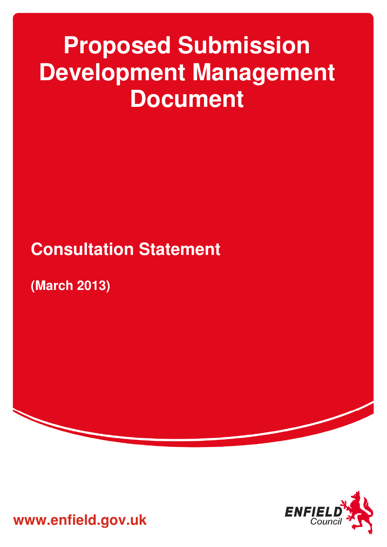# **Proposed Submission Development Management Document**

## **Consultation Statement**

**(March 2013)** 



**www.enfield.gov.uk**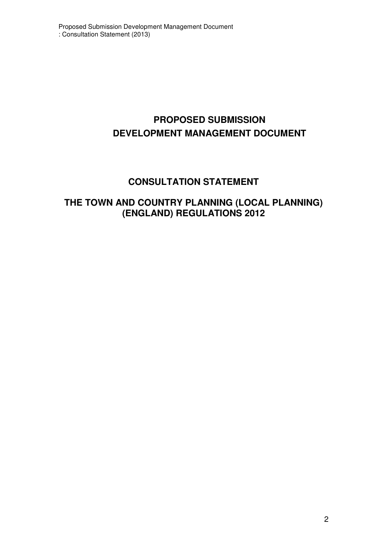### **PROPOSED SUBMISSION DEVELOPMENT MANAGEMENT DOCUMENT**

### **CONSULTATION STATEMENT**

### **THE TOWN AND COUNTRY PLANNING (LOCAL PLANNING) (ENGLAND) REGULATIONS 2012**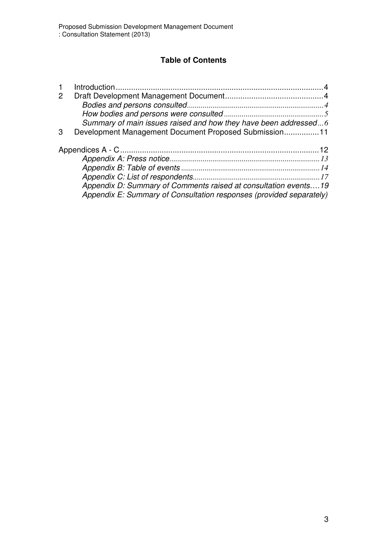#### **Table of Contents**

| $\overline{2}$ |                                                                 |  |
|----------------|-----------------------------------------------------------------|--|
|                |                                                                 |  |
|                |                                                                 |  |
|                | Summary of main issues raised and how they have been addressed6 |  |
| 3              | Development Management Document Proposed Submission11           |  |
|                |                                                                 |  |
|                |                                                                 |  |
|                |                                                                 |  |
|                |                                                                 |  |
|                |                                                                 |  |
|                |                                                                 |  |
|                | Appendix D: Summary of Comments raised at consultation events19 |  |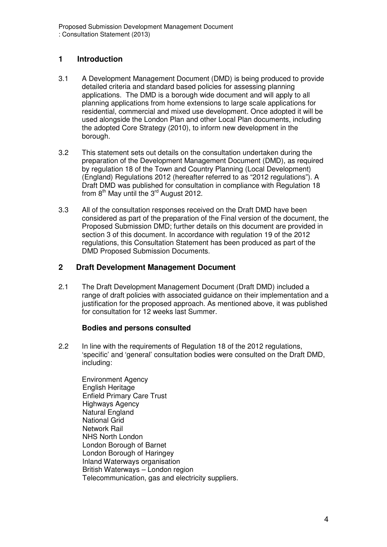#### **1 Introduction**

- 3.1 A Development Management Document (DMD) is being produced to provide detailed criteria and standard based policies for assessing planning applications. The DMD is a borough wide document and will apply to all planning applications from home extensions to large scale applications for residential, commercial and mixed use development. Once adopted it will be used alongside the London Plan and other Local Plan documents, including the adopted Core Strategy (2010), to inform new development in the borough.
- 3.2 This statement sets out details on the consultation undertaken during the preparation of the Development Management Document (DMD), as required by regulation 18 of the Town and Country Planning (Local Development) (England) Regulations 2012 (hereafter referred to as "2012 regulations"). A Draft DMD was published for consultation in compliance with Regulation 18 from  $8<sup>th</sup>$  May until the  $3<sup>rd</sup>$  August 2012.
- 3.3 All of the consultation responses received on the Draft DMD have been considered as part of the preparation of the Final version of the document, the Proposed Submission DMD; further details on this document are provided in section 3 of this document. In accordance with regulation 19 of the 2012 regulations, this Consultation Statement has been produced as part of the DMD Proposed Submission Documents.

#### **2 Draft Development Management Document**

2.1 The Draft Development Management Document (Draft DMD) included a range of draft policies with associated guidance on their implementation and a justification for the proposed approach. As mentioned above, it was published for consultation for 12 weeks last Summer.

#### **Bodies and persons consulted**

2.2 In line with the requirements of Regulation 18 of the 2012 regulations, 'specific' and 'general' consultation bodies were consulted on the Draft DMD, including:

Environment Agency English Heritage Enfield Primary Care Trust Highways Agency Natural England National Grid Network Rail NHS North London London Borough of Barnet London Borough of Haringey Inland Waterways organisation British Waterways – London region Telecommunication, gas and electricity suppliers.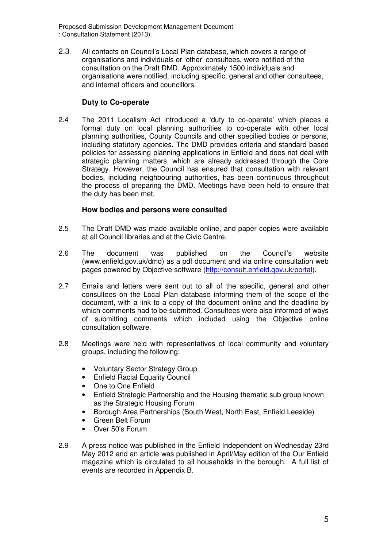Proposed Submission Development Management Document : Consultation Statement (2013)

2.3 All contacts on Council's Local Plan database, which covers a range of organisations and individuals or 'other' consultees, were notified of the consultation on the Draft DMD. Approximately 1500 individuals and organisations were notified, including specific, general and other consultees, and internal officers and councillors.

#### **Duty to Co-operate**

2.4 The 2011 Localism Act introduced a 'duty to co-operate' which places a formal duty on local planning authorities to co-operate with other local planning authorities, County Councils and other specified bodies or persons, including statutory agencies. The DMD provides criteria and standard based policies for assessing planning applications in Enfield and does not deal with strategic planning matters, which are already addressed through the Core Strategy. However, the Council has ensured that consultation with relevant bodies, including neighbouring authorities, has been continuous throughout the process of preparing the DMD. Meetings have been held to ensure that the duty has been met.

#### **How bodies and persons were consulted**

- 2.5 The Draft DMD was made available online, and paper copies were available at all Council libraries and at the Civic Centre.
- 2.6 The document was published on the Council's website (www.enfield.gov.uk/dmd) as a pdf document and via online consultation web pages powered by Objective software (http://consult.enfield.gov.uk/portal).
- 2.7 Emails and letters were sent out to all of the specific, general and other consultees on the Local Plan database informing them of the scope of the document, with a link to a copy of the document online and the deadline by which comments had to be submitted. Consultees were also informed of ways of submitting comments which included using the Objective online consultation software.
- 2.8 Meetings were held with representatives of local community and voluntary groups, including the following:
	- Voluntary Sector Strategy Group
	- Enfield Racial Equality Council
	- One to One Enfield
	- Enfield Strategic Partnership and the Housing thematic sub group known as the Strategic Housing Forum
	- Borough Area Partnerships (South West, North East, Enfield Leeside)
	- Green Belt Forum
	- Over 50's Forum
- 2.9 A press notice was published in the Enfield Independent on Wednesday 23rd May 2012 and an article was published in April/May edition of the Our Enfield magazine which is circulated to all households in the borough. A full list of events are recorded in Appendix B.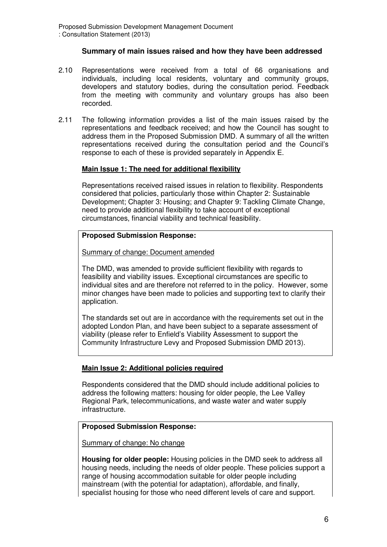#### **Summary of main issues raised and how they have been addressed**

- 2.10 Representations were received from a total of 66 organisations and individuals, including local residents, voluntary and community groups, developers and statutory bodies, during the consultation period. Feedback from the meeting with community and voluntary groups has also been recorded.
- 2.11 The following information provides a list of the main issues raised by the representations and feedback received; and how the Council has sought to address them in the Proposed Submission DMD. A summary of all the written representations received during the consultation period and the Council's response to each of these is provided separately in Appendix E.

#### **Main Issue 1: The need for additional flexibility**

Representations received raised issues in relation to flexibility. Respondents considered that policies, particularly those within Chapter 2: Sustainable Development; Chapter 3: Housing; and Chapter 9: Tackling Climate Change, need to provide additional flexibility to take account of exceptional circumstances, financial viability and technical feasibility.

#### **Proposed Submission Response:**

Summary of change: Document amended

The DMD, was amended to provide sufficient flexibility with regards to feasibility and viability issues. Exceptional circumstances are specific to individual sites and are therefore not referred to in the policy. However, some minor changes have been made to policies and supporting text to clarify their application.

The standards set out are in accordance with the requirements set out in the adopted London Plan, and have been subject to a separate assessment of viability (please refer to Enfield's Viability Assessment to support the Community Infrastructure Levy and Proposed Submission DMD 2013).

#### **Main Issue 2: Additional policies required**

Respondents considered that the DMD should include additional policies to address the following matters: housing for older people, the Lee Valley Regional Park, telecommunications, and waste water and water supply infrastructure.

#### **Proposed Submission Response:**

Summary of change: No change

**Housing for older people:** Housing policies in the DMD seek to address all housing needs, including the needs of older people. These policies support a range of housing accommodation suitable for older people including mainstream (with the potential for adaptation), affordable, and finally, specialist housing for those who need different levels of care and support.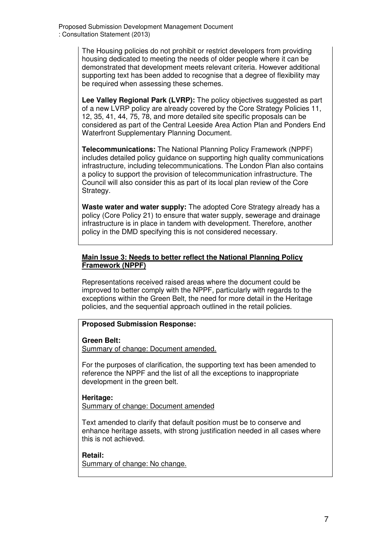The Housing policies do not prohibit or restrict developers from providing housing dedicated to meeting the needs of older people where it can be demonstrated that development meets relevant criteria. However additional supporting text has been added to recognise that a degree of flexibility may be required when assessing these schemes.

**Lee Valley Regional Park (LVRP):** The policy objectives suggested as part of a new LVRP policy are already covered by the Core Strategy Policies 11, 12, 35, 41, 44, 75, 78, and more detailed site specific proposals can be considered as part of the Central Leeside Area Action Plan and Ponders End Waterfront Supplementary Planning Document.

**Telecommunications:** The National Planning Policy Framework (NPPF) includes detailed policy guidance on supporting high quality communications infrastructure, including telecommunications. The London Plan also contains a policy to support the provision of telecommunication infrastructure. The Council will also consider this as part of its local plan review of the Core Strategy.

**Waste water and water supply:** The adopted Core Strategy already has a policy (Core Policy 21) to ensure that water supply, sewerage and drainage infrastructure is in place in tandem with development. Therefore, another policy in the DMD specifying this is not considered necessary.

#### **Main Issue 3: Needs to better reflect the National Planning Policy Framework (NPPF)**

Representations received raised areas where the document could be improved to better comply with the NPPF, particularly with regards to the exceptions within the Green Belt, the need for more detail in the Heritage policies, and the sequential approach outlined in the retail policies.

#### **Proposed Submission Response:**

#### **Green Belt:**

Summary of change: Document amended.

For the purposes of clarification, the supporting text has been amended to reference the NPPF and the list of all the exceptions to inappropriate development in the green belt.

**Heritage:** 

Summary of change: Document amended

Text amended to clarify that default position must be to conserve and enhance heritage assets, with strong justification needed in all cases where this is not achieved.

#### **Retail:**

Summary of change: No change.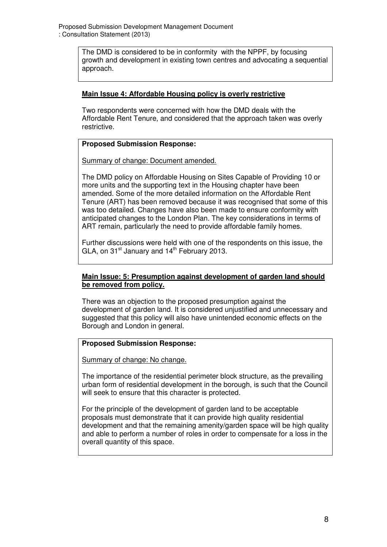The DMD is considered to be in conformity with the NPPF, by focusing growth and development in existing town centres and advocating a sequential approach.

#### **Main Issue 4: Affordable Housing policy is overly restrictive**

Two respondents were concerned with how the DMD deals with the Affordable Rent Tenure, and considered that the approach taken was overly restrictive.

#### **Proposed Submission Response:**

Summary of change: Document amended.

The DMD policy on Affordable Housing on Sites Capable of Providing 10 or more units and the supporting text in the Housing chapter have been amended. Some of the more detailed information on the Affordable Rent Tenure (ART) has been removed because it was recognised that some of this was too detailed. Changes have also been made to ensure conformity with anticipated changes to the London Plan. The key considerations in terms of ART remain, particularly the need to provide affordable family homes.

Further discussions were held with one of the respondents on this issue, the GLA, on  $31<sup>st</sup>$  January and  $14<sup>th</sup>$  February 2013.

#### **Main Issue: 5: Presumption against development of garden land should be removed from policy.**

There was an objection to the proposed presumption against the development of garden land. It is considered unjustified and unnecessary and suggested that this policy will also have unintended economic effects on the Borough and London in general.

#### **Proposed Submission Response:**

Summary of change: No change.

The importance of the residential perimeter block structure, as the prevailing urban form of residential development in the borough, is such that the Council will seek to ensure that this character is protected.

For the principle of the development of garden land to be acceptable proposals must demonstrate that it can provide high quality residential development and that the remaining amenity/garden space will be high quality and able to perform a number of roles in order to compensate for a loss in the overall quantity of this space.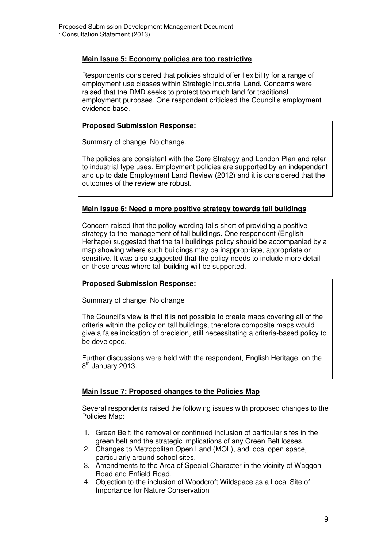#### **Main Issue 5: Economy policies are too restrictive**

Respondents considered that policies should offer flexibility for a range of employment use classes within Strategic Industrial Land. Concerns were raised that the DMD seeks to protect too much land for traditional employment purposes. One respondent criticised the Council's employment evidence base.

#### **Proposed Submission Response:**

Summary of change: No change.

The policies are consistent with the Core Strategy and London Plan and refer to industrial type uses. Employment policies are supported by an independent and up to date Employment Land Review (2012) and it is considered that the outcomes of the review are robust.

#### **Main Issue 6: Need a more positive strategy towards tall buildings**

Concern raised that the policy wording falls short of providing a positive strategy to the management of tall buildings. One respondent (English Heritage) suggested that the tall buildings policy should be accompanied by a map showing where such buildings may be inappropriate, appropriate or sensitive. It was also suggested that the policy needs to include more detail on those areas where tall building will be supported.

#### **Proposed Submission Response:**

Summary of change: No change

The Council's view is that it is not possible to create maps covering all of the criteria within the policy on tall buildings, therefore composite maps would give a false indication of precision, still necessitating a criteria-based policy to be developed.

Further discussions were held with the respondent, English Heritage, on the 8<sup>th</sup> January 2013.

#### **Main Issue 7: Proposed changes to the Policies Map**

Several respondents raised the following issues with proposed changes to the Policies Map:

- 1. Green Belt: the removal or continued inclusion of particular sites in the green belt and the strategic implications of any Green Belt losses.
- 2. Changes to Metropolitan Open Land (MOL), and local open space, particularly around school sites.
- 3. Amendments to the Area of Special Character in the vicinity of Waggon Road and Enfield Road.
- 4. Objection to the inclusion of Woodcroft Wildspace as a Local Site of Importance for Nature Conservation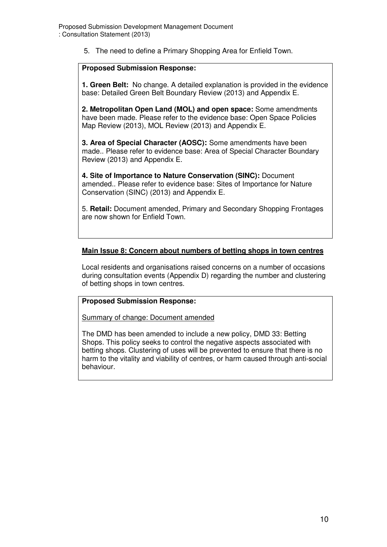5. The need to define a Primary Shopping Area for Enfield Town.

#### **Proposed Submission Response:**

**1. Green Belt:** No change. A detailed explanation is provided in the evidence base: Detailed Green Belt Boundary Review (2013) and Appendix E.

**2. Metropolitan Open Land (MOL) and open space:** Some amendments have been made. Please refer to the evidence base: Open Space Policies Map Review (2013), MOL Review (2013) and Appendix E.

**3. Area of Special Character (AOSC):** Some amendments have been made.. Please refer to evidence base: Area of Special Character Boundary Review (2013) and Appendix E.

**4. Site of Importance to Nature Conservation (SINC):** Document amended.. Please refer to evidence base: Sites of Importance for Nature Conservation (SINC) (2013) and Appendix E.

5. **Retail:** Document amended, Primary and Secondary Shopping Frontages are now shown for Enfield Town.

#### **Main Issue 8: Concern about numbers of betting shops in town centres**

Local residents and organisations raised concerns on a number of occasions during consultation events (Appendix D) regarding the number and clustering of betting shops in town centres.

#### **Proposed Submission Response:**

Summary of change: Document amended

The DMD has been amended to include a new policy, DMD 33: Betting Shops. This policy seeks to control the negative aspects associated with betting shops. Clustering of uses will be prevented to ensure that there is no harm to the vitality and viability of centres, or harm caused through anti-social behaviour.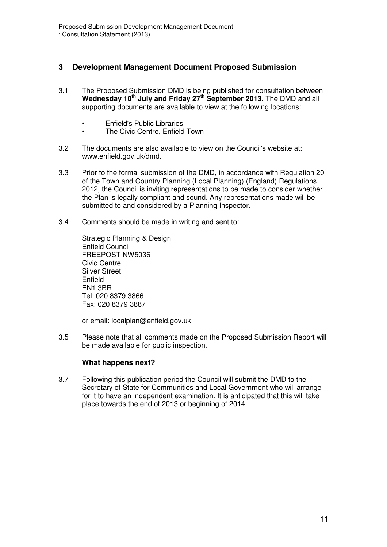#### **3 Development Management Document Proposed Submission**

- 3.1 The Proposed Submission DMD is being published for consultation between **Wednesday 10th July and Friday 27th September 2013.** The DMD and all supporting documents are available to view at the following locations:
	- Enfield's Public Libraries
	- The Civic Centre, Enfield Town
- 3.2 The documents are also available to view on the Council's website at: www.enfield.gov.uk/dmd.
- 3.3 Prior to the formal submission of the DMD, in accordance with Regulation 20 of the Town and Country Planning (Local Planning) (England) Regulations 2012, the Council is inviting representations to be made to consider whether the Plan is legally compliant and sound. Any representations made will be submitted to and considered by a Planning Inspector.
- 3.4 Comments should be made in writing and sent to:

Strategic Planning & Design Enfield Council FREEPOST NW5036 Civic Centre Silver Street Enfield EN1 3BR Tel: 020 8379 3866 Fax: 020 8379 3887

or email: localplan@enfield.gov.uk

3.5 Please note that all comments made on the Proposed Submission Report will be made available for public inspection.

#### **What happens next?**

3.7 Following this publication period the Council will submit the DMD to the Secretary of State for Communities and Local Government who will arrange for it to have an independent examination. It is anticipated that this will take place towards the end of 2013 or beginning of 2014.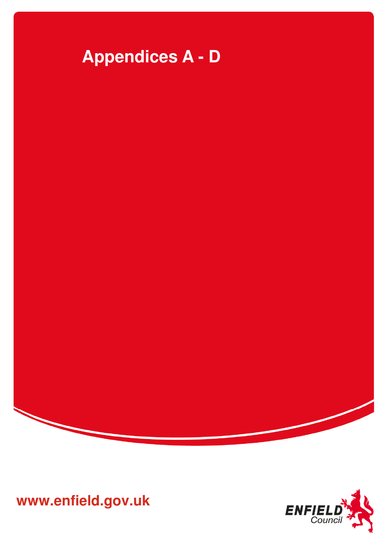

**www.enfield.gov.uk** 

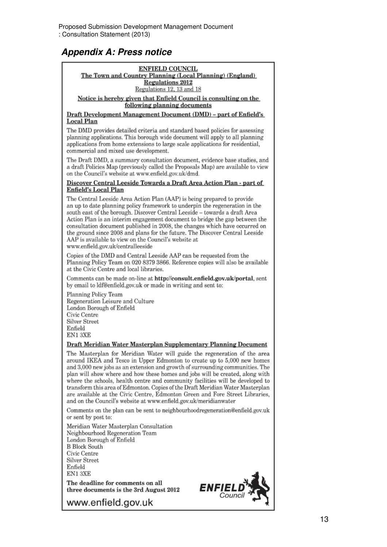### **Appendix A: Press notice**

#### **ENFIELD COUNCIL**

The Town and Country Planning (Local Planning) (England) **Regulations 2012** Regulations 12, 13 and 18

Notice is hereby given that Enfield Council is consulting on the following planning documents

Draft Development Management Document (DMD) - part of Enfield's **Local Plan** 

The DMD provides detailed criteria and standard based policies for assessing planning applications. This borough wide document will apply to all planning applications from home extensions to large scale applications for residential. commercial and mixed use development.

The Draft DMD, a summary consultation document, evidence base studies, and a draft Policies Map (previously called the Proposals Map) are available to view on the Council's website at www.enfield.gov.uk/dmd.

#### Discover Central Leeside Towards a Draft Area Action Plan - part of **Enfield's Local Plan**

The Central Leeside Area Action Plan (AAP) is being prepared to provide an up to date planning policy framework to underpin the regeneration in the south east of the borough. Discover Central Leeside - towards a draft Area Action Plan is an interim engagement document to bridge the gap between the consultation document published in 2008, the changes which have occurred on the ground since 2008 and plans for the future. The Discover Central Leeside AAP is available to view on the Council's website at www.enfield.gov.uk/centralleeside

Copies of the DMD and Central Leeside AAP can be requested from the Planning Policy Team on 020 8379 3866. Reference copies will also be available at the Civic Centre and local libraries.

Comments can be made on-line at http://consult.enfield.gov.uk/portal, sent by email to ldf@enfield.gov.uk or made in writing and sent to:

Planning Policy Team Regeneration Leisure and Culture London Borough of Enfield Civic Centre **Silver Street** Enfield EN13XE

#### Draft Meridian Water Masterplan Supplementary Planning Document

The Masterplan for Meridian Water will guide the regeneration of the area around IKEA and Tesco in Upper Edmonton to create up to 5,000 new homes and 3,000 new jobs as an extension and growth of surrounding communities. The plan will show where and how these homes and jobs will be created, along with where the schools, health centre and community facilities will be developed to transform this area of Edmonton. Copies of the Draft Meridian Water Masterplan are available at the Civic Centre, Edmonton Green and Fore Street Libraries, and on the Council's website at www.enfield.gov.uk/meridianwater

Comments on the plan can be sent to neighbourhoodregeneration@enfield.gov.uk or sent by post to:

Meridian Water Masterplan Consultation Neighbourhood Regeneration Team London Borough of Enfield **B** Block South Civic Centre Silver Street Enfield EN13XE

The deadline for comments on all three documents is the 3rd August 2012



www.enfield.gov.uk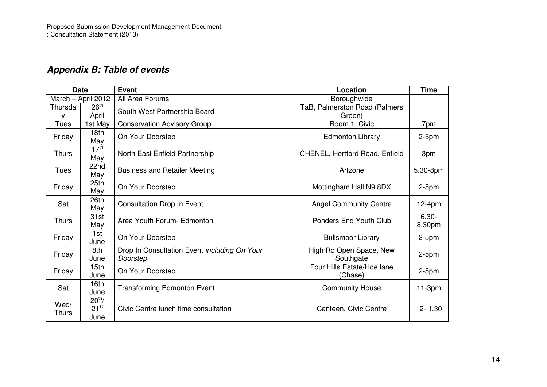### **Appendix B: Table of events**

| <b>Date</b>          |                                | <b>Event</b>                                             | Location                                | <b>Time</b>        |
|----------------------|--------------------------------|----------------------------------------------------------|-----------------------------------------|--------------------|
| March - April 2012   |                                | All Area Forums                                          | Boroughwide                             |                    |
| Thursda              | 26 <sup>th</sup><br>April      | South West Partnership Board                             | TaB, Palmerston Road (Palmers<br>Green) |                    |
| <b>Tues</b>          | 1st May                        | <b>Conservation Advisory Group</b>                       | Room 1, Civic                           | 7pm                |
| Friday               | 18 <sub>th</sub><br>May        | On Your Doorstep                                         | <b>Edmonton Library</b>                 | $2-5pm$            |
| <b>Thurs</b>         | 17 <sup>th</sup><br>May        | North East Enfield Partnership                           | CHENEL, Hertford Road, Enfield          | 3pm                |
| Tues                 | 22nd<br>May                    | <b>Business and Retailer Meeting</b>                     | Artzone                                 | 5.30-8pm           |
| Friday               | 25th<br>May                    | On Your Doorstep                                         | Mottingham Hall N9 8DX                  | $2-5pm$            |
| Sat                  | 26th<br>May                    | <b>Consultation Drop In Event</b>                        | <b>Angel Community Centre</b>           | $12-4pm$           |
| <b>Thurs</b>         | 31st<br>May                    | Area Youth Forum- Edmonton                               | <b>Ponders End Youth Club</b>           | $6.30 -$<br>8.30pm |
| Friday               | 1st<br>June                    | On Your Doorstep                                         | <b>Bullsmoor Library</b>                | $2-5pm$            |
| Friday               | 8th<br>June                    | Drop In Consultation Event including On Your<br>Doorstep | High Rd Open Space, New<br>Southgate    | $2-5pm$            |
| Friday               | 15 <sub>th</sub><br>June       | On Your Doorstep                                         | Four Hills Estate/Hoe lane<br>(Chase)   | $2-5pm$            |
| Sat                  | 16th<br>June                   | <b>Transforming Edmonton Event</b>                       | <b>Community House</b>                  | $11-3pm$           |
| Wed/<br><b>Thurs</b> | $20^{th}$<br>$21^{st}$<br>June | Civic Centre lunch time consultation                     | Canteen, Civic Centre                   | $12 - 1.30$        |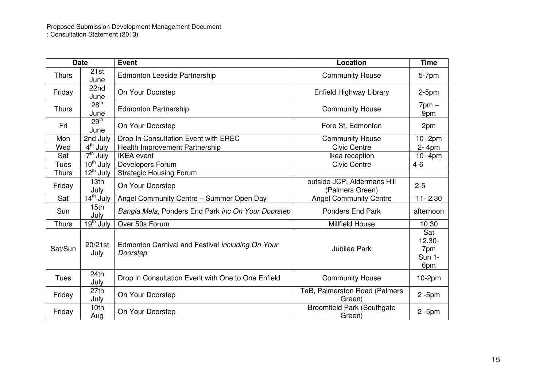### Proposed Submission Development Management Document : Consultation Statement (2013)

| <b>Date</b>  |                                  | <b>Event</b>                                                 | Location                                       | <b>Time</b>                                     |
|--------------|----------------------------------|--------------------------------------------------------------|------------------------------------------------|-------------------------------------------------|
| <b>Thurs</b> | 21st<br>June                     | Edmonton Leeside Partnership                                 | <b>Community House</b>                         | 5-7pm                                           |
| Friday       | 22nd<br>June                     | On Your Doorstep                                             | Enfield Highway Library                        | $2-5pm$                                         |
| <b>Thurs</b> | 28 <sup>th</sup><br>June         | <b>Edmonton Partnership</b>                                  | <b>Community House</b>                         | $7$ pm $-$<br>9pm                               |
| Fri          | 29 <sup>th</sup><br>June         | On Your Doorstep                                             | Fore St, Edmonton                              | 2pm                                             |
| Mon          | 2nd July                         | Drop In Consultation Event with EREC                         | <b>Community House</b>                         | 10-2pm                                          |
| Wed          | $4th$ July                       | Health Improvement Partnership                               | <b>Civic Centre</b>                            | 2-4pm                                           |
| Sat          | $7th$ July                       | <b>IKEA</b> event                                            | Ikea reception                                 | 10-4pm                                          |
| <b>Tues</b>  | $10^{th}$ July                   | Developers Forum                                             | <b>Civic Centre</b>                            | $4 - 6$                                         |
| <b>Thurs</b> | $\overline{12^{th}}$ July        | <b>Strategic Housing Forum</b>                               |                                                |                                                 |
| Friday       | 13th<br>July                     | On Your Doorstep                                             | outside JCP, Aldermans Hill<br>(Palmers Green) | $2 - 5$                                         |
| Sat          | $\overline{14}^{\text{th}}$ July | Angel Community Centre - Summer Open Day                     | <b>Angel Community Centre</b>                  | $11 - 2.30$                                     |
| Sun          | 15 <sub>th</sub><br>July         | Bangla Mela, Ponders End Park inc On Your Doorstep           | <b>Ponders End Park</b>                        | afternoon                                       |
| <b>Thurs</b> | $19th$ July                      | Over 50s Forum                                               | Millfield House                                | 10.30                                           |
| Sat/Sun      | 20/21st<br>July                  | Edmonton Carnival and Festival including On Your<br>Doorstep | <b>Jubilee Park</b>                            | Sat<br>$12.30 -$<br>7pm<br><b>Sun 1-</b><br>6pm |
| <b>Tues</b>  | 24th<br>July                     | Drop in Consultation Event with One to One Enfield           | <b>Community House</b>                         | $10-2pm$                                        |
| Friday       | 27th<br>July                     | On Your Doorstep                                             | TaB, Palmerston Road (Palmers<br>Green)        | $2 - 5$ pm                                      |
| Friday       | 10th<br>Aug                      | On Your Doorstep                                             | <b>Broomfield Park (Southgate</b><br>Green)    | $2 - 5pm$                                       |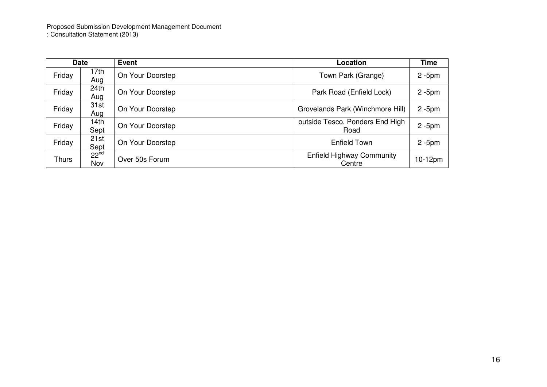Proposed Submission Development Management Document : Consultation Statement (2013)

|              | <b>Date</b>             | <b>Event</b>     | Location                                   | <b>Time</b> |
|--------------|-------------------------|------------------|--------------------------------------------|-------------|
| Friday       | 17th<br>Aug             | On Your Doorstep | Town Park (Grange)                         | $2 - 5$ pm  |
| Friday       | 24 <sub>th</sub><br>Aug | On Your Doorstep | Park Road (Enfield Lock)                   | $2 - 5$ pm  |
| Friday       | 31st<br>Aug             | On Your Doorstep | Grovelands Park (Winchmore Hill)           | $2 - 5$ pm  |
| Friday       | 14th<br>Sept            | On Your Doorstep | outside Tesco, Ponders End High<br>Road    | $2 - 5$ pm  |
| Friday       | 21st<br>Sept            | On Your Doorstep | <b>Enfield Town</b>                        | $2 - 5$ pm  |
| <b>Thurs</b> | $22^{nd}$<br>Nov        | Over 50s Forum   | <b>Enfield Highway Community</b><br>Centre | 10-12pm     |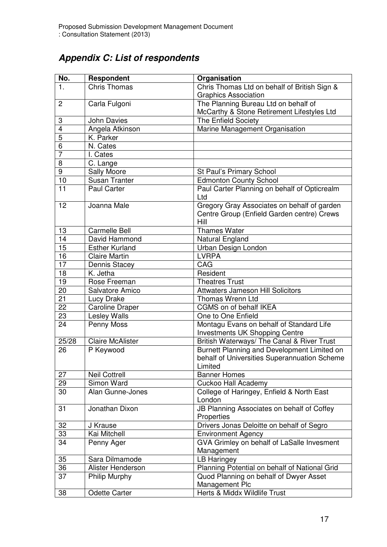### **Appendix C: List of respondents**

| No.            | Respondent              | Organisation                                                                                           |
|----------------|-------------------------|--------------------------------------------------------------------------------------------------------|
| 1.             | <b>Chris Thomas</b>     | Chris Thomas Ltd on behalf of British Sign &                                                           |
|                |                         | <b>Graphics Association</b>                                                                            |
| $\overline{2}$ | Carla Fulgoni           | The Planning Bureau Ltd on behalf of                                                                   |
|                |                         | McCarthy & Stone Retirement Lifestyles Ltd                                                             |
| 3              | <b>John Davies</b>      | The Enfield Society                                                                                    |
| $\overline{4}$ | Angela Atkinson         | Marine Management Organisation                                                                         |
| $\overline{5}$ | K. Parker               |                                                                                                        |
| 6              | N. Cates                |                                                                                                        |
| $\overline{7}$ | I. Cates                |                                                                                                        |
| 8              | C. Lange                |                                                                                                        |
| 9              | Sally Moore             | St Paul's Primary School                                                                               |
| 10             | <b>Susan Tranter</b>    | <b>Edmonton County School</b>                                                                          |
| 11             | <b>Paul Carter</b>      | Paul Carter Planning on behalf of Opticrealm<br>Ltd                                                    |
| 12             | Joanna Male             | Gregory Gray Associates on behalf of garden<br>Centre Group (Enfield Garden centre) Crews<br>Hill      |
| 13             | <b>Carmelle Bell</b>    | <b>Thames Water</b>                                                                                    |
| 14             | David Hammond           | Natural England                                                                                        |
| 15             | <b>Esther Kurland</b>   | Urban Design London                                                                                    |
| 16             | <b>Claire Martin</b>    | <b>LVRPA</b>                                                                                           |
| 17             | Dennis Stacey           | CAG                                                                                                    |
| 18             | K. Jetha                | Resident                                                                                               |
| 19             | Rose Freeman            | <b>Theatres Trust</b>                                                                                  |
| 20             | Salvatore Amico         | <b>Attwaters Jameson Hill Solicitors</b>                                                               |
| 21             | Lucy Drake              | Thomas Wrenn Ltd                                                                                       |
| 22             | <b>Caroline Draper</b>  | CGMS on of behalf IKEA                                                                                 |
| 23             | <b>Lesley Walls</b>     | One to One Enfield                                                                                     |
| 24             | Penny Moss              | Montagu Evans on behalf of Standard Life<br><b>Investments UK Shopping Centre</b>                      |
| 25/28          | <b>Claire McAlister</b> | British Waterways/ The Canal & River Trust                                                             |
| 26             | P Keywood               | Burnett Planning and Development Limited on<br>behalf of Universities Superannuation Scheme<br>Limited |
| 27             | <b>Neil Cottrell</b>    | <b>Banner Homes</b>                                                                                    |
| 29             | Simon Ward              | <b>Cuckoo Hall Academy</b>                                                                             |
| 30             | Alan Gunne-Jones        | College of Haringey, Enfield & North East<br>London                                                    |
| 31             | Jonathan Dixon          | JB Planning Associates on behalf of Coffey<br>Properties                                               |
| 32             | J Krause                | Drivers Jonas Deloitte on behalf of Segro                                                              |
| 33             | Kai Mitchell            | <b>Environment Agency</b>                                                                              |
| 34             | Penny Ager              | GVA Grimley on behalf of LaSalle Invesment                                                             |
|                |                         | Management                                                                                             |
| 35             | Sara Dilmamode          | <b>LB Haringey</b>                                                                                     |
| 36             | Alister Henderson       | Planning Potential on behalf of National Grid                                                          |
| 37             | <b>Philip Murphy</b>    | Quod Planning on behalf of Dwyer Asset                                                                 |
|                |                         | Management Plc                                                                                         |
| 38             | <b>Odette Carter</b>    | Herts & Middx Wildlife Trust                                                                           |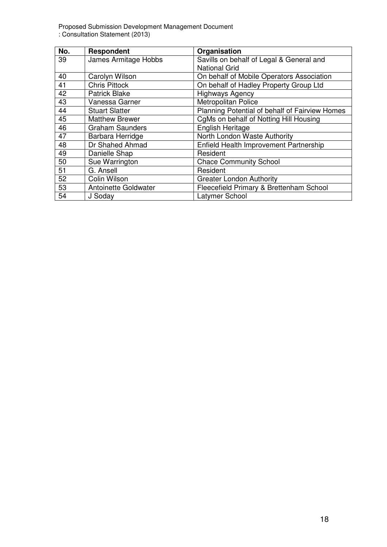Proposed Submission Development Management Document : Consultation Statement (2013)

| No. | Respondent             | Organisation                                   |
|-----|------------------------|------------------------------------------------|
| 39  | James Armitage Hobbs   | Savills on behalf of Legal & General and       |
|     |                        | <b>National Grid</b>                           |
| 40  | Carolyn Wilson         | On behalf of Mobile Operators Association      |
| 41  | <b>Chris Pittock</b>   | On behalf of Hadley Property Group Ltd         |
| 42  | <b>Patrick Blake</b>   | <b>Highways Agency</b>                         |
| 43  | Vanessa Garner         | Metropolitan Police                            |
| 44  | <b>Stuart Slatter</b>  | Planning Potential of behalf of Fairview Homes |
| 45  | <b>Matthew Brewer</b>  | CgMs on behalf of Notting Hill Housing         |
| 46  | <b>Graham Saunders</b> | English Heritage                               |
| 47  | Barbara Herridge       | North London Waste Authority                   |
| 48  | Dr Shahed Ahmad        | Enfield Health Improvement Partnership         |
| 49  | Danielle Shap          | Resident                                       |
| 50  | Sue Warrington         | <b>Chace Community School</b>                  |
| 51  | G. Ansell              | Resident                                       |
| 52  | Colin Wilson           | <b>Greater London Authority</b>                |
| 53  | Antoinette Goldwater   | Fleecefield Primary & Brettenham School        |
| 54  | J Soday                | Latymer School                                 |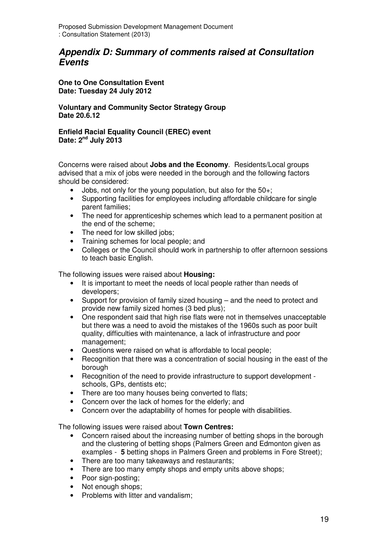### **Appendix D: Summary of comments raised at Consultation Events**

**One to One Consultation Event Date: Tuesday 24 July 2012** 

**Voluntary and Community Sector Strategy Group Date 20.6.12** 

**Enfield Racial Equality Council (EREC) event Date: 2nd July 2013** 

Concerns were raised about **Jobs and the Economy**. Residents/Local groups advised that a mix of jobs were needed in the borough and the following factors should be considered:

- Jobs, not only for the young population, but also for the 50+;
- Supporting facilities for employees including affordable childcare for single parent families;
- The need for apprenticeship schemes which lead to a permanent position at the end of the scheme;
- The need for low skilled jobs:
- Training schemes for local people; and
- Colleges or the Council should work in partnership to offer afternoon sessions to teach basic English.

The following issues were raised about **Housing:** 

- It is important to meet the needs of local people rather than needs of developers;
- Support for provision of family sized housing and the need to protect and provide new family sized homes (3 bed plus);
- One respondent said that high rise flats were not in themselves unacceptable but there was a need to avoid the mistakes of the 1960s such as poor built quality, difficulties with maintenance, a lack of infrastructure and poor management;
- Questions were raised on what is affordable to local people;
- Recognition that there was a concentration of social housing in the east of the borough
- Recognition of the need to provide infrastructure to support development schools, GPs, dentists etc;
- There are too many houses being converted to flats;
- Concern over the lack of homes for the elderly; and
- Concern over the adaptability of homes for people with disabilities.

The following issues were raised about **Town Centres:** 

- Concern raised about the increasing number of betting shops in the borough and the clustering of betting shops (Palmers Green and Edmonton given as examples - **5** betting shops in Palmers Green and problems in Fore Street);
- There are too many takeaways and restaurants;
- There are too many empty shops and empty units above shops;
- Poor sign-posting;
- Not enough shops:
- Problems with litter and vandalism: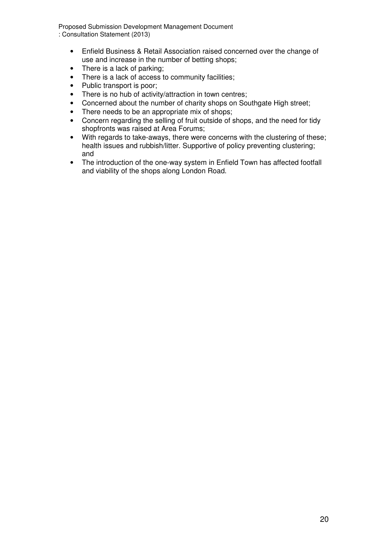Proposed Submission Development Management Document : Consultation Statement (2013)

- Enfield Business & Retail Association raised concerned over the change of use and increase in the number of betting shops;
- There is a lack of parking:
- There is a lack of access to community facilities;
- Public transport is poor;
- There is no hub of activity/attraction in town centres;
- Concerned about the number of charity shops on Southgate High street;
- There needs to be an appropriate mix of shops;
- Concern regarding the selling of fruit outside of shops, and the need for tidy shopfronts was raised at Area Forums;
- With regards to take-aways, there were concerns with the clustering of these; health issues and rubbish/litter. Supportive of policy preventing clustering; and
- The introduction of the one-way system in Enfield Town has affected footfall and viability of the shops along London Road.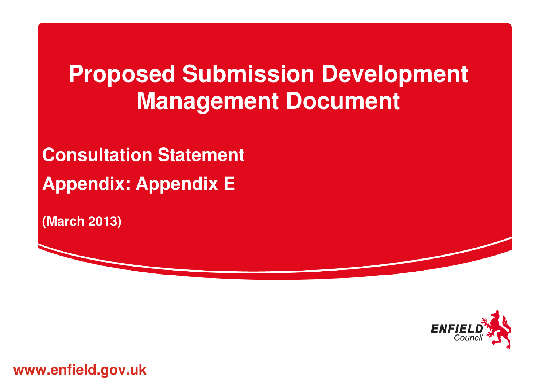# **Proposed Submission Development Management Document**

**Consultation Statement Appendix: Appendix E** 

**(March 2013)** 



**www.enfield.gov.uk**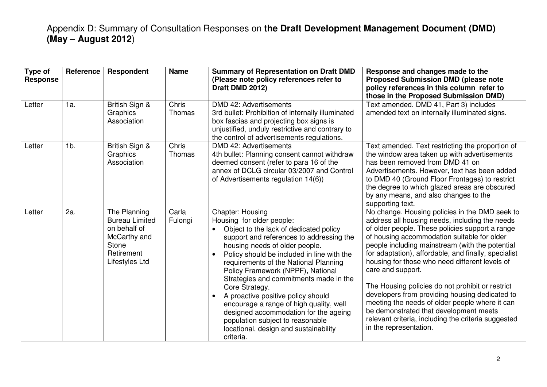| Type of<br><b>Response</b> | Reference | Respondent                                                                                                     | <b>Name</b>      | <b>Summary of Representation on Draft DMD</b><br>(Please note policy references refer to<br>Draft DMD 2012)                                                                                                                                                                                                                                                                                                                                                                                                                                                                                                                     | Response and changes made to the<br><b>Proposed Submission DMD (please note</b><br>policy references in this column refer to<br>those in the Proposed Submission DMD)                                                                                                                                                                                                                                                                                                                                                                                                                                                                                                   |
|----------------------------|-----------|----------------------------------------------------------------------------------------------------------------|------------------|---------------------------------------------------------------------------------------------------------------------------------------------------------------------------------------------------------------------------------------------------------------------------------------------------------------------------------------------------------------------------------------------------------------------------------------------------------------------------------------------------------------------------------------------------------------------------------------------------------------------------------|-------------------------------------------------------------------------------------------------------------------------------------------------------------------------------------------------------------------------------------------------------------------------------------------------------------------------------------------------------------------------------------------------------------------------------------------------------------------------------------------------------------------------------------------------------------------------------------------------------------------------------------------------------------------------|
| Letter                     | 1a.       | British Sign &<br>Graphics<br>Association                                                                      | Chris<br>Thomas  | DMD 42: Advertisements<br>3rd bullet: Prohibition of internally illuminated<br>box fascias and projecting box signs is<br>unjustified, unduly restrictive and contrary to<br>the control of advertisements regulations.                                                                                                                                                                                                                                                                                                                                                                                                         | Text amended. DMD 41, Part 3) includes<br>amended text on internally illuminated signs.                                                                                                                                                                                                                                                                                                                                                                                                                                                                                                                                                                                 |
| Letter                     | $1b$ .    | British Sign &<br>Graphics<br>Association                                                                      | Chris<br>Thomas  | DMD 42: Advertisements<br>4th bullet: Planning consent cannot withdraw<br>deemed consent (refer to para 16 of the<br>annex of DCLG circular 03/2007 and Control<br>of Advertisements regulation 14(6))                                                                                                                                                                                                                                                                                                                                                                                                                          | Text amended. Text restricting the proportion of<br>the window area taken up with advertisements<br>has been removed from DMD 41 on<br>Advertisements. However, text has been added<br>to DMD 40 (Ground Floor Frontages) to restrict<br>the degree to which glazed areas are obscured<br>by any means, and also changes to the<br>supporting text.                                                                                                                                                                                                                                                                                                                     |
| Letter                     | 2a.       | The Planning<br><b>Bureau Limited</b><br>on behalf of<br>McCarthy and<br>Stone<br>Retirement<br>Lifestyles Ltd | Carla<br>Fulongi | <b>Chapter: Housing</b><br>Housing for older people:<br>Object to the lack of dedicated policy<br>$\bullet$<br>support and references to addressing the<br>housing needs of older people.<br>Policy should be included in line with the<br>$\bullet$<br>requirements of the National Planning<br>Policy Framework (NPPF), National<br>Strategies and commitments made in the<br>Core Strategy.<br>A proactive positive policy should<br>$\bullet$<br>encourage a range of high quality, well<br>designed accommodation for the ageing<br>population subject to reasonable<br>locational, design and sustainability<br>criteria. | No change. Housing policies in the DMD seek to<br>address all housing needs, including the needs<br>of older people. These policies support a range<br>of housing accommodation suitable for older<br>people including mainstream (with the potential<br>for adaptation), affordable, and finally, specialist<br>housing for those who need different levels of<br>care and support.<br>The Housing policies do not prohibit or restrict<br>developers from providing housing dedicated to<br>meeting the needs of older people where it can<br>be demonstrated that development meets<br>relevant criteria, including the criteria suggested<br>in the representation. |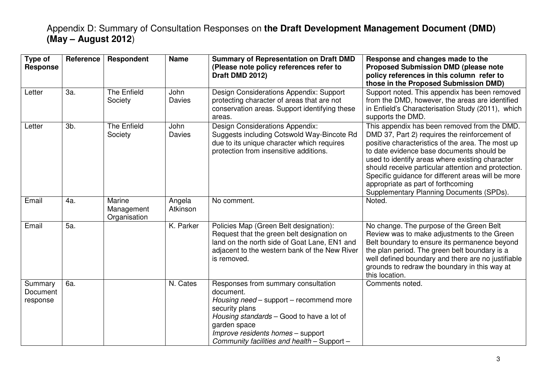| Type of<br><b>Response</b>      | Reference | Respondent                           | <b>Name</b>           | <b>Summary of Representation on Draft DMD</b><br>(Please note policy references refer to<br>Draft DMD 2012)                                                                                                                                                    | Response and changes made to the<br><b>Proposed Submission DMD (please note</b><br>policy references in this column refer to<br>those in the Proposed Submission DMD)                                                                                                                                                                                                                                                                             |
|---------------------------------|-----------|--------------------------------------|-----------------------|----------------------------------------------------------------------------------------------------------------------------------------------------------------------------------------------------------------------------------------------------------------|---------------------------------------------------------------------------------------------------------------------------------------------------------------------------------------------------------------------------------------------------------------------------------------------------------------------------------------------------------------------------------------------------------------------------------------------------|
| Letter                          | За.       | <b>The Enfield</b><br>Society        | John<br><b>Davies</b> | Design Considerations Appendix: Support<br>protecting character of areas that are not<br>conservation areas. Support identifying these<br>areas.                                                                                                               | Support noted. This appendix has been removed<br>from the DMD, however, the areas are identified<br>in Enfield's Characterisation Study (2011), which<br>supports the DMD.                                                                                                                                                                                                                                                                        |
| Letter                          | 3b.       | The Enfield<br>Society               | John<br>Davies        | <b>Design Considerations Appendix:</b><br>Suggests including Cotswold Way-Bincote Rd<br>due to its unique character which requires<br>protection from insensitive additions.                                                                                   | This appendix has been removed from the DMD.<br>DMD 37, Part 2) requires the reinforcement of<br>positive characteristics of the area. The most up<br>to date evidence base documents should be<br>used to identify areas where existing character<br>should receive particular attention and protection.<br>Specific guidance for different areas will be more<br>appropriate as part of forthcoming<br>Supplementary Planning Documents (SPDs). |
| Email                           | 4a.       | Marine<br>Management<br>Organisation | Angela<br>Atkinson    | No comment.                                                                                                                                                                                                                                                    | Noted.                                                                                                                                                                                                                                                                                                                                                                                                                                            |
| Email                           | 5a.       |                                      | K. Parker             | Policies Map (Green Belt designation):<br>Request that the green belt designation on<br>land on the north side of Goat Lane, EN1 and<br>adjacent to the western bank of the New River<br>is removed.                                                           | No change. The purpose of the Green Belt<br>Review was to make adjustments to the Green<br>Belt boundary to ensure its permanence beyond<br>the plan period. The green belt boundary is a<br>well defined boundary and there are no justifiable<br>grounds to redraw the boundary in this way at<br>this location.                                                                                                                                |
| Summary<br>Document<br>response | 6a.       |                                      | N. Cates              | Responses from summary consultation<br>document.<br>Housing need - support - recommend more<br>security plans<br>Housing standards - Good to have a lot of<br>garden space<br>Improve residents homes - support<br>Community facilities and health - Support - | Comments noted.                                                                                                                                                                                                                                                                                                                                                                                                                                   |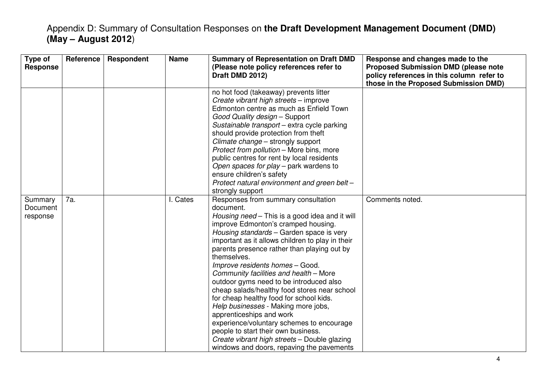| Type of<br><b>Response</b>      | Reference | Respondent | <b>Name</b> | <b>Summary of Representation on Draft DMD</b><br>(Please note policy references refer to<br>Draft DMD 2012)                                                                                                                                                                                                                                                                                                                                                                                                                                                                                                                                                                                                                                                                    | Response and changes made to the<br><b>Proposed Submission DMD (please note</b><br>policy references in this column refer to<br>those in the Proposed Submission DMD) |
|---------------------------------|-----------|------------|-------------|--------------------------------------------------------------------------------------------------------------------------------------------------------------------------------------------------------------------------------------------------------------------------------------------------------------------------------------------------------------------------------------------------------------------------------------------------------------------------------------------------------------------------------------------------------------------------------------------------------------------------------------------------------------------------------------------------------------------------------------------------------------------------------|-----------------------------------------------------------------------------------------------------------------------------------------------------------------------|
|                                 |           |            |             | no hot food (takeaway) prevents litter<br>Create vibrant high streets - improve<br>Edmonton centre as much as Enfield Town<br>Good Quality design - Support<br>Sustainable transport - extra cycle parking<br>should provide protection from theft<br>Climate change - strongly support<br>Protect from pollution - More bins, more<br>public centres for rent by local residents<br>Open spaces for play – park wardens to<br>ensure children's safety<br>Protect natural environment and green belt -<br>strongly support                                                                                                                                                                                                                                                    |                                                                                                                                                                       |
| Summary<br>Document<br>response | 7a.       |            | Cates       | Responses from summary consultation<br>document.<br>Housing need - This is a good idea and it will<br>improve Edmonton's cramped housing.<br>Housing standards - Garden space is very<br>important as it allows children to play in their<br>parents presence rather than playing out by<br>themselves.<br>Improve residents homes - Good.<br>Community facilities and health - More<br>outdoor gyms need to be introduced also<br>cheap salads/healthy food stores near school<br>for cheap healthy food for school kids.<br>Help businesses - Making more jobs,<br>apprenticeships and work<br>experience/voluntary schemes to encourage<br>people to start their own business.<br>Create vibrant high streets - Double glazing<br>windows and doors, repaving the pavements | Comments noted.                                                                                                                                                       |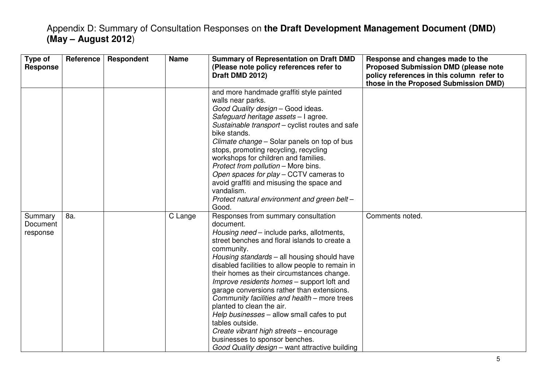| Type of<br><b>Response</b>      | Reference | Respondent | <b>Name</b> | <b>Summary of Representation on Draft DMD</b><br>(Please note policy references refer to<br>Draft DMD 2012)                                                                                                                                                                                                                                                                                                                                                                                                                                                                                                                                                                            | Response and changes made to the<br><b>Proposed Submission DMD (please note</b><br>policy references in this column refer to<br>those in the Proposed Submission DMD) |
|---------------------------------|-----------|------------|-------------|----------------------------------------------------------------------------------------------------------------------------------------------------------------------------------------------------------------------------------------------------------------------------------------------------------------------------------------------------------------------------------------------------------------------------------------------------------------------------------------------------------------------------------------------------------------------------------------------------------------------------------------------------------------------------------------|-----------------------------------------------------------------------------------------------------------------------------------------------------------------------|
|                                 |           |            |             | and more handmade graffiti style painted<br>walls near parks.<br>Good Quality design - Good ideas.<br>Safeguard heritage assets - I agree.<br>Sustainable transport – cyclist routes and safe<br>bike stands.<br>Climate change - Solar panels on top of bus<br>stops, promoting recycling, recycling<br>workshops for children and families.<br>Protect from pollution - More bins.<br>Open spaces for play – CCTV cameras to<br>avoid graffiti and misusing the space and<br>vandalism.<br>Protect natural environment and green belt -<br>Good.                                                                                                                                     |                                                                                                                                                                       |
| Summary<br>Document<br>response | 8a.       |            | C Lange     | Responses from summary consultation<br>document.<br>Housing need – include parks, allotments,<br>street benches and floral islands to create a<br>community.<br>Housing standards - all housing should have<br>disabled facilities to allow people to remain in<br>their homes as their circumstances change.<br>Improve residents homes – support loft and<br>garage conversions rather than extensions.<br>Community facilities and health – more trees<br>planted to clean the air.<br>Help businesses - allow small cafes to put<br>tables outside.<br>Create vibrant high streets - encourage<br>businesses to sponsor benches.<br>Good Quality design – want attractive building | Comments noted.                                                                                                                                                       |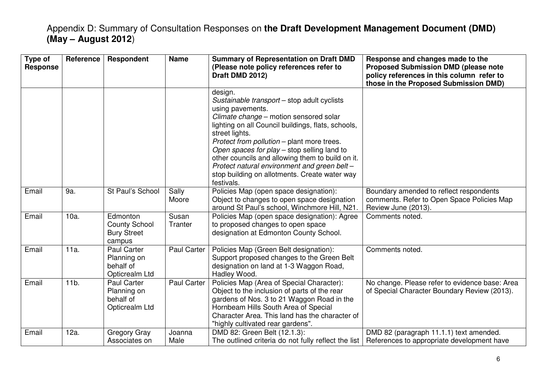| Type of<br><b>Response</b> | Reference       | <b>Respondent</b>                                                | <b>Name</b>        | <b>Summary of Representation on Draft DMD</b><br>(Please note policy references refer to<br>Draft DMD 2012)                                                                                                                                                                                                                                                                                                                                                  | Response and changes made to the<br><b>Proposed Submission DMD (please note</b><br>policy references in this column refer to<br>those in the Proposed Submission DMD) |
|----------------------------|-----------------|------------------------------------------------------------------|--------------------|--------------------------------------------------------------------------------------------------------------------------------------------------------------------------------------------------------------------------------------------------------------------------------------------------------------------------------------------------------------------------------------------------------------------------------------------------------------|-----------------------------------------------------------------------------------------------------------------------------------------------------------------------|
|                            |                 |                                                                  |                    | design.<br>Sustainable transport - stop adult cyclists<br>using pavements.<br>Climate change - motion sensored solar<br>lighting on all Council buildings, flats, schools,<br>street lights.<br>Protect from pollution - plant more trees.<br>Open spaces for play - stop selling land to<br>other councils and allowing them to build on it.<br>Protect natural environment and green belt -<br>stop building on allotments. Create water way<br>festivals. |                                                                                                                                                                       |
| Email                      | 9a.             | St Paul's School                                                 | Sally<br>Moore     | Policies Map (open space designation):<br>Object to changes to open space designation<br>around St Paul's school, Winchmore Hill, N21.                                                                                                                                                                                                                                                                                                                       | Boundary amended to reflect respondents<br>comments. Refer to Open Space Policies Map<br>Review June (2013).                                                          |
| Email                      | $10a$ .         | Edmonton<br><b>County School</b><br><b>Bury Street</b><br>campus | Susan<br>Tranter   | Policies Map (open space designation): Agree<br>to proposed changes to open space<br>designation at Edmonton County School.                                                                                                                                                                                                                                                                                                                                  | Comments noted.                                                                                                                                                       |
| Email                      | 11a.            | Paul Carter<br>Planning on<br>behalf of<br>Opticrealm Ltd        | Paul Carter        | Policies Map (Green Belt designation):<br>Support proposed changes to the Green Belt<br>designation on land at 1-3 Waggon Road,<br>Hadley Wood.                                                                                                                                                                                                                                                                                                              | Comments noted.                                                                                                                                                       |
| Email                      | 11 <sub>b</sub> | Paul Carter<br>Planning on<br>behalf of<br>Opticrealm Ltd        | <b>Paul Carter</b> | Policies Map (Area of Special Character):<br>Object to the inclusion of parts of the rear<br>gardens of Nos. 3 to 21 Waggon Road in the<br>Hornbeam Hills South Area of Special<br>Character Area. This land has the character of<br>"highly cultivated rear gardens".                                                                                                                                                                                       | No change. Please refer to evidence base: Area<br>of Special Character Boundary Review (2013).                                                                        |
| Email                      | 12a.            | <b>Gregory Gray</b><br>Associates on                             | Joanna<br>Male     | DMD 82: Green Belt (12.1.3):<br>The outlined criteria do not fully reflect the list                                                                                                                                                                                                                                                                                                                                                                          | DMD 82 (paragraph 11.1.1) text amended.<br>References to appropriate development have                                                                                 |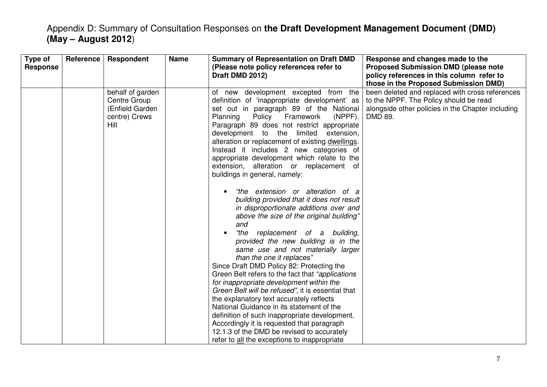| Type of<br><b>Response</b> | Reference | <b>Respondent</b>                                                            | <b>Name</b> | <b>Summary of Representation on Draft DMD</b><br>(Please note policy references refer to<br>Draft DMD 2012)                                                                                                                                                                                                                                                                                                                                                                                                                                                                                                                                                                                                                                                                                                                                                                                                                                                                                                                                                                                                                                                                                                                                                                  | Response and changes made to the<br><b>Proposed Submission DMD (please note</b><br>policy references in this column refer to<br>those in the Proposed Submission DMD) |
|----------------------------|-----------|------------------------------------------------------------------------------|-------------|------------------------------------------------------------------------------------------------------------------------------------------------------------------------------------------------------------------------------------------------------------------------------------------------------------------------------------------------------------------------------------------------------------------------------------------------------------------------------------------------------------------------------------------------------------------------------------------------------------------------------------------------------------------------------------------------------------------------------------------------------------------------------------------------------------------------------------------------------------------------------------------------------------------------------------------------------------------------------------------------------------------------------------------------------------------------------------------------------------------------------------------------------------------------------------------------------------------------------------------------------------------------------|-----------------------------------------------------------------------------------------------------------------------------------------------------------------------|
|                            |           | behalf of garden<br>Centre Group<br>(Enfield Garden<br>centre) Crews<br>Hill |             | of new development excepted from the<br>definition of 'inappropriate development' as<br>set out in paragraph 89 of the National<br>Planning<br>Policy<br>Framework<br>$(NPPF)$ .<br>Paragraph 89 does not restrict appropriate<br>development to the limited<br>extension,<br>alteration or replacement of existing dwellings.<br>Instead it includes 2 new categories of<br>appropriate development which relate to the<br>extension, alteration or replacement of<br>buildings in general, namely:<br>"the extension or alteration of a<br>building provided that it does not result<br>in disproportionate additions over and<br>above the size of the original building"<br>and<br>"the<br>replacement of a building,<br>provided the new building is in the<br>same use and not materially larger<br>than the one it replaces"<br>Since Draft DMD Policy 82: Protecting the<br>Green Belt refers to the fact that "applications"<br>for inappropriate development within the<br>Green Belt will be refused", it is essential that<br>the explanatory text accurately reflects<br>National Guidance in its statement of the<br>definition of such inappropriate development.<br>Accordingly it is requested that paragraph<br>12.1.3 of the DMD be revised to accurately | been deleted and replaced with cross references<br>to the NPPF. The Policy should be read<br>alongside other policies in the Chapter including<br>DMD 89.             |
|                            |           |                                                                              |             | refer to all the exceptions to inappropriate                                                                                                                                                                                                                                                                                                                                                                                                                                                                                                                                                                                                                                                                                                                                                                                                                                                                                                                                                                                                                                                                                                                                                                                                                                 |                                                                                                                                                                       |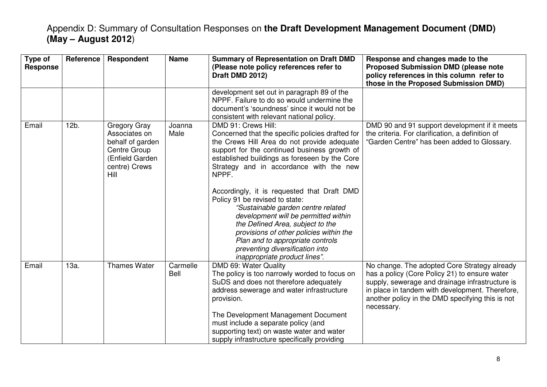| Type of<br><b>Response</b> | Reference | Respondent                                                                                                           | <b>Name</b>             | <b>Summary of Representation on Draft DMD</b><br>(Please note policy references refer to<br>Draft DMD 2012)                                                                                                                                                                                                                                                                                                                                                                                                                                                                                                                       | Response and changes made to the<br><b>Proposed Submission DMD (please note</b><br>policy references in this column refer to<br>those in the Proposed Submission DMD)                                                                                                 |
|----------------------------|-----------|----------------------------------------------------------------------------------------------------------------------|-------------------------|-----------------------------------------------------------------------------------------------------------------------------------------------------------------------------------------------------------------------------------------------------------------------------------------------------------------------------------------------------------------------------------------------------------------------------------------------------------------------------------------------------------------------------------------------------------------------------------------------------------------------------------|-----------------------------------------------------------------------------------------------------------------------------------------------------------------------------------------------------------------------------------------------------------------------|
|                            |           |                                                                                                                      |                         | development set out in paragraph 89 of the<br>NPPF. Failure to do so would undermine the<br>document's 'soundness' since it would not be<br>consistent with relevant national policy.                                                                                                                                                                                                                                                                                                                                                                                                                                             |                                                                                                                                                                                                                                                                       |
| Email                      | $12b$ .   | Gregory Gray<br>Associates on<br>behalf of garden<br><b>Centre Group</b><br>(Enfield Garden<br>centre) Crews<br>Hill | Joanna<br>Male          | DMD 91: Crews Hill:<br>Concerned that the specific policies drafted for<br>the Crews Hill Area do not provide adequate<br>support for the continued business growth of<br>established buildings as foreseen by the Core<br>Strategy and in accordance with the new<br>NPPF.<br>Accordingly, it is requested that Draft DMD<br>Policy 91 be revised to state:<br>"Sustainable garden centre related<br>development will be permitted within<br>the Defined Area, subject to the<br>provisions of other policies within the<br>Plan and to appropriate controls<br>preventing diversification into<br>inappropriate product lines". | DMD 90 and 91 support development if it meets<br>the criteria. For clarification, a definition of<br>"Garden Centre" has been added to Glossary.                                                                                                                      |
| Email                      | 13a.      | <b>Thames Water</b>                                                                                                  | Carmelle<br><b>Bell</b> | DMD 69: Water Quality<br>The policy is too narrowly worded to focus on<br>SuDS and does not therefore adequately<br>address sewerage and water infrastructure<br>provision.<br>The Development Management Document<br>must include a separate policy (and<br>supporting text) on waste water and water<br>supply infrastructure specifically providing                                                                                                                                                                                                                                                                            | No change. The adopted Core Strategy already<br>has a policy (Core Policy 21) to ensure water<br>supply, sewerage and drainage infrastructure is<br>in place in tandem with development. Therefore,<br>another policy in the DMD specifying this is not<br>necessary. |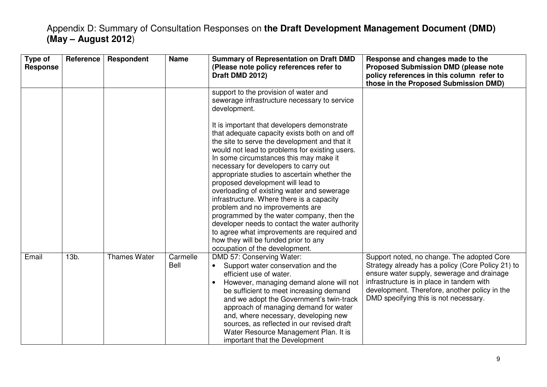| Type of<br><b>Response</b> | <b>Reference</b> | Respondent          | <b>Name</b>      | <b>Summary of Representation on Draft DMD</b><br>(Please note policy references refer to<br>Draft DMD 2012)                                                                                                                                                                                                                                                                                                                                                                                                                                                                                                                                                                                                                   | Response and changes made to the<br><b>Proposed Submission DMD (please note</b><br>policy references in this column refer to<br>those in the Proposed Submission DMD)                                                                                                                |
|----------------------------|------------------|---------------------|------------------|-------------------------------------------------------------------------------------------------------------------------------------------------------------------------------------------------------------------------------------------------------------------------------------------------------------------------------------------------------------------------------------------------------------------------------------------------------------------------------------------------------------------------------------------------------------------------------------------------------------------------------------------------------------------------------------------------------------------------------|--------------------------------------------------------------------------------------------------------------------------------------------------------------------------------------------------------------------------------------------------------------------------------------|
|                            |                  |                     |                  | support to the provision of water and<br>sewerage infrastructure necessary to service<br>development.                                                                                                                                                                                                                                                                                                                                                                                                                                                                                                                                                                                                                         |                                                                                                                                                                                                                                                                                      |
|                            |                  |                     |                  | It is important that developers demonstrate<br>that adequate capacity exists both on and off<br>the site to serve the development and that it<br>would not lead to problems for existing users.<br>In some circumstances this may make it<br>necessary for developers to carry out<br>appropriate studies to ascertain whether the<br>proposed development will lead to<br>overloading of existing water and sewerage<br>infrastructure. Where there is a capacity<br>problem and no improvements are<br>programmed by the water company, then the<br>developer needs to contact the water authority<br>to agree what improvements are required and<br>how they will be funded prior to any<br>occupation of the development. |                                                                                                                                                                                                                                                                                      |
| Email                      | $13b$ .          | <b>Thames Water</b> | Carmelle<br>Bell | DMD 57: Conserving Water:<br>Support water conservation and the<br>$\bullet$<br>efficient use of water.<br>However, managing demand alone will not<br>$\bullet$<br>be sufficient to meet increasing demand<br>and we adopt the Government's twin-track<br>approach of managing demand for water<br>and, where necessary, developing new<br>sources, as reflected in our revised draft<br>Water Resource Management Plan. It is<br>important that the Development                                                                                                                                                                                                                                                              | Support noted, no change. The adopted Core<br>Strategy already has a policy (Core Policy 21) to<br>ensure water supply, sewerage and drainage<br>infrastructure is in place in tandem with<br>development. Therefore, another policy in the<br>DMD specifying this is not necessary. |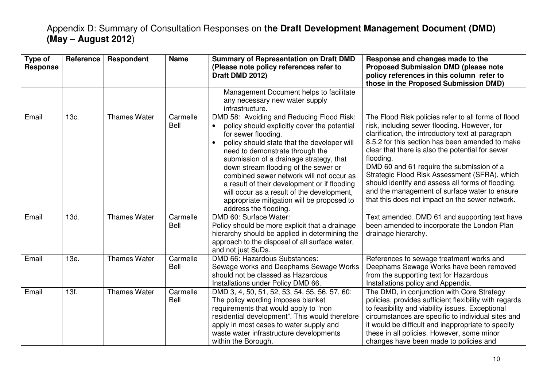| Type of<br><b>Response</b> | Reference | Respondent          | <b>Name</b>             | <b>Summary of Representation on Draft DMD</b><br>(Please note policy references refer to<br>Draft DMD 2012)                                                                                                                                                                                                                                                                                                                                                                                                         | Response and changes made to the<br><b>Proposed Submission DMD (please note</b><br>policy references in this column refer to<br>those in the Proposed Submission DMD)                                                                                                                                                                                                                                                                                                                                                               |
|----------------------------|-----------|---------------------|-------------------------|---------------------------------------------------------------------------------------------------------------------------------------------------------------------------------------------------------------------------------------------------------------------------------------------------------------------------------------------------------------------------------------------------------------------------------------------------------------------------------------------------------------------|-------------------------------------------------------------------------------------------------------------------------------------------------------------------------------------------------------------------------------------------------------------------------------------------------------------------------------------------------------------------------------------------------------------------------------------------------------------------------------------------------------------------------------------|
|                            |           |                     |                         | Management Document helps to facilitate<br>any necessary new water supply<br>infrastructure.                                                                                                                                                                                                                                                                                                                                                                                                                        |                                                                                                                                                                                                                                                                                                                                                                                                                                                                                                                                     |
| Email                      | 13c.      | <b>Thames Water</b> | Carmelle<br><b>Bell</b> | DMD 58: Avoiding and Reducing Flood Risk:<br>policy should explicitly cover the potential<br>$\bullet$<br>for sewer flooding.<br>policy should state that the developer will<br>need to demonstrate through the<br>submission of a drainage strategy, that<br>down stream flooding of the sewer or<br>combined sewer network will not occur as<br>a result of their development or if flooding<br>will occur as a result of the development,<br>appropriate mitigation will be proposed to<br>address the flooding. | The Flood Risk policies refer to all forms of flood<br>risk, including sewer flooding. However, for<br>clarification, the introductory text at paragraph<br>8.5.2 for this section has been amended to make<br>clear that there is also the potential for sewer<br>flooding.<br>DMD 60 and 61 require the submission of a<br>Strategic Flood Risk Assessment (SFRA), which<br>should identify and assess all forms of flooding,<br>and the management of surface water to ensure<br>that this does not impact on the sewer network. |
| Email                      | 13d.      | <b>Thames Water</b> | Carmelle<br>Bell        | DMD 60: Surface Water:<br>Policy should be more explicit that a drainage<br>hierarchy should be applied in determining the<br>approach to the disposal of all surface water,<br>and not just SuDs.                                                                                                                                                                                                                                                                                                                  | Text amended. DMD 61 and supporting text have<br>been amended to incorporate the London Plan<br>drainage hierarchy.                                                                                                                                                                                                                                                                                                                                                                                                                 |
| Email                      | 13e.      | <b>Thames Water</b> | Carmelle<br>Bell        | DMD 66: Hazardous Substances:<br>Sewage works and Deephams Sewage Works<br>should not be classed as Hazardous<br>Installations under Policy DMD 66.                                                                                                                                                                                                                                                                                                                                                                 | References to sewage treatment works and<br>Deephams Sewage Works have been removed<br>from the supporting text for Hazardous<br>Installations policy and Appendix.                                                                                                                                                                                                                                                                                                                                                                 |
| Email                      | 13f.      | <b>Thames Water</b> | Carmelle<br><b>Bell</b> | DMD 3, 4, 50, 51, 52, 53, 54, 55, 56, 57, 60:<br>The policy wording imposes blanket<br>requirements that would apply to "non<br>residential development". This would therefore<br>apply in most cases to water supply and<br>waste water infrastructure developments<br>within the Borough.                                                                                                                                                                                                                         | The DMD, in conjunction with Core Strategy<br>policies, provides sufficient flexibility with regards<br>to feasibility and viability issues. Exceptional<br>circumstances are specific to individual sites and<br>it would be difficult and inappropriate to specify<br>these in all policies. However, some minor<br>changes have been made to policies and                                                                                                                                                                        |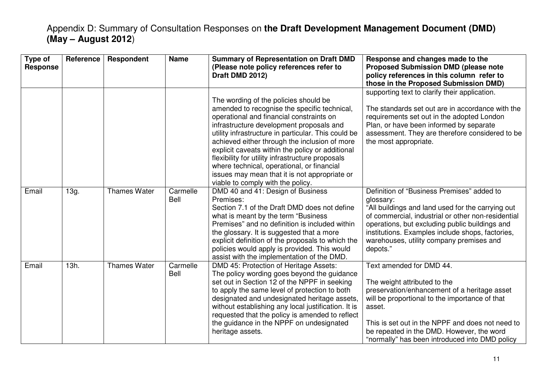| Type of<br><b>Response</b> | Reference | Respondent          | <b>Name</b>      | <b>Summary of Representation on Draft DMD</b><br>(Please note policy references refer to<br>Draft DMD 2012)                                                                                                                                                                                                                                                                                                                                                                                                                       | Response and changes made to the<br><b>Proposed Submission DMD (please note</b><br>policy references in this column refer to<br>those in the Proposed Submission DMD)                                                                                                                                                            |
|----------------------------|-----------|---------------------|------------------|-----------------------------------------------------------------------------------------------------------------------------------------------------------------------------------------------------------------------------------------------------------------------------------------------------------------------------------------------------------------------------------------------------------------------------------------------------------------------------------------------------------------------------------|----------------------------------------------------------------------------------------------------------------------------------------------------------------------------------------------------------------------------------------------------------------------------------------------------------------------------------|
|                            |           |                     |                  | The wording of the policies should be<br>amended to recognise the specific technical,<br>operational and financial constraints on<br>infrastructure development proposals and<br>utility infrastructure in particular. This could be<br>achieved either through the inclusion of more<br>explicit caveats within the policy or additional<br>flexibility for utility infrastructure proposals<br>where technical, operational, or financial<br>issues may mean that it is not appropriate or<br>viable to comply with the policy. | supporting text to clarify their application.<br>The standards set out are in accordance with the<br>requirements set out in the adopted London<br>Plan, or have been informed by separate<br>assessment. They are therefore considered to be<br>the most appropriate.                                                           |
| Email                      | 13g.      | <b>Thames Water</b> | Carmelle<br>Bell | DMD 40 and 41: Design of Business<br>Premises:<br>Section 7.1 of the Draft DMD does not define<br>what is meant by the term "Business"<br>Premises" and no definition is included within<br>the glossary. It is suggested that a more<br>explicit definition of the proposals to which the<br>policies would apply is provided. This would<br>assist with the implementation of the DMD.                                                                                                                                          | Definition of "Business Premises" added to<br>glossary:<br>"All buildings and land used for the carrying out<br>of commercial, industrial or other non-residential<br>operations, but excluding public buildings and<br>institutions. Examples include shops, factories,<br>warehouses, utility company premises and<br>depots." |
| Email                      | 13h.      | <b>Thames Water</b> | Carmelle<br>Bell | DMD 45: Protection of Heritage Assets:<br>The policy wording goes beyond the guidance<br>set out in Section 12 of the NPPF in seeking<br>to apply the same level of protection to both<br>designated and undesignated heritage assets,<br>without establishing any local justification. It is<br>requested that the policy is amended to reflect<br>the guidance in the NPPF on undesignated<br>heritage assets.                                                                                                                  | Text amended for DMD 44.<br>The weight attributed to the<br>preservation/enhancement of a heritage asset<br>will be proportional to the importance of that<br>asset.<br>This is set out in the NPPF and does not need to<br>be repeated in the DMD. However, the word<br>"normally" has been introduced into DMD policy          |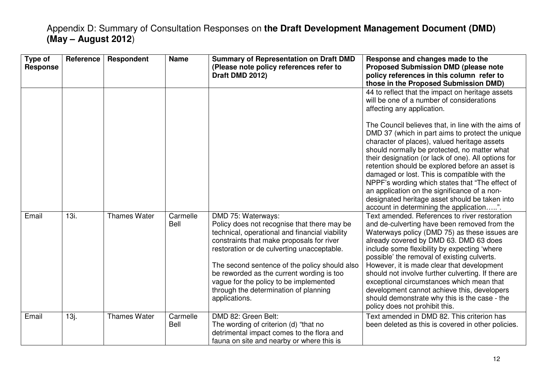| Type of<br><b>Response</b> | <b>Reference</b> | Respondent          | <b>Name</b>      | <b>Summary of Representation on Draft DMD</b><br>(Please note policy references refer to<br>Draft DMD 2012)                                                                                                                                                                                                                                                                                                      | Response and changes made to the<br><b>Proposed Submission DMD (please note</b><br>policy references in this column refer to<br>those in the Proposed Submission DMD)                                                                                                                                                                                                                                                                                                                                                                                                                               |
|----------------------------|------------------|---------------------|------------------|------------------------------------------------------------------------------------------------------------------------------------------------------------------------------------------------------------------------------------------------------------------------------------------------------------------------------------------------------------------------------------------------------------------|-----------------------------------------------------------------------------------------------------------------------------------------------------------------------------------------------------------------------------------------------------------------------------------------------------------------------------------------------------------------------------------------------------------------------------------------------------------------------------------------------------------------------------------------------------------------------------------------------------|
|                            |                  |                     |                  |                                                                                                                                                                                                                                                                                                                                                                                                                  | 44 to reflect that the impact on heritage assets<br>will be one of a number of considerations<br>affecting any application.<br>The Council believes that, in line with the aims of<br>DMD 37 (which in part aims to protect the unique<br>character of places), valued heritage assets<br>should normally be protected, no matter what<br>their designation (or lack of one). All options for<br>retention should be explored before an asset is<br>damaged or lost. This is compatible with the<br>NPPF's wording which states that "The effect of<br>an application on the significance of a non- |
|                            |                  |                     |                  |                                                                                                                                                                                                                                                                                                                                                                                                                  | designated heritage asset should be taken into<br>account in determining the application".                                                                                                                                                                                                                                                                                                                                                                                                                                                                                                          |
| Email                      | 13i.             | <b>Thames Water</b> | Carmelle<br>Bell | DMD 75: Waterways:<br>Policy does not recognise that there may be<br>technical, operational and financial viability<br>constraints that make proposals for river<br>restoration or de culverting unacceptable.<br>The second sentence of the policy should also<br>be reworded as the current wording is too<br>vague for the policy to be implemented<br>through the determination of planning<br>applications. | Text amended. References to river restoration<br>and de-culverting have been removed from the<br>Waterways policy (DMD 75) as these issues are<br>already covered by DMD 63. DMD 63 does<br>include some flexibility by expecting 'where<br>possible' the removal of existing culverts.<br>However, it is made clear that development<br>should not involve further culverting. If there are<br>exceptional circumstances which mean that<br>development cannot achieve this, developers<br>should demonstrate why this is the case - the<br>policy does not prohibit this.                         |
| Email                      | 13j.             | <b>Thames Water</b> | Carmelle<br>Bell | DMD 82: Green Belt:<br>The wording of criterion (d) "that no<br>detrimental impact comes to the flora and<br>fauna on site and nearby or where this is                                                                                                                                                                                                                                                           | Text amended in DMD 82. This criterion has<br>been deleted as this is covered in other policies.                                                                                                                                                                                                                                                                                                                                                                                                                                                                                                    |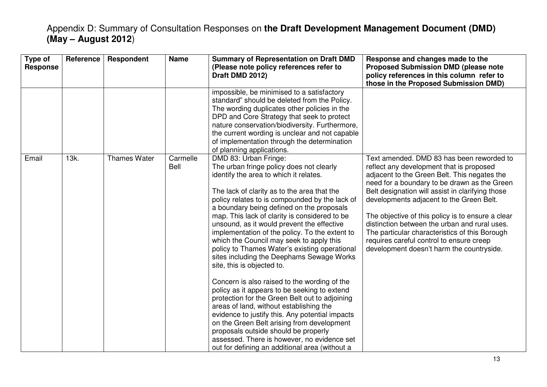| Type of<br><b>Response</b> | Reference | Respondent          | <b>Name</b>      | <b>Summary of Representation on Draft DMD</b><br>(Please note policy references refer to<br>Draft DMD 2012)                                                                                                                                                                                                                                                                                                                                                                                                                                                                                                                                                                                                                                                                                                                                                                                                                                                                                                               | Response and changes made to the<br><b>Proposed Submission DMD (please note</b><br>policy references in this column refer to<br>those in the Proposed Submission DMD)                                                                                                                                                                                                                                                                                                                                                                  |
|----------------------------|-----------|---------------------|------------------|---------------------------------------------------------------------------------------------------------------------------------------------------------------------------------------------------------------------------------------------------------------------------------------------------------------------------------------------------------------------------------------------------------------------------------------------------------------------------------------------------------------------------------------------------------------------------------------------------------------------------------------------------------------------------------------------------------------------------------------------------------------------------------------------------------------------------------------------------------------------------------------------------------------------------------------------------------------------------------------------------------------------------|----------------------------------------------------------------------------------------------------------------------------------------------------------------------------------------------------------------------------------------------------------------------------------------------------------------------------------------------------------------------------------------------------------------------------------------------------------------------------------------------------------------------------------------|
|                            |           |                     |                  | impossible, be minimised to a satisfactory<br>standard" should be deleted from the Policy.<br>The wording duplicates other policies in the<br>DPD and Core Strategy that seek to protect<br>nature conservation/biodiversity. Furthermore,<br>the current wording is unclear and not capable<br>of implementation through the determination<br>of planning applications.                                                                                                                                                                                                                                                                                                                                                                                                                                                                                                                                                                                                                                                  |                                                                                                                                                                                                                                                                                                                                                                                                                                                                                                                                        |
| Email                      | 13k.      | <b>Thames Water</b> | Carmelle<br>Bell | DMD 83: Urban Fringe:<br>The urban fringe policy does not clearly<br>identify the area to which it relates.<br>The lack of clarity as to the area that the<br>policy relates to is compounded by the lack of<br>a boundary being defined on the proposals<br>map. This lack of clarity is considered to be<br>unsound, as it would prevent the effective<br>implementation of the policy. To the extent to<br>which the Council may seek to apply this<br>policy to Thames Water's existing operational<br>sites including the Deephams Sewage Works<br>site, this is objected to.<br>Concern is also raised to the wording of the<br>policy as it appears to be seeking to extend<br>protection for the Green Belt out to adjoining<br>areas of land, without establishing the<br>evidence to justify this. Any potential impacts<br>on the Green Belt arising from development<br>proposals outside should be properly<br>assessed. There is however, no evidence set<br>out for defining an additional area (without a | Text amended. DMD 83 has been reworded to<br>reflect any development that is proposed<br>adjacent to the Green Belt. This negates the<br>need for a boundary to be drawn as the Green<br>Belt designation will assist in clarifying those<br>developments adjacent to the Green Belt.<br>The objective of this policy is to ensure a clear<br>distinction between the urban and rural uses.<br>The particular characteristics of this Borough<br>requires careful control to ensure creep<br>development doesn't harm the countryside. |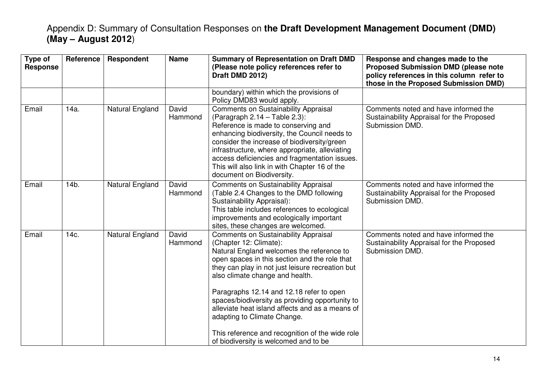| Type of<br><b>Response</b> | Reference | Respondent      | <b>Name</b>      | <b>Summary of Representation on Draft DMD</b><br>(Please note policy references refer to<br>Draft DMD 2012)                                                                                                                                                                                                                                                                                                                                 | Response and changes made to the<br><b>Proposed Submission DMD (please note</b><br>policy references in this column refer to<br>those in the Proposed Submission DMD) |
|----------------------------|-----------|-----------------|------------------|---------------------------------------------------------------------------------------------------------------------------------------------------------------------------------------------------------------------------------------------------------------------------------------------------------------------------------------------------------------------------------------------------------------------------------------------|-----------------------------------------------------------------------------------------------------------------------------------------------------------------------|
|                            |           |                 |                  | boundary) within which the provisions of<br>Policy DMD83 would apply.                                                                                                                                                                                                                                                                                                                                                                       |                                                                                                                                                                       |
| Email                      | 14a.      | Natural England | David<br>Hammond | <b>Comments on Sustainability Appraisal</b><br>(Paragraph $2.14$ – Table $2.3$ ):<br>Reference is made to conserving and<br>enhancing biodiversity, the Council needs to<br>consider the increase of biodiversity/green<br>infrastructure, where appropriate, alleviating<br>access deficiencies and fragmentation issues.<br>This will also link in with Chapter 16 of the<br>document on Biodiversity.                                    | Comments noted and have informed the<br>Sustainability Appraisal for the Proposed<br>Submission DMD.                                                                  |
| Email                      | 14b.      | Natural England | David<br>Hammond | <b>Comments on Sustainability Appraisal</b><br>(Table 2.4 Changes to the DMD following<br>Sustainability Appraisal):<br>This table includes references to ecological<br>improvements and ecologically important<br>sites, these changes are welcomed.                                                                                                                                                                                       | Comments noted and have informed the<br>Sustainability Appraisal for the Proposed<br>Submission DMD.                                                                  |
| Email                      | 14c.      | Natural England | David<br>Hammond | <b>Comments on Sustainability Appraisal</b><br>(Chapter 12: Climate):<br>Natural England welcomes the reference to<br>open spaces in this section and the role that<br>they can play in not just leisure recreation but<br>also climate change and health.<br>Paragraphs 12.14 and 12.18 refer to open<br>spaces/biodiversity as providing opportunity to<br>alleviate heat island affects and as a means of<br>adapting to Climate Change. | Comments noted and have informed the<br>Sustainability Appraisal for the Proposed<br>Submission DMD.                                                                  |
|                            |           |                 |                  | This reference and recognition of the wide role<br>of biodiversity is welcomed and to be                                                                                                                                                                                                                                                                                                                                                    |                                                                                                                                                                       |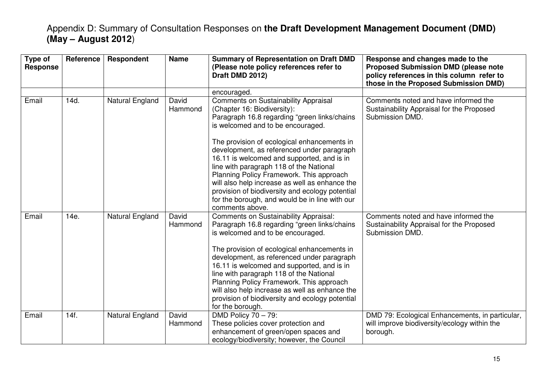| Type of<br><b>Response</b> | Reference | <b>Respondent</b> | <b>Name</b>      | <b>Summary of Representation on Draft DMD</b><br>(Please note policy references refer to<br>Draft DMD 2012)                                                                                                                                                                                                                                                                                                                                                                           | Response and changes made to the<br><b>Proposed Submission DMD (please note</b><br>policy references in this column refer to<br>those in the Proposed Submission DMD) |
|----------------------------|-----------|-------------------|------------------|---------------------------------------------------------------------------------------------------------------------------------------------------------------------------------------------------------------------------------------------------------------------------------------------------------------------------------------------------------------------------------------------------------------------------------------------------------------------------------------|-----------------------------------------------------------------------------------------------------------------------------------------------------------------------|
|                            |           |                   |                  | encouraged.                                                                                                                                                                                                                                                                                                                                                                                                                                                                           |                                                                                                                                                                       |
| Email                      | 14d.      | Natural England   | David<br>Hammond | <b>Comments on Sustainability Appraisal</b><br>(Chapter 16: Biodiversity):<br>Paragraph 16.8 regarding "green links/chains<br>is welcomed and to be encouraged.                                                                                                                                                                                                                                                                                                                       | Comments noted and have informed the<br>Sustainability Appraisal for the Proposed<br>Submission DMD.                                                                  |
|                            |           |                   |                  | The provision of ecological enhancements in<br>development, as referenced under paragraph<br>16.11 is welcomed and supported, and is in<br>line with paragraph 118 of the National<br>Planning Policy Framework. This approach<br>will also help increase as well as enhance the<br>provision of biodiversity and ecology potential<br>for the borough, and would be in line with our<br>comments above.                                                                              |                                                                                                                                                                       |
| Email                      | 14e.      | Natural England   | David<br>Hammond | Comments on Sustainability Appraisal:<br>Paragraph 16.8 regarding "green links/chains<br>is welcomed and to be encouraged.<br>The provision of ecological enhancements in<br>development, as referenced under paragraph<br>16.11 is welcomed and supported, and is in<br>line with paragraph 118 of the National<br>Planning Policy Framework. This approach<br>will also help increase as well as enhance the<br>provision of biodiversity and ecology potential<br>for the borough. | Comments noted and have informed the<br>Sustainability Appraisal for the Proposed<br>Submission DMD.                                                                  |
| Email                      | 14f.      | Natural England   | David<br>Hammond | DMD Policy 70 - 79:<br>These policies cover protection and<br>enhancement of green/open spaces and<br>ecology/biodiversity; however, the Council                                                                                                                                                                                                                                                                                                                                      | DMD 79: Ecological Enhancements, in particular,<br>will improve biodiversity/ecology within the<br>borough.                                                           |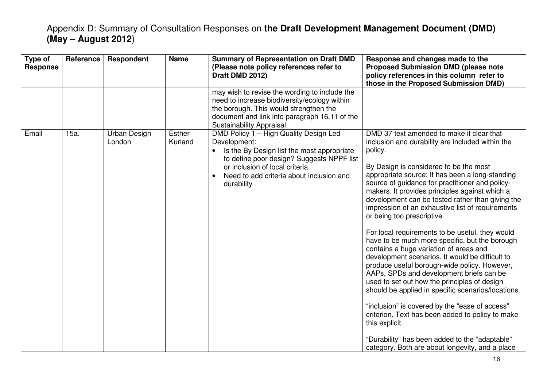| Type of<br><b>Response</b> | Reference | Respondent             | <b>Name</b>              | <b>Summary of Representation on Draft DMD</b><br>(Please note policy references refer to<br>Draft DMD 2012)                                                                                                                                    | Response and changes made to the<br><b>Proposed Submission DMD (please note</b><br>policy references in this column refer to<br>those in the Proposed Submission DMD)                                                                                                                                                                                                                                                                                                                                                                                                                                                                                                                                                                                                                                                                                                                                                                                                                                                                                                             |
|----------------------------|-----------|------------------------|--------------------------|------------------------------------------------------------------------------------------------------------------------------------------------------------------------------------------------------------------------------------------------|-----------------------------------------------------------------------------------------------------------------------------------------------------------------------------------------------------------------------------------------------------------------------------------------------------------------------------------------------------------------------------------------------------------------------------------------------------------------------------------------------------------------------------------------------------------------------------------------------------------------------------------------------------------------------------------------------------------------------------------------------------------------------------------------------------------------------------------------------------------------------------------------------------------------------------------------------------------------------------------------------------------------------------------------------------------------------------------|
|                            |           |                        |                          | may wish to revise the wording to include the<br>need to increase biodiversity/ecology within<br>the borough. This would strengthen the<br>document and link into paragraph 16.11 of the<br>Sustainability Appraisal.                          |                                                                                                                                                                                                                                                                                                                                                                                                                                                                                                                                                                                                                                                                                                                                                                                                                                                                                                                                                                                                                                                                                   |
| Email                      | 15a.      | Urban Design<br>London | <b>Esther</b><br>Kurland | DMD Policy 1 - High Quality Design Led<br>Development:<br>Is the By Design list the most appropriate<br>to define poor design? Suggests NPPF list<br>or inclusion of local criteria.<br>Need to add criteria about inclusion and<br>durability | DMD 37 text amended to make it clear that<br>inclusion and durability are included within the<br>policy.<br>By Design is considered to be the most<br>appropriate source: It has been a long-standing<br>source of guidance for practitioner and policy-<br>makers. It provides principles against which a<br>development can be tested rather than giving the<br>impression of an exhaustive list of requirements<br>or being too prescriptive.<br>For local requirements to be useful, they would<br>have to be much more specific, but the borough<br>contains a huge variation of areas and<br>development scenarios. It would be difficult to<br>produce useful borough-wide policy. However,<br>AAPs, SPDs and development briefs can be<br>used to set out how the principles of design<br>should be applied in specific scenarios/locations.<br>"inclusion" is covered by the "ease of access"<br>criterion. Text has been added to policy to make<br>this explicit.<br>"Durability" has been added to the "adaptable"<br>category. Both are about longevity, and a place |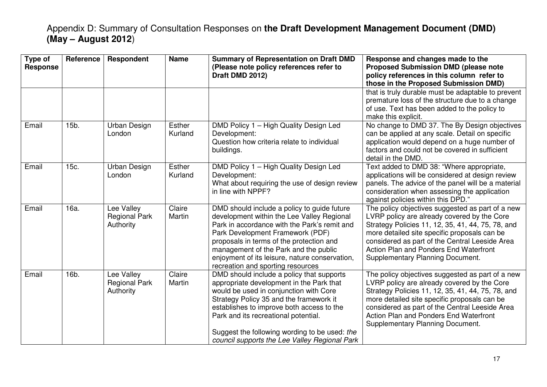| Type of<br><b>Response</b> | Reference | Respondent                                      | <b>Name</b>       | <b>Summary of Representation on Draft DMD</b><br>(Please note policy references refer to<br>Draft DMD 2012)                                                                                                                                                                                                                                                       | Response and changes made to the<br><b>Proposed Submission DMD (please note</b><br>policy references in this column refer to<br>those in the Proposed Submission DMD)                                                                                                                                                                |
|----------------------------|-----------|-------------------------------------------------|-------------------|-------------------------------------------------------------------------------------------------------------------------------------------------------------------------------------------------------------------------------------------------------------------------------------------------------------------------------------------------------------------|--------------------------------------------------------------------------------------------------------------------------------------------------------------------------------------------------------------------------------------------------------------------------------------------------------------------------------------|
|                            |           |                                                 |                   |                                                                                                                                                                                                                                                                                                                                                                   | that is truly durable must be adaptable to prevent<br>premature loss of the structure due to a change<br>of use. Text has been added to the policy to<br>make this explicit.                                                                                                                                                         |
| Email                      | 15b.      | Urban Design<br>London                          | Esther<br>Kurland | DMD Policy 1 - High Quality Design Led<br>Development:<br>Question how criteria relate to individual<br>buildings.                                                                                                                                                                                                                                                | No change to DMD 37. The By Design objectives<br>can be applied at any scale. Detail on specific<br>application would depend on a huge number of<br>factors and could not be covered in sufficient<br>detail in the DMD.                                                                                                             |
| Email                      | 15c.      | Urban Design<br>London                          | Esther<br>Kurland | DMD Policy 1 - High Quality Design Led<br>Development:<br>What about requiring the use of design review<br>in line with NPPF?                                                                                                                                                                                                                                     | Text added to DMD 38: "Where appropriate,<br>applications will be considered at design review<br>panels. The advice of the panel will be a material<br>consideration when assessing the application<br>against policies within this DPD."                                                                                            |
| Email                      | 16a.      | Lee Valley<br><b>Regional Park</b><br>Authority | Claire<br>Martin  | DMD should include a policy to guide future<br>development within the Lee Valley Regional<br>Park in accordance with the Park's remit and<br>Park Development Framework (PDF)<br>proposals in terms of the protection and<br>management of the Park and the public<br>enjoyment of its leisure, nature conservation,<br>recreation and sporting resources         | The policy objectives suggested as part of a new<br>LVRP policy are already covered by the Core<br>Strategy Policies 11, 12, 35, 41, 44, 75, 78, and<br>more detailed site specific proposals can be<br>considered as part of the Central Leeside Area<br>Action Plan and Ponders End Waterfront<br>Supplementary Planning Document. |
| Email                      | 16b.      | Lee Valley<br><b>Regional Park</b><br>Authority | Claire<br>Martin  | DMD should include a policy that supports<br>appropriate development in the Park that<br>would be used in conjunction with Core<br>Strategy Policy 35 and the framework it<br>establishes to improve both access to the<br>Park and its recreational potential.<br>Suggest the following wording to be used: the<br>council supports the Lee Valley Regional Park | The policy objectives suggested as part of a new<br>LVRP policy are already covered by the Core<br>Strategy Policies 11, 12, 35, 41, 44, 75, 78, and<br>more detailed site specific proposals can be<br>considered as part of the Central Leeside Area<br>Action Plan and Ponders End Waterfront<br>Supplementary Planning Document. |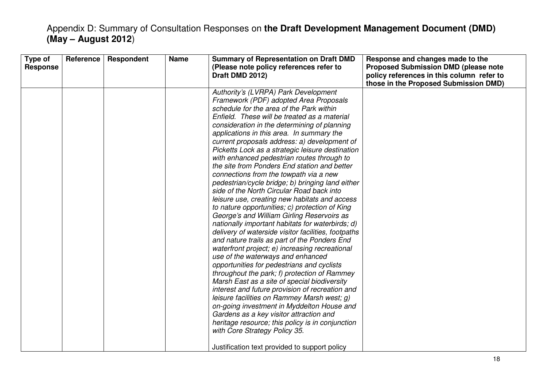| Type of<br>Reference<br><b>Response</b> | Respondent | <b>Name</b> | <b>Summary of Representation on Draft DMD</b><br>(Please note policy references refer to<br>Draft DMD 2012)                                                                                                                                                                                                                                                                                                                                                                                                                                                                                                                                                                                                                                                                                                                                                                                                                                                                                                                                                                                                                                                                                                                                                                                                                                                                                                                                                                                            | Response and changes made to the<br><b>Proposed Submission DMD (please note</b><br>policy references in this column refer to<br>those in the Proposed Submission DMD) |
|-----------------------------------------|------------|-------------|--------------------------------------------------------------------------------------------------------------------------------------------------------------------------------------------------------------------------------------------------------------------------------------------------------------------------------------------------------------------------------------------------------------------------------------------------------------------------------------------------------------------------------------------------------------------------------------------------------------------------------------------------------------------------------------------------------------------------------------------------------------------------------------------------------------------------------------------------------------------------------------------------------------------------------------------------------------------------------------------------------------------------------------------------------------------------------------------------------------------------------------------------------------------------------------------------------------------------------------------------------------------------------------------------------------------------------------------------------------------------------------------------------------------------------------------------------------------------------------------------------|-----------------------------------------------------------------------------------------------------------------------------------------------------------------------|
|                                         |            |             | Authority's (LVRPA) Park Development<br>Framework (PDF) adopted Area Proposals<br>schedule for the area of the Park within<br>Enfield. These will be treated as a material<br>consideration in the determining of planning<br>applications in this area. In summary the<br>current proposals address: a) development of<br>Picketts Lock as a strategic leisure destination<br>with enhanced pedestrian routes through to<br>the site from Ponders End station and better<br>connections from the towpath via a new<br>pedestrian/cycle bridge; b) bringing land either<br>side of the North Circular Road back into<br>leisure use, creating new habitats and access<br>to nature opportunities; c) protection of King<br>George's and William Girling Reservoirs as<br>nationally important habitats for waterbirds; d)<br>delivery of waterside visitor facilities, footpaths<br>and nature trails as part of the Ponders End<br>waterfront project; e) increasing recreational<br>use of the waterways and enhanced<br>opportunities for pedestrians and cyclists<br>throughout the park; f) protection of Rammey<br>Marsh East as a site of special biodiversity<br>interest and future provision of recreation and<br>leisure facilities on Rammey Marsh west; g)<br>on-going investment in Myddelton House and<br>Gardens as a key visitor attraction and<br>heritage resource; this policy is in conjunction<br>with Core Strategy Policy 35.<br>Justification text provided to support policy |                                                                                                                                                                       |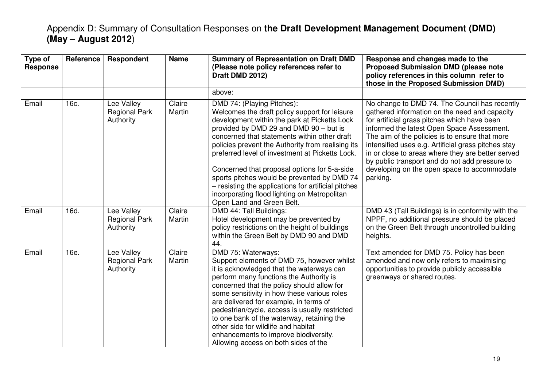| Type of<br><b>Response</b> | Reference | Respondent                                      | <b>Name</b>      | <b>Summary of Representation on Draft DMD</b><br>(Please note policy references refer to<br>Draft DMD 2012)                                                                                                                                                                                                                                                                                                                                                                                                                                                      | Response and changes made to the<br><b>Proposed Submission DMD (please note</b><br>policy references in this column refer to<br>those in the Proposed Submission DMD)                                                                                                                                                                                                                                                                                                   |
|----------------------------|-----------|-------------------------------------------------|------------------|------------------------------------------------------------------------------------------------------------------------------------------------------------------------------------------------------------------------------------------------------------------------------------------------------------------------------------------------------------------------------------------------------------------------------------------------------------------------------------------------------------------------------------------------------------------|-------------------------------------------------------------------------------------------------------------------------------------------------------------------------------------------------------------------------------------------------------------------------------------------------------------------------------------------------------------------------------------------------------------------------------------------------------------------------|
|                            |           |                                                 |                  | above:                                                                                                                                                                                                                                                                                                                                                                                                                                                                                                                                                           |                                                                                                                                                                                                                                                                                                                                                                                                                                                                         |
| Email                      | 16c.      | Lee Valley<br><b>Regional Park</b><br>Authority | Claire<br>Martin | DMD 74: (Playing Pitches):<br>Welcomes the draft policy support for leisure<br>development within the park at Picketts Lock<br>provided by DMD 29 and DMD 90 – but is<br>concerned that statements within other draft<br>policies prevent the Authority from realising its<br>preferred level of investment at Picketts Lock.<br>Concerned that proposal options for 5-a-side<br>sports pitches would be prevented by DMD 74<br>- resisting the applications for artificial pitches<br>incorporating flood lighting on Metropolitan<br>Open Land and Green Belt. | No change to DMD 74. The Council has recently<br>gathered information on the need and capacity<br>for artificial grass pitches which have been<br>informed the latest Open Space Assessment.<br>The aim of the policies is to ensure that more<br>intensified uses e.g. Artificial grass pitches stay<br>in or close to areas where they are better served<br>by public transport and do not add pressure to<br>developing on the open space to accommodate<br>parking. |
| Email                      | 16d.      | Lee Valley<br><b>Regional Park</b><br>Authority | Claire<br>Martin | DMD 44: Tall Buildings:<br>Hotel development may be prevented by<br>policy restrictions on the height of buildings<br>within the Green Belt by DMD 90 and DMD<br>44.                                                                                                                                                                                                                                                                                                                                                                                             | DMD 43 (Tall Buildings) is in conformity with the<br>NPPF, no additional pressure should be placed<br>on the Green Belt through uncontrolled building<br>heights.                                                                                                                                                                                                                                                                                                       |
| Email                      | 16e.      | Lee Valley<br><b>Regional Park</b><br>Authority | Claire<br>Martin | DMD 75: Waterways:<br>Support elements of DMD 75, however whilst<br>it is acknowledged that the waterways can<br>perform many functions the Authority is<br>concerned that the policy should allow for<br>some sensitivity in how these various roles<br>are delivered for example, in terms of<br>pedestrian/cycle, access is usually restricted<br>to one bank of the waterway, retaining the<br>other side for wildlife and habitat<br>enhancements to improve biodiversity.<br>Allowing access on both sides of the                                          | Text amended for DMD 75. Policy has been<br>amended and now only refers to maximising<br>opportunities to provide publicly accessible<br>greenways or shared routes.                                                                                                                                                                                                                                                                                                    |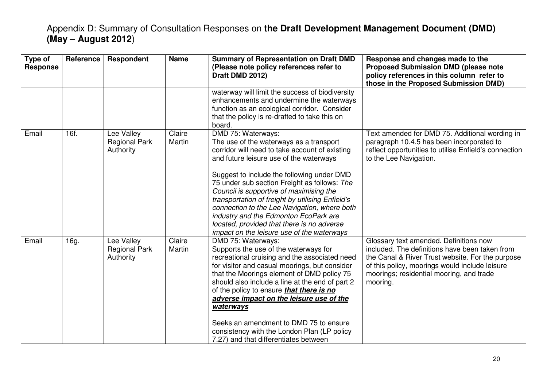| Type of<br><b>Response</b> | Reference | Respondent                                      | <b>Name</b>      | <b>Summary of Representation on Draft DMD</b><br>(Please note policy references refer to<br>Draft DMD 2012)                                                                                                                                                                                                                                                                                                                                                                                                                                  | Response and changes made to the<br><b>Proposed Submission DMD (please note</b><br>policy references in this column refer to<br>those in the Proposed Submission DMD)                                                                                  |
|----------------------------|-----------|-------------------------------------------------|------------------|----------------------------------------------------------------------------------------------------------------------------------------------------------------------------------------------------------------------------------------------------------------------------------------------------------------------------------------------------------------------------------------------------------------------------------------------------------------------------------------------------------------------------------------------|--------------------------------------------------------------------------------------------------------------------------------------------------------------------------------------------------------------------------------------------------------|
|                            |           |                                                 |                  | waterway will limit the success of biodiversity<br>enhancements and undermine the waterways<br>function as an ecological corridor. Consider<br>that the policy is re-drafted to take this on<br>board.                                                                                                                                                                                                                                                                                                                                       |                                                                                                                                                                                                                                                        |
| Email                      | 16f.      | Lee Valley<br><b>Regional Park</b><br>Authority | Claire<br>Martin | DMD 75: Waterways:<br>The use of the waterways as a transport<br>corridor will need to take account of existing<br>and future leisure use of the waterways<br>Suggest to include the following under DMD<br>75 under sub section Freight as follows: The<br>Council is supportive of maximising the<br>transportation of freight by utilising Enfield's<br>connection to the Lee Navigation, where both<br>industry and the Edmonton EcoPark are<br>located, provided that there is no adverse<br>impact on the leisure use of the waterways | Text amended for DMD 75. Additional wording in<br>paragraph 10.4.5 has been incorporated to<br>reflect opportunities to utilise Enfield's connection<br>to the Lee Navigation.                                                                         |
| Email                      | 16g.      | Lee Valley<br><b>Regional Park</b><br>Authority | Claire<br>Martin | DMD 75: Waterways:<br>Supports the use of the waterways for<br>recreational cruising and the associated need<br>for visitor and casual moorings, but consider<br>that the Moorings element of DMD policy 75<br>should also include a line at the end of part 2<br>of the policy to ensure <i>that there is no</i><br>adverse impact on the leisure use of the<br>waterways<br>Seeks an amendment to DMD 75 to ensure<br>consistency with the London Plan (LP policy<br>7.27) and that differentiates between                                 | Glossary text amended. Definitions now<br>included. The definitions have been taken from<br>the Canal & River Trust website. For the purpose<br>of this policy, moorings would include leisure<br>moorings; residential mooring, and trade<br>mooring. |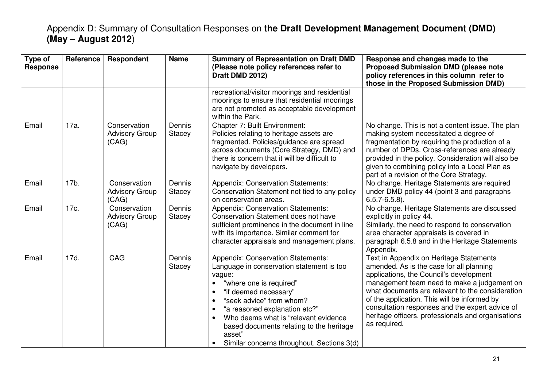| Type of<br><b>Response</b> | Reference | Respondent                                     | <b>Name</b>      | <b>Summary of Representation on Draft DMD</b><br>(Please note policy references refer to<br>Draft DMD 2012)                                                                                                                                                                                                                                                                                          | Response and changes made to the<br><b>Proposed Submission DMD (please note</b><br>policy references in this column refer to<br>those in the Proposed Submission DMD)                                                                                                                                                                                                                                      |
|----------------------------|-----------|------------------------------------------------|------------------|------------------------------------------------------------------------------------------------------------------------------------------------------------------------------------------------------------------------------------------------------------------------------------------------------------------------------------------------------------------------------------------------------|------------------------------------------------------------------------------------------------------------------------------------------------------------------------------------------------------------------------------------------------------------------------------------------------------------------------------------------------------------------------------------------------------------|
|                            |           |                                                |                  | recreational/visitor moorings and residential<br>moorings to ensure that residential moorings<br>are not promoted as acceptable development<br>within the Park.                                                                                                                                                                                                                                      |                                                                                                                                                                                                                                                                                                                                                                                                            |
| Email                      | 17a.      | Conservation<br><b>Advisory Group</b><br>(CAG) | Dennis<br>Stacey | Chapter 7: Built Environment:<br>Policies relating to heritage assets are<br>fragmented. Policies/guidance are spread<br>across documents (Core Strategy, DMD) and<br>there is concern that it will be difficult to<br>navigate by developers.                                                                                                                                                       | No change. This is not a content issue. The plan<br>making system necessitated a degree of<br>fragmentation by requiring the production of a<br>number of DPDs. Cross-references are already<br>provided in the policy. Consideration will also be<br>given to combining policy into a Local Plan as<br>part of a revision of the Core Strategy.                                                           |
| Email                      | 17b.      | Conservation<br><b>Advisory Group</b><br>(CAG) | Dennis<br>Stacey | <b>Appendix: Conservation Statements:</b><br>Conservation Statement not tied to any policy<br>on conservation areas.                                                                                                                                                                                                                                                                                 | No change. Heritage Statements are required<br>under DMD policy 44 (point 3 and paragraphs<br>$6.5.7 - 6.5.8$ ).                                                                                                                                                                                                                                                                                           |
| Email                      | 17c.      | Conservation<br><b>Advisory Group</b><br>(CAG) | Dennis<br>Stacey | <b>Appendix: Conservation Statements:</b><br>Conservation Statement does not have<br>sufficient prominence in the document in line<br>with its importance. Similar comment for<br>character appraisals and management plans.                                                                                                                                                                         | No change. Heritage Statements are discussed<br>explicitly in policy 44.<br>Similarly, the need to respond to conservation<br>area character appraisals is covered in<br>paragraph 6.5.8 and in the Heritage Statements<br>Appendix.                                                                                                                                                                       |
| Email                      | 17d.      | <b>CAG</b>                                     | Dennis<br>Stacey | <b>Appendix: Conservation Statements:</b><br>Language in conservation statement is too<br>vague:<br>"where one is required"<br>"if deemed necessary"<br>$\bullet$<br>"seek advice" from whom?<br>$\bullet$<br>"a reasoned explanation etc?"<br>$\bullet$<br>Who deems what is "relevant evidence<br>based documents relating to the heritage<br>asset"<br>Similar concerns throughout. Sections 3(d) | Text in Appendix on Heritage Statements<br>amended. As is the case for all planning<br>applications, the Council's development<br>management team need to make a judgement on<br>what documents are relevant to the consideration<br>of the application. This will be informed by<br>consultation responses and the expert advice of<br>heritage officers, professionals and organisations<br>as required. |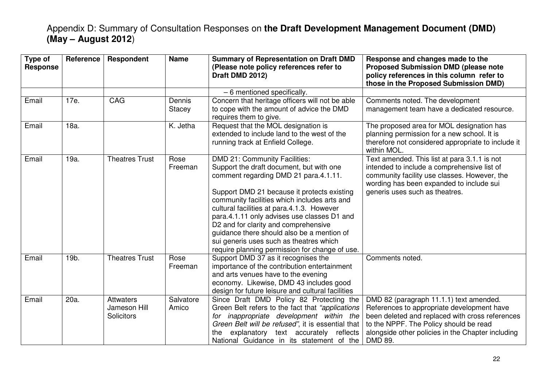| Type of<br><b>Response</b> | <b>Reference</b> | Respondent                                     | <b>Name</b>        | <b>Summary of Representation on Draft DMD</b><br>(Please note policy references refer to<br>Draft DMD 2012)                                                                                                                                                                                                                                                                                                                                                                                       | Response and changes made to the<br><b>Proposed Submission DMD (please note</b><br>policy references in this column refer to<br>those in the Proposed Submission DMD)                                                                              |
|----------------------------|------------------|------------------------------------------------|--------------------|---------------------------------------------------------------------------------------------------------------------------------------------------------------------------------------------------------------------------------------------------------------------------------------------------------------------------------------------------------------------------------------------------------------------------------------------------------------------------------------------------|----------------------------------------------------------------------------------------------------------------------------------------------------------------------------------------------------------------------------------------------------|
|                            |                  |                                                |                    | - 6 mentioned specifically.                                                                                                                                                                                                                                                                                                                                                                                                                                                                       |                                                                                                                                                                                                                                                    |
| Email                      | 17e.             | CAG                                            | Dennis<br>Stacey   | Concern that heritage officers will not be able<br>to cope with the amount of advice the DMD<br>requires them to give.                                                                                                                                                                                                                                                                                                                                                                            | Comments noted. The development<br>management team have a dedicated resource.                                                                                                                                                                      |
| Email                      | 18a.             |                                                | K. Jetha           | Request that the MOL designation is<br>extended to include land to the west of the<br>running track at Enfield College.                                                                                                                                                                                                                                                                                                                                                                           | The proposed area for MOL designation has<br>planning permission for a new school. It is<br>therefore not considered appropriate to include it<br>within MOL.                                                                                      |
| Email                      | 19a.             | <b>Theatres Trust</b>                          | Rose<br>Freeman    | DMD 21: Community Facilities:<br>Support the draft document, but with one<br>comment regarding DMD 21 para.4.1.11.<br>Support DMD 21 because it protects existing<br>community facilities which includes arts and<br>cultural facilities at para.4.1.3. However<br>para.4.1.11 only advises use classes D1 and<br>D2 and for clarity and comprehensive<br>guidance there should also be a mention of<br>sui generis uses such as theatres which<br>require planning permission for change of use. | Text amended. This list at para 3.1.1 is not<br>intended to include a comprehensive list of<br>community facility use classes. However, the<br>wording has been expanded to include sui<br>generis uses such as theatres.                          |
| Email                      | 19b.             | <b>Theatres Trust</b>                          | Rose<br>Freeman    | Support DMD 37 as it recognises the<br>importance of the contribution entertainment<br>and arts venues have to the evening<br>economy. Likewise, DMD 43 includes good<br>design for future leisure and cultural facilities                                                                                                                                                                                                                                                                        | Comments noted.                                                                                                                                                                                                                                    |
| Email                      | 20a.             | Attwaters<br>Jameson Hill<br><b>Solicitors</b> | Salvatore<br>Amico | Since Draft DMD Policy 82 Protecting the<br>Green Belt refers to the fact that "applications"<br>for inappropriate development within the<br>Green Belt will be refused", it is essential that<br>explanatory text accurately reflects<br>the<br>National Guidance in its statement of the                                                                                                                                                                                                        | DMD 82 (paragraph 11.1.1) text amended.<br>References to appropriate development have<br>been deleted and replaced with cross references<br>to the NPPF. The Policy should be read<br>alongside other policies in the Chapter including<br>DMD 89. |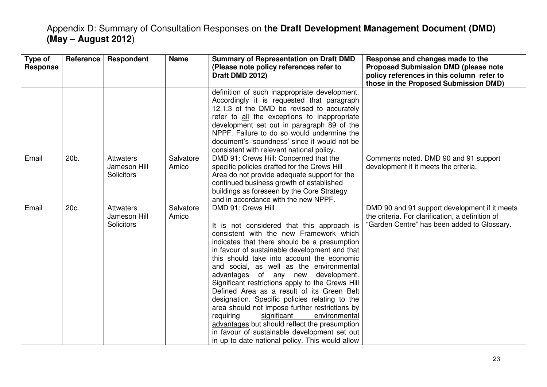| Type of<br><b>Response</b> | <b>Reference</b> | <b>Respondent</b>                                     | <b>Name</b>        | <b>Summary of Representation on Draft DMD</b><br>(Please note policy references refer to<br>Draft DMD 2012)                                                                                                                                                                                                                                                                                                                                                                                                                                                                                                                                                                                                                                         | Response and changes made to the<br><b>Proposed Submission DMD (please note</b><br>policy references in this column refer to<br>those in the Proposed Submission DMD) |
|----------------------------|------------------|-------------------------------------------------------|--------------------|-----------------------------------------------------------------------------------------------------------------------------------------------------------------------------------------------------------------------------------------------------------------------------------------------------------------------------------------------------------------------------------------------------------------------------------------------------------------------------------------------------------------------------------------------------------------------------------------------------------------------------------------------------------------------------------------------------------------------------------------------------|-----------------------------------------------------------------------------------------------------------------------------------------------------------------------|
|                            |                  |                                                       |                    | definition of such inappropriate development.<br>Accordingly it is requested that paragraph<br>12.1.3 of the DMD be revised to accurately<br>refer to all the exceptions to inappropriate<br>development set out in paragraph 89 of the<br>NPPF. Failure to do so would undermine the<br>document's 'soundness' since it would not be<br>consistent with relevant national policy.                                                                                                                                                                                                                                                                                                                                                                  |                                                                                                                                                                       |
| Email                      | 20b.             | <b>Attwaters</b><br>Jameson Hill<br><b>Solicitors</b> | Salvatore<br>Amico | DMD 91: Crews Hill: Concerned that the<br>specific policies drafted for the Crews Hill<br>Area do not provide adequate support for the<br>continued business growth of established<br>buildings as foreseen by the Core Strategy<br>and in accordance with the new NPPF.                                                                                                                                                                                                                                                                                                                                                                                                                                                                            | Comments noted. DMD 90 and 91 support<br>development if it meets the criteria.                                                                                        |
| Email                      | 20c.             | <b>Attwaters</b><br>Jameson Hill<br><b>Solicitors</b> | Salvatore<br>Amico | DMD 91: Crews Hill<br>It is not considered that this approach is<br>consistent with the new Framework which<br>indicates that there should be a presumption<br>in favour of sustainable development and that<br>this should take into account the economic<br>and social, as well as the environmental<br>advantages of any new development.<br>Significant restrictions apply to the Crews Hill<br>Defined Area as a result of its Green Belt<br>designation. Specific policies relating to the<br>area should not impose further restrictions by<br>requiring<br>significant<br>environmental<br>advantages but should reflect the presumption<br>in favour of sustainable development set out<br>in up to date national policy. This would allow | DMD 90 and 91 support development if it meets<br>the criteria. For clarification, a definition of<br>"Garden Centre" has been added to Glossary.                      |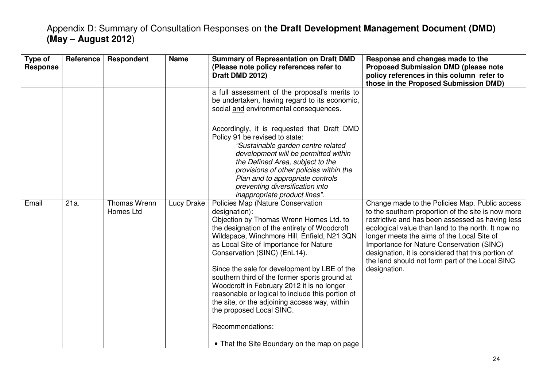| Type of<br><b>Response</b> | Reference | <b>Respondent</b>         | <b>Name</b> | <b>Summary of Representation on Draft DMD</b><br>(Please note policy references refer to<br>Draft DMD 2012)                                                                                                                                                                                                                                                                                                                                                                                                                                                                | Response and changes made to the<br><b>Proposed Submission DMD (please note</b><br>policy references in this column refer to<br>those in the Proposed Submission DMD)                                                                                                                                                                                                                                                              |
|----------------------------|-----------|---------------------------|-------------|----------------------------------------------------------------------------------------------------------------------------------------------------------------------------------------------------------------------------------------------------------------------------------------------------------------------------------------------------------------------------------------------------------------------------------------------------------------------------------------------------------------------------------------------------------------------------|------------------------------------------------------------------------------------------------------------------------------------------------------------------------------------------------------------------------------------------------------------------------------------------------------------------------------------------------------------------------------------------------------------------------------------|
|                            |           |                           |             | a full assessment of the proposal's merits to<br>be undertaken, having regard to its economic,<br>social and environmental consequences.                                                                                                                                                                                                                                                                                                                                                                                                                                   |                                                                                                                                                                                                                                                                                                                                                                                                                                    |
|                            |           |                           |             | Accordingly, it is requested that Draft DMD<br>Policy 91 be revised to state:<br>"Sustainable garden centre related<br>development will be permitted within<br>the Defined Area, subject to the<br>provisions of other policies within the<br>Plan and to appropriate controls<br>preventing diversification into<br>inappropriate product lines".                                                                                                                                                                                                                         |                                                                                                                                                                                                                                                                                                                                                                                                                                    |
| Email                      | 21a.      | Thomas Wrenn<br>Homes Ltd | Lucy Drake  | Policies Map (Nature Conservation<br>designation):<br>Objection by Thomas Wrenn Homes Ltd. to<br>the designation of the entirety of Woodcroft<br>Wildspace, Winchmore Hill, Enfield, N21 3QN<br>as Local Site of Importance for Nature<br>Conservation (SINC) (EnL14).<br>Since the sale for development by LBE of the<br>southern third of the former sports ground at<br>Woodcroft in February 2012 it is no longer<br>reasonable or logical to include this portion of<br>the site, or the adjoining access way, within<br>the proposed Local SINC.<br>Recommendations: | Change made to the Policies Map. Public access<br>to the southern proportion of the site is now more<br>restrictive and has been assessed as having less<br>ecological value than land to the north. It now no<br>longer meets the aims of the Local Site of<br>Importance for Nature Conservation (SINC)<br>designation, it is considered that this portion of<br>the land should not form part of the Local SINC<br>designation. |
|                            |           |                           |             | • That the Site Boundary on the map on page                                                                                                                                                                                                                                                                                                                                                                                                                                                                                                                                |                                                                                                                                                                                                                                                                                                                                                                                                                                    |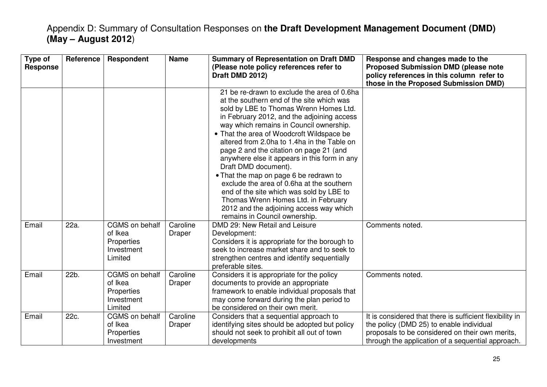| Type of<br><b>Response</b> | Reference | Respondent                                                              | <b>Name</b>        | <b>Summary of Representation on Draft DMD</b><br>(Please note policy references refer to<br>Draft DMD 2012)                                                                                                                                                                                                                                                                                                                                                                                                                                                                                                                                                                                      | Response and changes made to the<br><b>Proposed Submission DMD (please note</b><br>policy references in this column refer to<br>those in the Proposed Submission DMD)                                        |
|----------------------------|-----------|-------------------------------------------------------------------------|--------------------|--------------------------------------------------------------------------------------------------------------------------------------------------------------------------------------------------------------------------------------------------------------------------------------------------------------------------------------------------------------------------------------------------------------------------------------------------------------------------------------------------------------------------------------------------------------------------------------------------------------------------------------------------------------------------------------------------|--------------------------------------------------------------------------------------------------------------------------------------------------------------------------------------------------------------|
|                            |           |                                                                         |                    | 21 be re-drawn to exclude the area of 0.6ha<br>at the southern end of the site which was<br>sold by LBE to Thomas Wrenn Homes Ltd.<br>in February 2012, and the adjoining access<br>way which remains in Council ownership.<br>• That the area of Woodcroft Wildspace be<br>altered from 2.0ha to 1.4ha in the Table on<br>page 2 and the citation on page 21 (and<br>anywhere else it appears in this form in any<br>Draft DMD document).<br>• That the map on page 6 be redrawn to<br>exclude the area of 0.6ha at the southern<br>end of the site which was sold by LBE to<br>Thomas Wrenn Homes Ltd. in February<br>2012 and the adjoining access way which<br>remains in Council ownership. |                                                                                                                                                                                                              |
| Email                      | 22a.      | CGMS on behalf<br>of Ikea<br>Properties<br>Investment<br>Limited        | Caroline<br>Draper | DMD 29: New Retail and Leisure<br>Development:<br>Considers it is appropriate for the borough to<br>seek to increase market share and to seek to<br>strengthen centres and identify sequentially<br>preferable sites.                                                                                                                                                                                                                                                                                                                                                                                                                                                                            | Comments noted.                                                                                                                                                                                              |
| Email                      | 22b.      | <b>CGMS</b> on behalf<br>of Ikea<br>Properties<br>Investment<br>Limited | Caroline<br>Draper | Considers it is appropriate for the policy<br>documents to provide an appropriate<br>framework to enable individual proposals that<br>may come forward during the plan period to<br>be considered on their own merit.                                                                                                                                                                                                                                                                                                                                                                                                                                                                            | Comments noted.                                                                                                                                                                                              |
| Email                      | 22c.      | CGMS on behalf<br>of Ikea<br>Properties<br>Investment                   | Caroline<br>Draper | Considers that a sequential approach to<br>identifying sites should be adopted but policy<br>should not seek to prohibit all out of town<br>developments                                                                                                                                                                                                                                                                                                                                                                                                                                                                                                                                         | It is considered that there is sufficient flexibility in<br>the policy (DMD 25) to enable individual<br>proposals to be considered on their own merits,<br>through the application of a sequential approach. |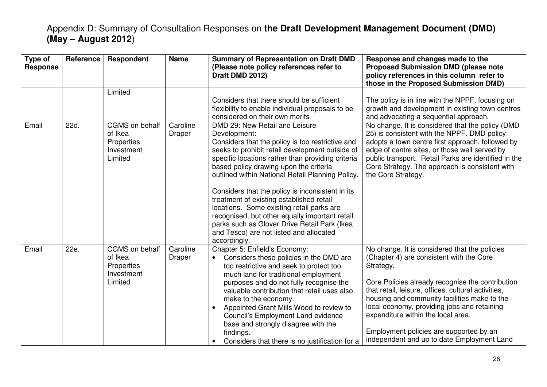| Type of<br><b>Response</b> | <b>Reference</b> | Respondent                                                       | <b>Name</b>        | <b>Summary of Representation on Draft DMD</b><br>(Please note policy references refer to<br>Draft DMD 2012)                                                                                                                                                                                                                                                                                                                                                                                                                                                                                                        | Response and changes made to the<br><b>Proposed Submission DMD (please note</b><br>policy references in this column refer to<br>those in the Proposed Submission DMD)                                                                                                                                                                                                                                                                           |
|----------------------------|------------------|------------------------------------------------------------------|--------------------|--------------------------------------------------------------------------------------------------------------------------------------------------------------------------------------------------------------------------------------------------------------------------------------------------------------------------------------------------------------------------------------------------------------------------------------------------------------------------------------------------------------------------------------------------------------------------------------------------------------------|-------------------------------------------------------------------------------------------------------------------------------------------------------------------------------------------------------------------------------------------------------------------------------------------------------------------------------------------------------------------------------------------------------------------------------------------------|
|                            |                  | Limited                                                          |                    | Considers that there should be sufficient<br>flexibility to enable individual proposals to be<br>considered on their own merits                                                                                                                                                                                                                                                                                                                                                                                                                                                                                    | The policy is in line with the NPPF, focusing on<br>growth and development in existing town centres<br>and advocating a sequential approach.                                                                                                                                                                                                                                                                                                    |
| Email                      | 22d.             | CGMS on behalf<br>of Ikea<br>Properties<br>Investment<br>Limited | Caroline<br>Draper | DMD 29: New Retail and Leisure<br>Development:<br>Considers that the policy is too restrictive and<br>seeks to prohibit retail development outside of<br>specific locations rather than providing criteria<br>based policy drawing upon the criteria<br>outlined within National Retail Planning Policy.<br>Considers that the policy is inconsistent in its<br>treatment of existing established retail<br>locations. Some existing retail parks are<br>recognised, but other equally important retail<br>parks such as Glover Drive Retail Park (Ikea<br>and Tesco) are not listed and allocated<br>accordingly. | No change. It is considered that the policy (DMD<br>25) is consistent with the NPPF. DMD policy<br>adopts a town centre first approach, followed by<br>edge of centre sites, or those well served by<br>public transport. Retail Parks are identified in the<br>Core Strategy. The approach is consistent with<br>the Core Strategy.                                                                                                            |
| Email                      | 22e.             | CGMS on behalf<br>of Ikea<br>Properties<br>Investment<br>Limited | Caroline<br>Draper | Chapter 5: Enfield's Economy:<br>Considers these policies in the DMD are<br>too restrictive and seek to protect too<br>much land for traditional employment<br>purposes and do not fully recognise the<br>valuable contribution that retail uses also<br>make to the economy.<br>Appointed Grant Mills Wood to review to<br><b>Council's Employment Land evidence</b><br>base and strongly disagree with the<br>findings.<br>Considers that there is no justification for a                                                                                                                                        | No change. It is considered that the policies<br>(Chapter 4) are consistent with the Core<br>Strategy.<br>Core Policies already recognise the contribution<br>that retail, leisure, offices, cultural activities,<br>housing and community facilities make to the<br>local economy, providing jobs and retaining<br>expenditure within the local area.<br>Employment policies are supported by an<br>independent and up to date Employment Land |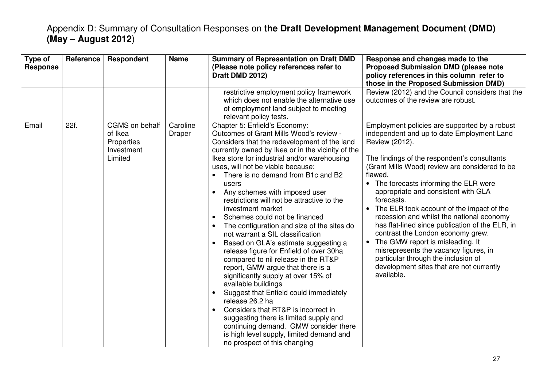| Type of<br><b>Response</b> | Reference | Respondent                                                       | <b>Name</b>        | <b>Summary of Representation on Draft DMD</b><br>(Please note policy references refer to<br>Draft DMD 2012)                                                                                                                                                                                                                                                                                                                                                                                                                                                                                                                                                                                                                                                                                                                                                                                                                                                                                                                                                                                                            | Response and changes made to the<br><b>Proposed Submission DMD (please note</b><br>policy references in this column refer to<br>those in the Proposed Submission DMD)                                                                                                                                                                                                                                                                                                                                                                                                                                                                                                                   |
|----------------------------|-----------|------------------------------------------------------------------|--------------------|------------------------------------------------------------------------------------------------------------------------------------------------------------------------------------------------------------------------------------------------------------------------------------------------------------------------------------------------------------------------------------------------------------------------------------------------------------------------------------------------------------------------------------------------------------------------------------------------------------------------------------------------------------------------------------------------------------------------------------------------------------------------------------------------------------------------------------------------------------------------------------------------------------------------------------------------------------------------------------------------------------------------------------------------------------------------------------------------------------------------|-----------------------------------------------------------------------------------------------------------------------------------------------------------------------------------------------------------------------------------------------------------------------------------------------------------------------------------------------------------------------------------------------------------------------------------------------------------------------------------------------------------------------------------------------------------------------------------------------------------------------------------------------------------------------------------------|
|                            |           |                                                                  |                    | restrictive employment policy framework<br>which does not enable the alternative use<br>of employment land subject to meeting<br>relevant policy tests.                                                                                                                                                                                                                                                                                                                                                                                                                                                                                                                                                                                                                                                                                                                                                                                                                                                                                                                                                                | Review (2012) and the Council considers that the<br>outcomes of the review are robust.                                                                                                                                                                                                                                                                                                                                                                                                                                                                                                                                                                                                  |
| Email                      | 22f.      | CGMS on behalf<br>of Ikea<br>Properties<br>Investment<br>Limited | Caroline<br>Draper | Chapter 5: Enfield's Economy:<br>Outcomes of Grant Mills Wood's review -<br>Considers that the redevelopment of the land<br>currently owned by Ikea or in the vicinity of the<br>Ikea store for industrial and/or warehousing<br>uses, will not be viable because:<br>There is no demand from B1c and B2<br>users<br>Any schemes with imposed user<br>$\bullet$<br>restrictions will not be attractive to the<br>investment market<br>Schemes could not be financed<br>$\bullet$<br>The configuration and size of the sites do<br>$\bullet$<br>not warrant a SIL classification<br>Based on GLA's estimate suggesting a<br>$\bullet$<br>release figure for Enfield of over 30ha<br>compared to nil release in the RT&P<br>report, GMW argue that there is a<br>significantly supply at over 15% of<br>available buildings<br>Suggest that Enfield could immediately<br>$\bullet$<br>release 26.2 ha<br>Considers that RT&P is incorrect in<br>$\bullet$<br>suggesting there is limited supply and<br>continuing demand. GMW consider there<br>is high level supply, limited demand and<br>no prospect of this changing | Employment policies are supported by a robust<br>independent and up to date Employment Land<br>Review (2012).<br>The findings of the respondent's consultants<br>(Grant Mills Wood) review are considered to be<br>flawed.<br>The forecasts informing the ELR were<br>appropriate and consistent with GLA<br>forecasts.<br>The ELR took account of the impact of the<br>recession and whilst the national economy<br>has flat-lined since publication of the ELR, in<br>contrast the London economy grew.<br>The GMW report is misleading. It<br>misrepresents the vacancy figures, in<br>particular through the inclusion of<br>development sites that are not currently<br>available. |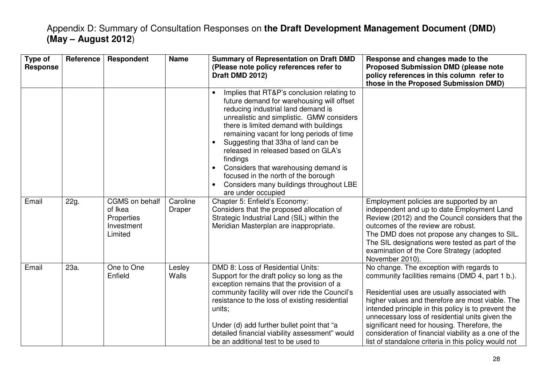| Type of<br><b>Response</b> | Reference | Respondent                                                       | <b>Name</b>        | <b>Summary of Representation on Draft DMD</b><br>(Please note policy references refer to<br>Draft DMD 2012)                                                                                                                                                                                                                                                                                                                                                                                                                                                     | Response and changes made to the<br><b>Proposed Submission DMD (please note</b><br>policy references in this column refer to<br>those in the Proposed Submission DMD)                                                                                                                                                                                                                                                                                                      |
|----------------------------|-----------|------------------------------------------------------------------|--------------------|-----------------------------------------------------------------------------------------------------------------------------------------------------------------------------------------------------------------------------------------------------------------------------------------------------------------------------------------------------------------------------------------------------------------------------------------------------------------------------------------------------------------------------------------------------------------|----------------------------------------------------------------------------------------------------------------------------------------------------------------------------------------------------------------------------------------------------------------------------------------------------------------------------------------------------------------------------------------------------------------------------------------------------------------------------|
|                            |           |                                                                  |                    | Implies that RT&P's conclusion relating to<br>$\bullet$<br>future demand for warehousing will offset<br>reducing industrial land demand is<br>unrealistic and simplistic. GMW considers<br>there is limited demand with buildings<br>remaining vacant for long periods of time<br>Suggesting that 33ha of land can be<br>$\bullet$<br>released in released based on GLA's<br>findings<br>Considers that warehousing demand is<br>$\bullet$<br>focused in the north of the borough<br>Considers many buildings throughout LBE<br>$\bullet$<br>are under occupied |                                                                                                                                                                                                                                                                                                                                                                                                                                                                            |
| Email                      | 22g.      | CGMS on behalf<br>of Ikea<br>Properties<br>Investment<br>Limited | Caroline<br>Draper | Chapter 5: Enfield's Economy:<br>Considers that the proposed allocation of<br>Strategic Industrial Land (SIL) within the<br>Meridian Masterplan are inappropriate.                                                                                                                                                                                                                                                                                                                                                                                              | Employment policies are supported by an<br>independent and up to date Employment Land<br>Review (2012) and the Council considers that the<br>outcomes of the review are robust.<br>The DMD does not propose any changes to SIL.<br>The SIL designations were tested as part of the<br>examination of the Core Strategy (adopted<br>November 2010).                                                                                                                         |
| Email                      | 23a.      | One to One<br>Enfield                                            | Lesley<br>Walls    | DMD 8: Loss of Residential Units:<br>Support for the draft policy so long as the<br>exception remains that the provision of a<br>community facility will over ride the Council's<br>resistance to the loss of existing residential<br>units;<br>Under (d) add further bullet point that "a<br>detailed financial viability assessment" would<br>be an additional test to be used to                                                                                                                                                                             | No change. The exception with regards to<br>community facilities remains (DMD 4, part 1 b.).<br>Residential uses are usually associated with<br>higher values and therefore are most viable. The<br>intended principle in this policy is to prevent the<br>unnecessary loss of residential units given the<br>significant need for housing. Therefore, the<br>consideration of financial viability as a one of the<br>list of standalone criteria in this policy would not |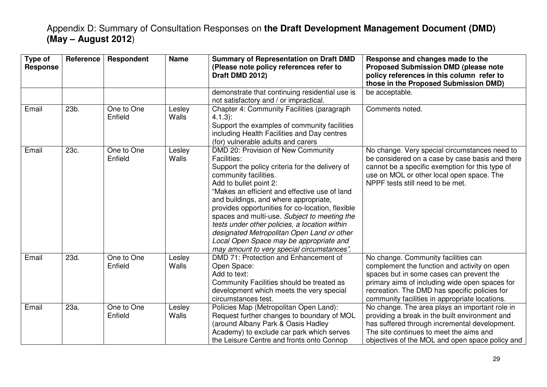| Type of<br><b>Response</b> | <b>Reference</b> | Respondent            | <b>Name</b>            | <b>Summary of Representation on Draft DMD</b><br>(Please note policy references refer to<br>Draft DMD 2012)                                                                                                                                                                                                                                                                                                                                                                                                                                          | Response and changes made to the<br><b>Proposed Submission DMD (please note</b><br>policy references in this column refer to<br>those in the Proposed Submission DMD)                                                                                                                |
|----------------------------|------------------|-----------------------|------------------------|------------------------------------------------------------------------------------------------------------------------------------------------------------------------------------------------------------------------------------------------------------------------------------------------------------------------------------------------------------------------------------------------------------------------------------------------------------------------------------------------------------------------------------------------------|--------------------------------------------------------------------------------------------------------------------------------------------------------------------------------------------------------------------------------------------------------------------------------------|
|                            |                  |                       |                        | demonstrate that continuing residential use is<br>not satisfactory and / or impractical.                                                                                                                                                                                                                                                                                                                                                                                                                                                             | be acceptable.                                                                                                                                                                                                                                                                       |
| Email                      | 23b.             | One to One<br>Enfield | Lesley<br><b>Walls</b> | Chapter 4: Community Facilities (paragraph<br>$4.1.3$ :<br>Support the examples of community facilities<br>including Health Facilities and Day centres<br>(for) vulnerable adults and carers                                                                                                                                                                                                                                                                                                                                                         | Comments noted.                                                                                                                                                                                                                                                                      |
| Email                      | 23c.             | One to One<br>Enfield | Lesley<br><b>Walls</b> | DMD 20: Provision of New Community<br><b>Facilities:</b><br>Support the policy criteria for the delivery of<br>community facilities.<br>Add to bullet point 2:<br>"Makes an efficient and effective use of land<br>and buildings, and where appropriate,<br>provides opportunities for co-location, flexible<br>spaces and multi-use. Subject to meeting the<br>tests under other policies, a location within<br>designated Metropolitan Open Land or other<br>Local Open Space may be appropriate and<br>may amount to very special circumstances". | No change. Very special circumstances need to<br>be considered on a case by case basis and there<br>cannot be a specific exemption for this type of<br>use on MOL or other local open space. The<br>NPPF tests still need to be met.                                                 |
| Email                      | 23d.             | One to One<br>Enfield | Lesley<br><b>Walls</b> | DMD 71: Protection and Enhancement of<br>Open Space:<br>Add to text:<br>Community Facilities should be treated as<br>development which meets the very special<br>circumstances test.                                                                                                                                                                                                                                                                                                                                                                 | No change. Community facilities can<br>complement the function and activity on open<br>spaces but in some cases can prevent the<br>primary aims of including wide open spaces for<br>recreation. The DMD has specific policies for<br>community facilities in appropriate locations. |
| Email                      | 23a.             | One to One<br>Enfield | Lesley<br><b>Walls</b> | Policies Map (Metropolitan Open Land):<br>Request further changes to boundary of MOL<br>(around Albany Park & Oasis Hadley<br>Academy) to exclude car park which serves<br>the Leisure Centre and fronts onto Connop                                                                                                                                                                                                                                                                                                                                 | No change. The area plays an important role in<br>providing a break in the built environment and<br>has suffered through incremental development.<br>The site continues to meet the aims and<br>objectives of the MOL and open space policy and                                      |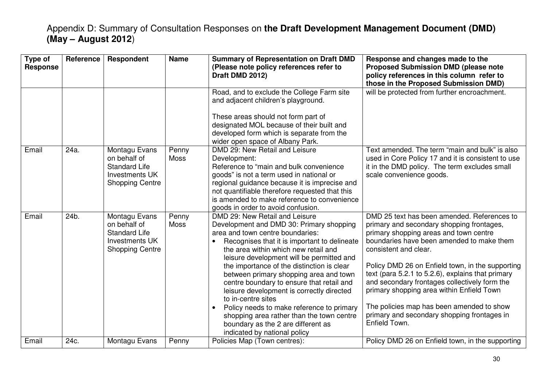| Type of<br><b>Response</b> | Reference | Respondent                                                                                        | <b>Name</b>          | <b>Summary of Representation on Draft DMD</b><br>(Please note policy references refer to<br>Draft DMD 2012)                                                                                                                                                                                                                                                                                                                                                                                                                                                                                                                 | Response and changes made to the<br><b>Proposed Submission DMD (please note</b><br>policy references in this column refer to<br>those in the Proposed Submission DMD)                                                                                                                                                                                                                                                                                                                                                        |
|----------------------------|-----------|---------------------------------------------------------------------------------------------------|----------------------|-----------------------------------------------------------------------------------------------------------------------------------------------------------------------------------------------------------------------------------------------------------------------------------------------------------------------------------------------------------------------------------------------------------------------------------------------------------------------------------------------------------------------------------------------------------------------------------------------------------------------------|------------------------------------------------------------------------------------------------------------------------------------------------------------------------------------------------------------------------------------------------------------------------------------------------------------------------------------------------------------------------------------------------------------------------------------------------------------------------------------------------------------------------------|
|                            |           |                                                                                                   |                      | Road, and to exclude the College Farm site<br>and adjacent children's playground.<br>These areas should not form part of<br>designated MOL because of their built and<br>developed form which is separate from the<br>wider open space of Albany Park.                                                                                                                                                                                                                                                                                                                                                                      | will be protected from further encroachment.                                                                                                                                                                                                                                                                                                                                                                                                                                                                                 |
| Email                      | 24a.      | Montagu Evans<br>on behalf of<br><b>Standard Life</b><br>Investments UK<br><b>Shopping Centre</b> | Penny<br><b>Moss</b> | DMD 29: New Retail and Leisure<br>Development:<br>Reference to "main and bulk convenience<br>goods" is not a term used in national or<br>regional guidance because it is imprecise and<br>not quantifiable therefore requested that this<br>is amended to make reference to convenience<br>goods in order to avoid confusion.                                                                                                                                                                                                                                                                                               | Text amended. The term "main and bulk" is also<br>used in Core Policy 17 and it is consistent to use<br>it in the DMD policy. The term excludes small<br>scale convenience goods.                                                                                                                                                                                                                                                                                                                                            |
| Email                      | 24b.      | Montagu Evans<br>on behalf of<br><b>Standard Life</b><br>Investments UK<br><b>Shopping Centre</b> | Penny<br><b>Moss</b> | DMD 29: New Retail and Leisure<br>Development and DMD 30: Primary shopping<br>area and town centre boundaries:<br>Recognises that it is important to delineate<br>the area within which new retail and<br>leisure development will be permitted and<br>the importance of the distinction is clear<br>between primary shopping area and town<br>centre boundary to ensure that retail and<br>leisure development is correctly directed<br>to in-centre sites<br>Policy needs to make reference to primary<br>shopping area rather than the town centre<br>boundary as the 2 are different as<br>indicated by national policy | DMD 25 text has been amended. References to<br>primary and secondary shopping frontages,<br>primary shopping areas and town centre<br>boundaries have been amended to make them<br>consistent and clear.<br>Policy DMD 26 on Enfield town, in the supporting<br>text (para 5.2.1 to 5.2.6), explains that primary<br>and secondary frontages collectively form the<br>primary shopping area within Enfield Town<br>The policies map has been amended to show<br>primary and secondary shopping frontages in<br>Enfield Town. |
| Email                      | 24c.      | Montagu Evans                                                                                     | Penny                | Policies Map (Town centres):                                                                                                                                                                                                                                                                                                                                                                                                                                                                                                                                                                                                | Policy DMD 26 on Enfield town, in the supporting                                                                                                                                                                                                                                                                                                                                                                                                                                                                             |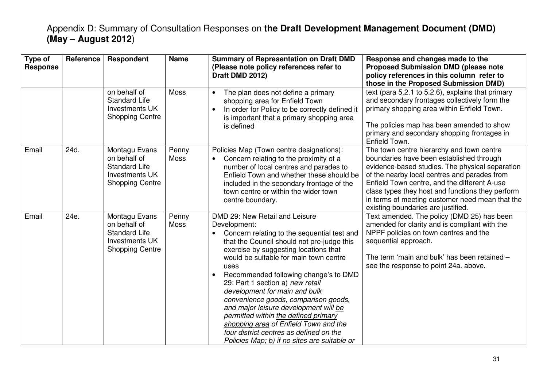| Type of<br><b>Response</b> | Reference | Respondent                                                                                        | <b>Name</b>          | <b>Summary of Representation on Draft DMD</b><br>(Please note policy references refer to<br>Draft DMD 2012)                                                                                                                                                                                                                                                                                                                                                                                                                                                                                                                    | Response and changes made to the<br><b>Proposed Submission DMD (please note</b><br>policy references in this column refer to<br>those in the Proposed Submission DMD)                                                                                                                                                                                                                 |
|----------------------------|-----------|---------------------------------------------------------------------------------------------------|----------------------|--------------------------------------------------------------------------------------------------------------------------------------------------------------------------------------------------------------------------------------------------------------------------------------------------------------------------------------------------------------------------------------------------------------------------------------------------------------------------------------------------------------------------------------------------------------------------------------------------------------------------------|---------------------------------------------------------------------------------------------------------------------------------------------------------------------------------------------------------------------------------------------------------------------------------------------------------------------------------------------------------------------------------------|
|                            |           | on behalf of<br><b>Standard Life</b><br>Investments UK<br><b>Shopping Centre</b>                  | <b>Moss</b>          | The plan does not define a primary<br>$\bullet$<br>shopping area for Enfield Town<br>In order for Policy to be correctly defined it<br>$\bullet$<br>is important that a primary shopping area<br>is defined                                                                                                                                                                                                                                                                                                                                                                                                                    | text (para 5.2.1 to 5.2.6), explains that primary<br>and secondary frontages collectively form the<br>primary shopping area within Enfield Town.<br>The policies map has been amended to show<br>primary and secondary shopping frontages in<br>Enfield Town.                                                                                                                         |
| Email                      | 24d.      | Montagu Evans<br>on behalf of<br><b>Standard Life</b><br>Investments UK<br><b>Shopping Centre</b> | Penny<br>Moss        | Policies Map (Town centre designations):<br>Concern relating to the proximity of a<br>number of local centres and parades to<br>Enfield Town and whether these should be<br>included in the secondary frontage of the<br>town centre or within the wider town<br>centre boundary.                                                                                                                                                                                                                                                                                                                                              | The town centre hierarchy and town centre<br>boundaries have been established through<br>evidence-based studies. The physical separation<br>of the nearby local centres and parades from<br>Enfield Town centre, and the different A-use<br>class types they host and functions they perform<br>in terms of meeting customer need mean that the<br>existing boundaries are justified. |
| Email                      | 24e.      | Montagu Evans<br>on behalf of<br><b>Standard Life</b><br>Investments UK<br><b>Shopping Centre</b> | Penny<br><b>Moss</b> | DMD 29: New Retail and Leisure<br>Development:<br>Concern relating to the sequential test and<br>that the Council should not pre-judge this<br>exercise by suggesting locations that<br>would be suitable for main town centre<br>uses<br>Recommended following change's to DMD<br>$\bullet$<br>29: Part 1 section a) new retail<br>development for main and bulk<br>convenience goods, comparison goods,<br>and major leisure development will be<br>permitted within the defined primary<br>shopping area of Enfield Town and the<br>four district centres as defined on the<br>Policies Map; b) if no sites are suitable or | Text amended. The policy (DMD 25) has been<br>amended for clarity and is compliant with the<br>NPPF policies on town centres and the<br>sequential approach.<br>The term 'main and bulk' has been retained -<br>see the response to point 24a. above.                                                                                                                                 |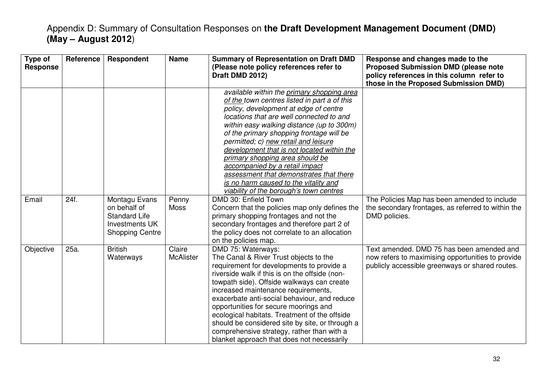| Type of<br><b>Response</b> | <b>Reference</b> | Respondent                                                                                        | <b>Name</b>                | <b>Summary of Representation on Draft DMD</b><br>(Please note policy references refer to<br>Draft DMD 2012)                                                                                                                                                                                                                                                                                                                                                                                                                                                        | Response and changes made to the<br><b>Proposed Submission DMD (please note</b><br>policy references in this column refer to<br>those in the Proposed Submission DMD) |
|----------------------------|------------------|---------------------------------------------------------------------------------------------------|----------------------------|--------------------------------------------------------------------------------------------------------------------------------------------------------------------------------------------------------------------------------------------------------------------------------------------------------------------------------------------------------------------------------------------------------------------------------------------------------------------------------------------------------------------------------------------------------------------|-----------------------------------------------------------------------------------------------------------------------------------------------------------------------|
|                            |                  |                                                                                                   |                            | available within the primary shopping area<br>of the town centres listed in part a of this<br>policy, development at edge of centre<br>locations that are well connected to and<br>within easy walking distance (up to 300m)<br>of the primary shopping frontage will be<br>permitted; c) new retail and leisure<br>development that is not located within the<br>primary shopping area should be<br>accompanied by a retail impact<br>assessment that demonstrates that there<br>is no harm caused to the vitality and<br>viability of the borough's town centres |                                                                                                                                                                       |
| Email                      | 24f.             | Montagu Evans<br>on behalf of<br><b>Standard Life</b><br>Investments UK<br><b>Shopping Centre</b> | Penny<br><b>Moss</b>       | DMD 30: Enfield Town<br>Concern that the policies map only defines the<br>primary shopping frontages and not the<br>secondary frontages and therefore part 2 of<br>the policy does not correlate to an allocation<br>on the policies map.                                                                                                                                                                                                                                                                                                                          | The Policies Map has been amended to include<br>the secondary frontages, as referred to within the<br>DMD policies.                                                   |
| Objective                  | 25a.             | <b>British</b><br>Waterways                                                                       | Claire<br><b>McAlister</b> | DMD 75: Waterways:<br>The Canal & River Trust objects to the<br>requirement for developments to provide a<br>riverside walk if this is on the offside (non-<br>towpath side). Offside walkways can create<br>increased maintenance requirements,<br>exacerbate anti-social behaviour, and reduce<br>opportunities for secure moorings and<br>ecological habitats. Treatment of the offside<br>should be considered site by site, or through a<br>comprehensive strategy, rather than with a<br>blanket approach that does not necessarily                          | Text amended. DMD 75 has been amended and<br>now refers to maximising opportunities to provide<br>publicly accessible greenways or shared routes.                     |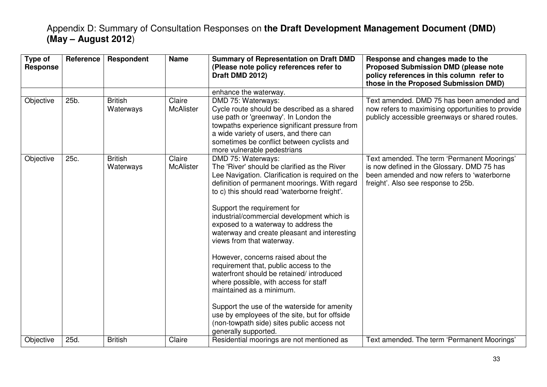| Type of<br><b>Response</b> | Reference | Respondent                  | <b>Name</b>                | <b>Summary of Representation on Draft DMD</b><br>(Please note policy references refer to<br>Draft DMD 2012)                                                                                                                                                                                                                                                                                                                                                                                                                                                                                                                                                                                                                                                                                        | Response and changes made to the<br><b>Proposed Submission DMD (please note</b><br>policy references in this column refer to<br>those in the Proposed Submission DMD)          |
|----------------------------|-----------|-----------------------------|----------------------------|----------------------------------------------------------------------------------------------------------------------------------------------------------------------------------------------------------------------------------------------------------------------------------------------------------------------------------------------------------------------------------------------------------------------------------------------------------------------------------------------------------------------------------------------------------------------------------------------------------------------------------------------------------------------------------------------------------------------------------------------------------------------------------------------------|--------------------------------------------------------------------------------------------------------------------------------------------------------------------------------|
|                            |           |                             |                            | enhance the waterway.                                                                                                                                                                                                                                                                                                                                                                                                                                                                                                                                                                                                                                                                                                                                                                              |                                                                                                                                                                                |
| Objective                  | 25b.      | <b>British</b><br>Waterways | Claire<br><b>McAlister</b> | DMD 75: Waterways:<br>Cycle route should be described as a shared<br>use path or 'greenway'. In London the<br>towpaths experience significant pressure from<br>a wide variety of users, and there can<br>sometimes be conflict between cyclists and<br>more vulnerable pedestrians                                                                                                                                                                                                                                                                                                                                                                                                                                                                                                                 | Text amended. DMD 75 has been amended and<br>now refers to maximising opportunities to provide<br>publicly accessible greenways or shared routes.                              |
| Objective                  | 25c.      | <b>British</b><br>Waterways | Claire<br><b>McAlister</b> | DMD 75: Waterways:<br>The 'River' should be clarified as the River<br>Lee Navigation. Clarification is required on the<br>definition of permanent moorings. With regard<br>to c) this should read 'waterborne freight'.<br>Support the requirement for<br>industrial/commercial development which is<br>exposed to a waterway to address the<br>waterway and create pleasant and interesting<br>views from that waterway.<br>However, concerns raised about the<br>requirement that, public access to the<br>waterfront should be retained/ introduced<br>where possible, with access for staff<br>maintained as a minimum.<br>Support the use of the waterside for amenity<br>use by employees of the site, but for offside<br>(non-towpath side) sites public access not<br>generally supported. | Text amended. The term 'Permanent Moorings'<br>is now defined in the Glossary. DMD 75 has<br>been amended and now refers to 'waterborne<br>freight'. Also see response to 25b. |
| Objective                  | 25d.      | <b>British</b>              | Claire                     | Residential moorings are not mentioned as                                                                                                                                                                                                                                                                                                                                                                                                                                                                                                                                                                                                                                                                                                                                                          | Text amended. The term 'Permanent Moorings'                                                                                                                                    |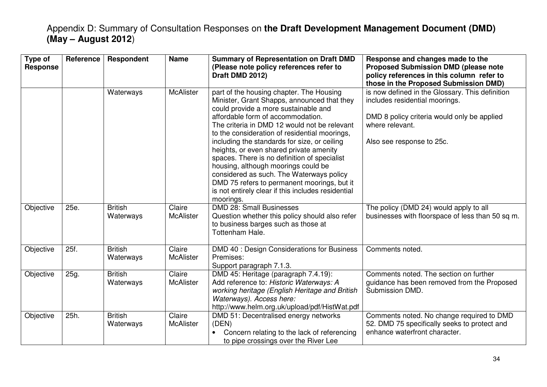| Type of<br><b>Response</b> | <b>Reference</b> | Respondent                  | <b>Name</b>                | <b>Summary of Representation on Draft DMD</b><br>(Please note policy references refer to<br>Draft DMD 2012)                                                                                                                                                                                                                                                                                                                                                                                                                                                                                                           | Response and changes made to the<br><b>Proposed Submission DMD (please note</b><br>policy references in this column refer to<br>those in the Proposed Submission DMD)            |
|----------------------------|------------------|-----------------------------|----------------------------|-----------------------------------------------------------------------------------------------------------------------------------------------------------------------------------------------------------------------------------------------------------------------------------------------------------------------------------------------------------------------------------------------------------------------------------------------------------------------------------------------------------------------------------------------------------------------------------------------------------------------|----------------------------------------------------------------------------------------------------------------------------------------------------------------------------------|
|                            |                  | Waterways                   | <b>McAlister</b>           | part of the housing chapter. The Housing<br>Minister, Grant Shapps, announced that they<br>could provide a more sustainable and<br>affordable form of accommodation.<br>The criteria in DMD 12 would not be relevant<br>to the consideration of residential moorings,<br>including the standards for size, or ceiling<br>heights, or even shared private amenity<br>spaces. There is no definition of specialist<br>housing, although moorings could be<br>considered as such. The Waterways policy<br>DMD 75 refers to permanent moorings, but it<br>is not entirely clear if this includes residential<br>moorings. | is now defined in the Glossary. This definition<br>includes residential moorings.<br>DMD 8 policy criteria would only be applied<br>where relevant.<br>Also see response to 25c. |
| Objective                  | 25e.             | <b>British</b><br>Waterways | Claire<br><b>McAlister</b> | <b>DMD 28: Small Businesses</b><br>Question whether this policy should also refer<br>to business barges such as those at<br>Tottenham Hale.                                                                                                                                                                                                                                                                                                                                                                                                                                                                           | The policy (DMD 24) would apply to all<br>businesses with floorspace of less than 50 sq m.                                                                                       |
| Objective                  | 25f.             | <b>British</b><br>Waterways | Claire<br><b>McAlister</b> | DMD 40 : Design Considerations for Business<br>Premises:<br>Support paragraph 7.1.3.                                                                                                                                                                                                                                                                                                                                                                                                                                                                                                                                  | Comments noted.                                                                                                                                                                  |
| Objective                  | 25g.             | <b>British</b><br>Waterways | Claire<br><b>McAlister</b> | DMD 45: Heritage (paragraph 7.4.19):<br>Add reference to: Historic Waterways: A<br>working heritage (English Heritage and British<br>Waterways). Access here:<br>http://www.helm.org.uk/upload/pdf/HistWat.pdf                                                                                                                                                                                                                                                                                                                                                                                                        | Comments noted. The section on further<br>guidance has been removed from the Proposed<br>Submission DMD.                                                                         |
| Objective                  | 25h.             | <b>British</b><br>Waterways | Claire<br><b>McAlister</b> | DMD 51: Decentralised energy networks<br>(DEN)<br>Concern relating to the lack of referencing<br>to pipe crossings over the River Lee                                                                                                                                                                                                                                                                                                                                                                                                                                                                                 | Comments noted. No change required to DMD<br>52. DMD 75 specifically seeks to protect and<br>enhance waterfront character.                                                       |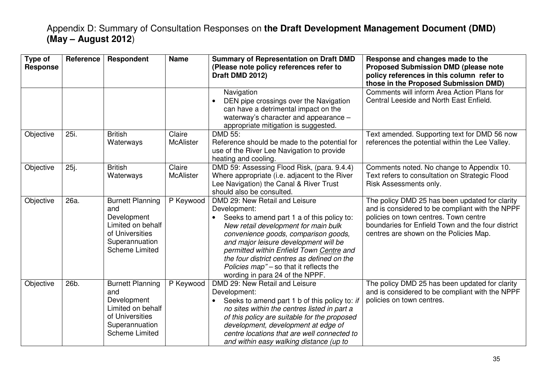| Type of<br><b>Response</b> | Reference | <b>Respondent</b>                                                                                                                | <b>Name</b>                | <b>Summary of Representation on Draft DMD</b><br>(Please note policy references refer to<br>Draft DMD 2012)                                                                                                                                                                                                                                                                                    | Response and changes made to the<br><b>Proposed Submission DMD (please note</b><br>policy references in this column refer to<br>those in the Proposed Submission DMD)                                                                     |
|----------------------------|-----------|----------------------------------------------------------------------------------------------------------------------------------|----------------------------|------------------------------------------------------------------------------------------------------------------------------------------------------------------------------------------------------------------------------------------------------------------------------------------------------------------------------------------------------------------------------------------------|-------------------------------------------------------------------------------------------------------------------------------------------------------------------------------------------------------------------------------------------|
|                            |           |                                                                                                                                  |                            | Navigation<br>DEN pipe crossings over the Navigation<br>can have a detrimental impact on the<br>waterway's character and appearance -<br>appropriate mitigation is suggested.                                                                                                                                                                                                                  | Comments will inform Area Action Plans for<br>Central Leeside and North East Enfield.                                                                                                                                                     |
| Objective                  | 25i.      | <b>British</b><br>Waterways                                                                                                      | Claire<br><b>McAlister</b> | DMD 55:<br>Reference should be made to the potential for<br>use of the River Lee Navigation to provide<br>heating and cooling.                                                                                                                                                                                                                                                                 | Text amended. Supporting text for DMD 56 now<br>references the potential within the Lee Valley.                                                                                                                                           |
| Objective                  | 25j.      | <b>British</b><br>Waterways                                                                                                      | Claire<br><b>McAlister</b> | DMD 59: Assessing Flood Risk, (para. 9.4.4)<br>Where appropriate (i.e. adjacent to the River<br>Lee Navigation) the Canal & River Trust<br>should also be consulted.                                                                                                                                                                                                                           | Comments noted. No change to Appendix 10.<br>Text refers to consultation on Strategic Flood<br>Risk Assessments only.                                                                                                                     |
| Objective                  | 26a.      | <b>Burnett Planning</b><br>and<br>Development<br>Limited on behalf<br>of Universities<br>Superannuation<br><b>Scheme Limited</b> | P Keywood                  | DMD 29: New Retail and Leisure<br>Development:<br>Seeks to amend part 1 a of this policy to:<br>New retail development for main bulk<br>convenience goods, comparison goods,<br>and major leisure development will be<br>permitted within Enfield Town Centre and<br>the four district centres as defined on the<br>Policies map" - so that it reflects the<br>wording in para 24 of the NPPF. | The policy DMD 25 has been updated for clarity<br>and is considered to be compliant with the NPPF<br>policies on town centres. Town centre<br>boundaries for Enfield Town and the four district<br>centres are shown on the Policies Map. |
| Objective                  | 26b.      | <b>Burnett Planning</b><br>and<br>Development<br>Limited on behalf<br>of Universities<br>Superannuation<br><b>Scheme Limited</b> | P Keywood                  | DMD 29: New Retail and Leisure<br>Development:<br>Seeks to amend part 1 b of this policy to: if<br>no sites within the centres listed in part a<br>of this policy are suitable for the proposed<br>development, development at edge of<br>centre locations that are well connected to<br>and within easy walking distance (up to                                                               | The policy DMD 25 has been updated for clarity<br>and is considered to be compliant with the NPPF<br>policies on town centres.                                                                                                            |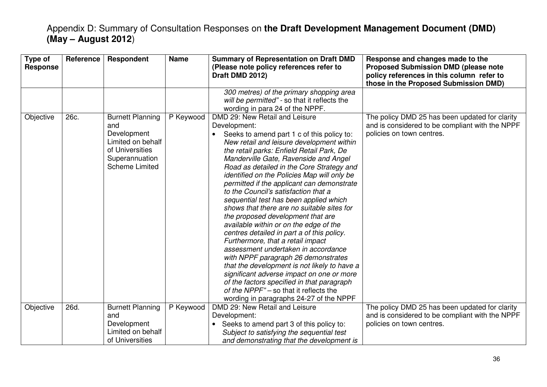| Type of<br><b>Response</b> | Reference | Respondent                                                                                                                       | <b>Name</b> | <b>Summary of Representation on Draft DMD</b><br>(Please note policy references refer to<br>Draft DMD 2012)                                                                                                                                                                                                                                                                                                                                                                                                                                                                                                                                                                                                                                                                                                                                                                                                                                                                               | Response and changes made to the<br><b>Proposed Submission DMD (please note</b><br>policy references in this column refer to<br>those in the Proposed Submission DMD) |
|----------------------------|-----------|----------------------------------------------------------------------------------------------------------------------------------|-------------|-------------------------------------------------------------------------------------------------------------------------------------------------------------------------------------------------------------------------------------------------------------------------------------------------------------------------------------------------------------------------------------------------------------------------------------------------------------------------------------------------------------------------------------------------------------------------------------------------------------------------------------------------------------------------------------------------------------------------------------------------------------------------------------------------------------------------------------------------------------------------------------------------------------------------------------------------------------------------------------------|-----------------------------------------------------------------------------------------------------------------------------------------------------------------------|
|                            |           |                                                                                                                                  |             | 300 metres) of the primary shopping area<br>will be permitted" - so that it reflects the<br>wording in para 24 of the NPPF.                                                                                                                                                                                                                                                                                                                                                                                                                                                                                                                                                                                                                                                                                                                                                                                                                                                               |                                                                                                                                                                       |
| Objective                  | 26c.      | <b>Burnett Planning</b><br>and<br>Development<br>Limited on behalf<br>of Universities<br>Superannuation<br><b>Scheme Limited</b> | P Keywood   | DMD 29: New Retail and Leisure<br>Development:<br>Seeks to amend part 1 c of this policy to:<br>New retail and leisure development within<br>the retail parks: Enfield Retail Park, De<br>Manderville Gate, Ravenside and Angel<br>Road as detailed in the Core Strategy and<br>identified on the Policies Map will only be<br>permitted if the applicant can demonstrate<br>to the Council's satisfaction that a<br>sequential test has been applied which<br>shows that there are no suitable sites for<br>the proposed development that are<br>available within or on the edge of the<br>centres detailed in part a of this policy.<br>Furthermore, that a retail impact<br>assessment undertaken in accordance<br>with NPPF paragraph 26 demonstrates<br>that the development is not likely to have a<br>significant adverse impact on one or more<br>of the factors specified in that paragraph<br>of the NPPF" – so that it reflects the<br>wording in paragraphs 24-27 of the NPPF | The policy DMD 25 has been updated for clarity<br>and is considered to be compliant with the NPPF<br>policies on town centres.                                        |
| Objective                  | 26d.      | <b>Burnett Planning</b><br>and<br>Development<br>Limited on behalf<br>of Universities                                            | P Keywood   | DMD 29: New Retail and Leisure<br>Development:<br>Seeks to amend part 3 of this policy to:<br>Subject to satisfying the sequential test<br>and demonstrating that the development is                                                                                                                                                                                                                                                                                                                                                                                                                                                                                                                                                                                                                                                                                                                                                                                                      | The policy DMD 25 has been updated for clarity<br>and is considered to be compliant with the NPPF<br>policies on town centres.                                        |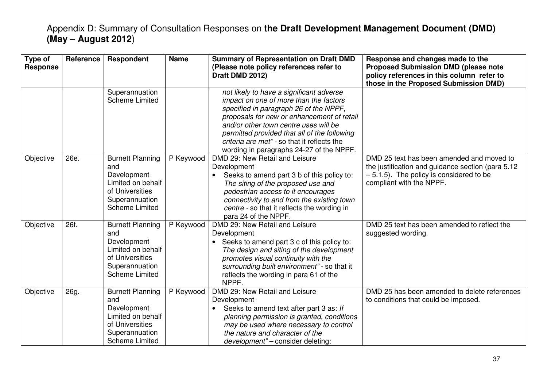| Type of<br><b>Response</b> | Reference | Respondent                                                                                                                       | <b>Name</b> | <b>Summary of Representation on Draft DMD</b><br>(Please note policy references refer to<br>Draft DMD 2012)                                                                                                                                                                                                                                                    | Response and changes made to the<br><b>Proposed Submission DMD (please note</b><br>policy references in this column refer to<br>those in the Proposed Submission DMD)     |
|----------------------------|-----------|----------------------------------------------------------------------------------------------------------------------------------|-------------|----------------------------------------------------------------------------------------------------------------------------------------------------------------------------------------------------------------------------------------------------------------------------------------------------------------------------------------------------------------|---------------------------------------------------------------------------------------------------------------------------------------------------------------------------|
|                            |           | Superannuation<br><b>Scheme Limited</b>                                                                                          |             | not likely to have a significant adverse<br>impact on one of more than the factors<br>specified in paragraph 26 of the NPPF,<br>proposals for new or enhancement of retail<br>and/or other town centre uses will be<br>permitted provided that all of the following<br>criteria are met" - so that it reflects the<br>wording in paragraphs 24-27 of the NPPF. |                                                                                                                                                                           |
| Objective                  | 26e.      | <b>Burnett Planning</b><br>and<br>Development<br>Limited on behalf<br>of Universities<br>Superannuation<br><b>Scheme Limited</b> | P Keywood   | DMD 29: New Retail and Leisure<br>Development<br>Seeks to amend part 3 b of this policy to:<br>The siting of the proposed use and<br>pedestrian access to it encourages<br>connectivity to and from the existing town<br>centre - so that it reflects the wording in<br>para 24 of the NPPF.                                                                   | DMD 25 text has been amended and moved to<br>the justification and guidance section (para 5.12)<br>$-5.1.5$ ). The policy is considered to be<br>compliant with the NPPF. |
| Objective                  | 26f.      | <b>Burnett Planning</b><br>and<br>Development<br>Limited on behalf<br>of Universities<br>Superannuation<br><b>Scheme Limited</b> | P Keywood   | DMD 29: New Retail and Leisure<br>Development<br>Seeks to amend part 3 c of this policy to:<br>The design and siting of the development<br>promotes visual continuity with the<br>surrounding built environment" - so that it<br>reflects the wording in para 61 of the<br>NPPF.                                                                               | DMD 25 text has been amended to reflect the<br>suggested wording.                                                                                                         |
| Objective                  | 26g.      | <b>Burnett Planning</b><br>and<br>Development<br>Limited on behalf<br>of Universities<br>Superannuation<br><b>Scheme Limited</b> | P Keywood   | DMD 29: New Retail and Leisure<br>Development<br>Seeks to amend text after part 3 as: If<br>$\bullet$<br>planning permission is granted, conditions<br>may be used where necessary to control<br>the nature and character of the<br>development" - consider deleting:                                                                                          | DMD 25 has been amended to delete references<br>to conditions that could be imposed.                                                                                      |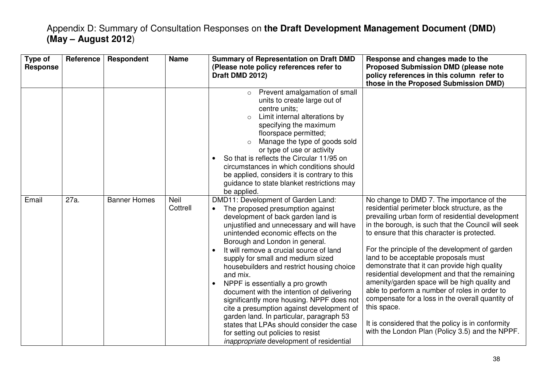| Type of<br><b>Response</b> | Reference | Respondent          | <b>Name</b>      | <b>Summary of Representation on Draft DMD</b><br>(Please note policy references refer to<br>Draft DMD 2012)                                                                                                                                                                                                                                                                                                                                                                                                                                                                                                                                                                                                                                                       | Response and changes made to the<br><b>Proposed Submission DMD (please note</b><br>policy references in this column refer to<br>those in the Proposed Submission DMD)                                                                                                                                                                                                                                                                                                                                                                                                                                                                                                                                                        |
|----------------------------|-----------|---------------------|------------------|-------------------------------------------------------------------------------------------------------------------------------------------------------------------------------------------------------------------------------------------------------------------------------------------------------------------------------------------------------------------------------------------------------------------------------------------------------------------------------------------------------------------------------------------------------------------------------------------------------------------------------------------------------------------------------------------------------------------------------------------------------------------|------------------------------------------------------------------------------------------------------------------------------------------------------------------------------------------------------------------------------------------------------------------------------------------------------------------------------------------------------------------------------------------------------------------------------------------------------------------------------------------------------------------------------------------------------------------------------------------------------------------------------------------------------------------------------------------------------------------------------|
|                            |           |                     |                  | Prevent amalgamation of small<br>$\circ$<br>units to create large out of<br>centre units;<br>Limit internal alterations by<br>specifying the maximum<br>floorspace permitted;<br>Manage the type of goods sold<br>or type of use or activity<br>So that is reflects the Circular 11/95 on<br>circumstances in which conditions should<br>be applied, considers it is contrary to this<br>guidance to state blanket restrictions may<br>be applied.                                                                                                                                                                                                                                                                                                                |                                                                                                                                                                                                                                                                                                                                                                                                                                                                                                                                                                                                                                                                                                                              |
| Email                      | 27a.      | <b>Banner Homes</b> | Neil<br>Cottrell | DMD11: Development of Garden Land:<br>The proposed presumption against<br>$\bullet$<br>development of back garden land is<br>unjustified and unnecessary and will have<br>unintended economic effects on the<br>Borough and London in general.<br>It will remove a crucial source of land<br>$\bullet$<br>supply for small and medium sized<br>housebuilders and restrict housing choice<br>and mix.<br>NPPF is essentially a pro growth<br>document with the intention of delivering<br>significantly more housing. NPPF does not<br>cite a presumption against development of<br>garden land. In particular, paragraph 53<br>states that LPAs should consider the case<br>for setting out policies to resist<br><i>inappropriate</i> development of residential | No change to DMD 7. The importance of the<br>residential perimeter block structure, as the<br>prevailing urban form of residential development<br>in the borough, is such that the Council will seek<br>to ensure that this character is protected.<br>For the principle of the development of garden<br>land to be acceptable proposals must<br>demonstrate that it can provide high quality<br>residential development and that the remaining<br>amenity/garden space will be high quality and<br>able to perform a number of roles in order to<br>compensate for a loss in the overall quantity of<br>this space.<br>It is considered that the policy is in conformity<br>with the London Plan (Policy 3.5) and the NPPF. |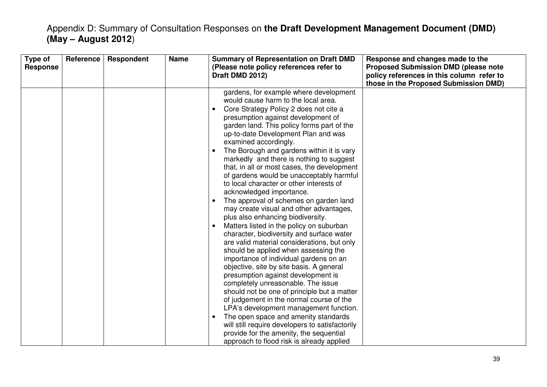| Type of<br><b>Response</b> | Reference | <b>Respondent</b> | <b>Name</b> | <b>Summary of Representation on Draft DMD</b><br>(Please note policy references refer to<br>Draft DMD 2012)                                                                                                                                                                                                                                                                                                                                                                                                                                                                                                                                                                                                                                                                                                                                                                                                                                                                                                                                                                                                                                                                                                                                                                                                                                                                                                  | Response and changes made to the<br><b>Proposed Submission DMD (please note</b><br>policy references in this column refer to<br>those in the Proposed Submission DMD) |
|----------------------------|-----------|-------------------|-------------|--------------------------------------------------------------------------------------------------------------------------------------------------------------------------------------------------------------------------------------------------------------------------------------------------------------------------------------------------------------------------------------------------------------------------------------------------------------------------------------------------------------------------------------------------------------------------------------------------------------------------------------------------------------------------------------------------------------------------------------------------------------------------------------------------------------------------------------------------------------------------------------------------------------------------------------------------------------------------------------------------------------------------------------------------------------------------------------------------------------------------------------------------------------------------------------------------------------------------------------------------------------------------------------------------------------------------------------------------------------------------------------------------------------|-----------------------------------------------------------------------------------------------------------------------------------------------------------------------|
|                            |           |                   |             | gardens, for example where development<br>would cause harm to the local area.<br>Core Strategy Policy 2 does not cite a<br>$\bullet$<br>presumption against development of<br>garden land. This policy forms part of the<br>up-to-date Development Plan and was<br>examined accordingly.<br>The Borough and gardens within it is vary<br>$\bullet$<br>markedly and there is nothing to suggest<br>that, in all or most cases, the development<br>of gardens would be unacceptably harmful<br>to local character or other interests of<br>acknowledged importance.<br>The approval of schemes on garden land<br>$\bullet$<br>may create visual and other advantages,<br>plus also enhancing biodiversity.<br>Matters listed in the policy on suburban<br>$\bullet$<br>character, biodiversity and surface water<br>are valid material considerations, but only<br>should be applied when assessing the<br>importance of individual gardens on an<br>objective, site by site basis. A general<br>presumption against development is<br>completely unreasonable. The issue<br>should not be one of principle but a matter<br>of judgement in the normal course of the<br>LPA's development management function.<br>The open space and amenity standards<br>$\bullet$<br>will still require developers to satisfactorily<br>provide for the amenity, the sequential<br>approach to flood risk is already applied |                                                                                                                                                                       |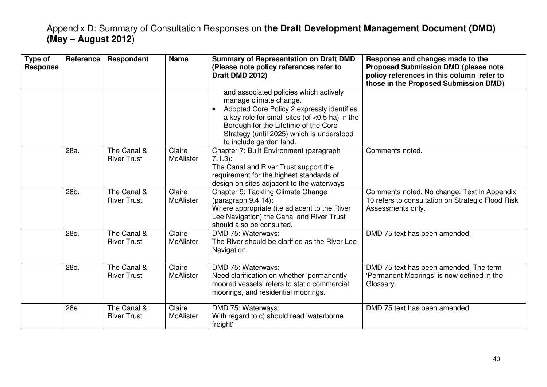| Type of<br><b>Response</b> | <b>Reference</b> | <b>Respondent</b>                 | <b>Name</b>                | <b>Summary of Representation on Draft DMD</b><br>(Please note policy references refer to<br>Draft DMD 2012)                                                                                                                                                                      | Response and changes made to the<br><b>Proposed Submission DMD (please note</b><br>policy references in this column refer to<br>those in the Proposed Submission DMD) |
|----------------------------|------------------|-----------------------------------|----------------------------|----------------------------------------------------------------------------------------------------------------------------------------------------------------------------------------------------------------------------------------------------------------------------------|-----------------------------------------------------------------------------------------------------------------------------------------------------------------------|
|                            |                  |                                   |                            | and associated policies which actively<br>manage climate change.<br>Adopted Core Policy 2 expressly identifies<br>a key role for small sites (of <0.5 ha) in the<br>Borough for the Lifetime of the Core<br>Strategy (until 2025) which is understood<br>to include garden land. |                                                                                                                                                                       |
|                            | 28a.             | The Canal &<br><b>River Trust</b> | Claire<br><b>McAlister</b> | Chapter 7: Built Environment (paragraph<br>$7.1.3$ :<br>The Canal and River Trust support the<br>requirement for the highest standards of<br>design on sites adjacent to the waterways                                                                                           | Comments noted.                                                                                                                                                       |
|                            | 28b.             | The Canal &<br><b>River Trust</b> | Claire<br><b>McAlister</b> | Chapter 9: Tackling Climate Change<br>$(paragraph 9.4.14)$ :<br>Where appropriate (i.e adjacent to the River<br>Lee Navigation) the Canal and River Trust<br>should also be consulted.                                                                                           | Comments noted. No change. Text in Appendix<br>10 refers to consultation on Strategic Flood Risk<br>Assessments only.                                                 |
|                            | 28c.             | The Canal &<br><b>River Trust</b> | Claire<br><b>McAlister</b> | DMD 75: Waterways:<br>The River should be clarified as the River Lee<br>Navigation                                                                                                                                                                                               | DMD 75 text has been amended.                                                                                                                                         |
|                            | 28d.             | The Canal &<br><b>River Trust</b> | Claire<br><b>McAlister</b> | DMD 75: Waterways:<br>Need clarification on whether 'permanently<br>moored vessels' refers to static commercial<br>moorings, and residential moorings.                                                                                                                           | DMD 75 text has been amended. The term<br>'Permanent Moorings' is now defined in the<br>Glossary.                                                                     |
|                            | 28e.             | The Canal &<br><b>River Trust</b> | Claire<br><b>McAlister</b> | DMD 75: Waterways:<br>With regard to c) should read 'waterborne<br>freight'                                                                                                                                                                                                      | DMD 75 text has been amended.                                                                                                                                         |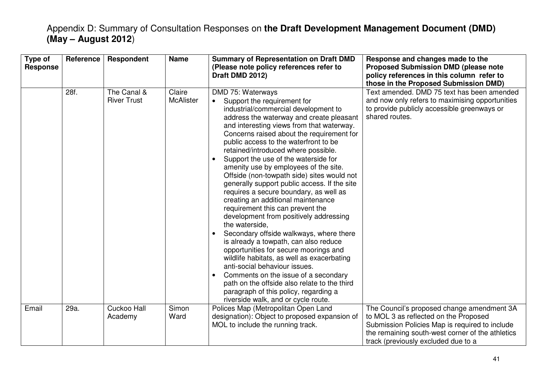| Type of<br><b>Response</b> | <b>Reference</b> | Respondent                        | <b>Name</b>                | <b>Summary of Representation on Draft DMD</b><br>(Please note policy references refer to<br>Draft DMD 2012)                                                                                                                                                                                                                                                                                                                                                                                                                                                                                                                                                                                                                                                                                                                                                                                                                                                                                                                                                                                 | Response and changes made to the<br><b>Proposed Submission DMD (please note</b><br>policy references in this column refer to                                                                                                     |
|----------------------------|------------------|-----------------------------------|----------------------------|---------------------------------------------------------------------------------------------------------------------------------------------------------------------------------------------------------------------------------------------------------------------------------------------------------------------------------------------------------------------------------------------------------------------------------------------------------------------------------------------------------------------------------------------------------------------------------------------------------------------------------------------------------------------------------------------------------------------------------------------------------------------------------------------------------------------------------------------------------------------------------------------------------------------------------------------------------------------------------------------------------------------------------------------------------------------------------------------|----------------------------------------------------------------------------------------------------------------------------------------------------------------------------------------------------------------------------------|
|                            |                  |                                   |                            |                                                                                                                                                                                                                                                                                                                                                                                                                                                                                                                                                                                                                                                                                                                                                                                                                                                                                                                                                                                                                                                                                             | those in the Proposed Submission DMD)                                                                                                                                                                                            |
|                            | 28f.             | The Canal &<br><b>River Trust</b> | Claire<br><b>McAlister</b> | DMD 75: Waterways<br>Support the requirement for<br>industrial/commercial development to<br>address the waterway and create pleasant<br>and interesting views from that waterway.<br>Concerns raised about the requirement for<br>public access to the waterfront to be<br>retained/introduced where possible.<br>Support the use of the waterside for<br>$\bullet$<br>amenity use by employees of the site.<br>Offside (non-towpath side) sites would not<br>generally support public access. If the site<br>requires a secure boundary, as well as<br>creating an additional maintenance<br>requirement this can prevent the<br>development from positively addressing<br>the waterside,<br>Secondary offside walkways, where there<br>is already a towpath, can also reduce<br>opportunities for secure moorings and<br>wildlife habitats, as well as exacerbating<br>anti-social behaviour issues.<br>Comments on the issue of a secondary<br>$\bullet$<br>path on the offside also relate to the third<br>paragraph of this policy, regarding a<br>riverside walk, and or cycle route. | Text amended. DMD 75 text has been amended<br>and now only refers to maximising opportunities<br>to provide publicly accessible greenways or<br>shared routes.                                                                   |
| Email                      | 29a.             | Cuckoo Hall<br>Academy            | Simon<br>Ward              | Polices Map (Metropolitan Open Land<br>designation): Object to proposed expansion of<br>MOL to include the running track.                                                                                                                                                                                                                                                                                                                                                                                                                                                                                                                                                                                                                                                                                                                                                                                                                                                                                                                                                                   | The Council's proposed change amendment 3A<br>to MOL 3 as reflected on the Proposed<br>Submission Policies Map is required to include<br>the remaining south-west corner of the athletics<br>track (previously excluded due to a |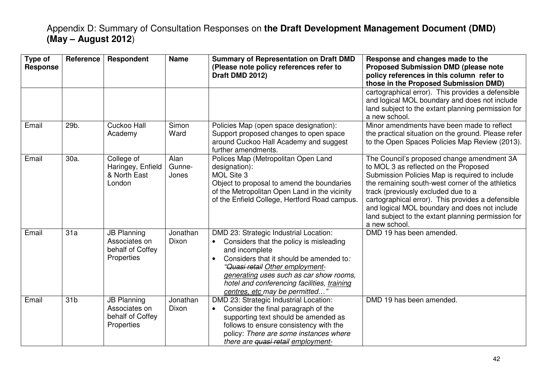| Type of<br><b>Response</b> | Reference       | Respondent                                                            | <b>Name</b>             | <b>Summary of Representation on Draft DMD</b><br>(Please note policy references refer to<br>Draft DMD 2012)                                                                                                                                                                                                                | Response and changes made to the<br><b>Proposed Submission DMD (please note</b><br>policy references in this column refer to<br>those in the Proposed Submission DMD)                                                                                                                                                                                                                                         |
|----------------------------|-----------------|-----------------------------------------------------------------------|-------------------------|----------------------------------------------------------------------------------------------------------------------------------------------------------------------------------------------------------------------------------------------------------------------------------------------------------------------------|---------------------------------------------------------------------------------------------------------------------------------------------------------------------------------------------------------------------------------------------------------------------------------------------------------------------------------------------------------------------------------------------------------------|
|                            |                 |                                                                       |                         |                                                                                                                                                                                                                                                                                                                            | cartographical error). This provides a defensible<br>and logical MOL boundary and does not include<br>land subject to the extant planning permission for<br>a new school.                                                                                                                                                                                                                                     |
| Email                      | 29b.            | Cuckoo Hall<br>Academy                                                | Simon<br>Ward           | Policies Map (open space designation):<br>Support proposed changes to open space<br>around Cuckoo Hall Academy and suggest<br>further amendments.                                                                                                                                                                          | Minor amendments have been made to reflect<br>the practical situation on the ground. Please refer<br>to the Open Spaces Policies Map Review (2013).                                                                                                                                                                                                                                                           |
| Email                      | 30a.            | College of<br>Haringey, Enfield<br>& North East<br>London             | Alan<br>Gunne-<br>Jones | Polices Map (Metropolitan Open Land<br>designation):<br>MOL Site 3<br>Object to proposal to amend the boundaries<br>of the Metropolitan Open Land in the vicinity<br>of the Enfield College, Hertford Road campus.                                                                                                         | The Council's proposed change amendment 3A<br>to MOL 3 as reflected on the Proposed<br>Submission Policies Map is required to include<br>the remaining south-west corner of the athletics<br>track (previously excluded due to a<br>cartographical error). This provides a defensible<br>and logical MOL boundary and does not include<br>land subject to the extant planning permission for<br>a new school. |
| Email                      | 31a             | <b>JB Planning</b><br>Associates on<br>behalf of Coffey<br>Properties | Jonathan<br>Dixon       | DMD 23: Strategic Industrial Location:<br>Considers that the policy is misleading<br>and incomplete<br>Considers that it should be amended to:<br>$\bullet$<br>"Quasi retail Other employment-<br>generating uses such as car show rooms,<br>hotel and conferencing facilities, training<br>centres, etc may be permitted' | DMD 19 has been amended.                                                                                                                                                                                                                                                                                                                                                                                      |
| Email                      | 31 <sub>b</sub> | <b>JB Planning</b><br>Associates on<br>behalf of Coffey<br>Properties | Jonathan<br>Dixon       | DMD 23: Strategic Industrial Location:<br>Consider the final paragraph of the<br>supporting text should be amended as<br>follows to ensure consistency with the<br>policy: There are some instances where<br>there are quasi retail employment-                                                                            | DMD 19 has been amended.                                                                                                                                                                                                                                                                                                                                                                                      |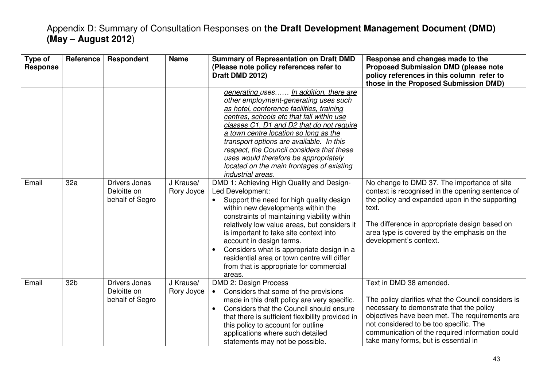| Type of<br><b>Response</b> | Reference | Respondent                                      | <b>Name</b>             | <b>Summary of Representation on Draft DMD</b><br>(Please note policy references refer to<br>Draft DMD 2012)                                                                                                                                                                                                                                                                                                                                                                                     | Response and changes made to the<br><b>Proposed Submission DMD (please note</b><br>policy references in this column refer to<br>those in the Proposed Submission DMD)                                                                                                                                            |
|----------------------------|-----------|-------------------------------------------------|-------------------------|-------------------------------------------------------------------------------------------------------------------------------------------------------------------------------------------------------------------------------------------------------------------------------------------------------------------------------------------------------------------------------------------------------------------------------------------------------------------------------------------------|------------------------------------------------------------------------------------------------------------------------------------------------------------------------------------------------------------------------------------------------------------------------------------------------------------------|
|                            |           |                                                 |                         | generating uses In addition, there are<br>other employment-generating uses such<br>as hotel, conference facilities, training<br>centres, schools etc that fall within use<br>classes C1, D1 and D2 that do not require<br>a town centre location so long as the<br>transport options are available. In this<br>respect, the Council considers that these<br>uses would therefore be appropriately<br>located on the main frontages of existing<br>industrial areas.                             |                                                                                                                                                                                                                                                                                                                  |
| Email                      | 32a       | Drivers Jonas<br>Deloitte on<br>behalf of Segro | J Krause/<br>Rory Joyce | DMD 1: Achieving High Quality and Design-<br>Led Development:<br>Support the need for high quality design<br>$\bullet$<br>within new developments within the<br>constraints of maintaining viability within<br>relatively low value areas, but considers it<br>is important to take site context into<br>account in design terms.<br>Considers what is appropriate design in a<br>$\bullet$<br>residential area or town centre will differ<br>from that is appropriate for commercial<br>areas. | No change to DMD 37. The importance of site<br>context is recognised in the opening sentence of<br>the policy and expanded upon in the supporting<br>text.<br>The difference in appropriate design based on<br>area type is covered by the emphasis on the<br>development's context.                             |
| Email                      | 32b       | Drivers Jonas<br>Deloitte on<br>behalf of Segro | J Krause/<br>Rory Joyce | DMD 2: Design Process<br>Considers that some of the provisions<br>made in this draft policy are very specific.<br>Considers that the Council should ensure<br>$\bullet$<br>that there is sufficient flexibility provided in<br>this policy to account for outline<br>applications where such detailed<br>statements may not be possible.                                                                                                                                                        | Text in DMD 38 amended.<br>The policy clarifies what the Council considers is<br>necessary to demonstrate that the policy<br>objectives have been met. The requirements are<br>not considered to be too specific. The<br>communication of the required information could<br>take many forms, but is essential in |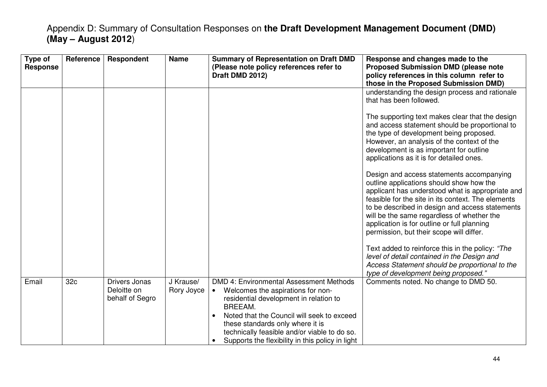| Type of<br><b>Response</b> | Reference       | Respondent                                      | <b>Name</b>             | <b>Summary of Representation on Draft DMD</b><br>(Please note policy references refer to<br>Draft DMD 2012)                                                                                                                                                                                                                          | Response and changes made to the<br><b>Proposed Submission DMD (please note</b><br>policy references in this column refer to<br>those in the Proposed Submission DMD)                                                                                                                                                                                                                       |
|----------------------------|-----------------|-------------------------------------------------|-------------------------|--------------------------------------------------------------------------------------------------------------------------------------------------------------------------------------------------------------------------------------------------------------------------------------------------------------------------------------|---------------------------------------------------------------------------------------------------------------------------------------------------------------------------------------------------------------------------------------------------------------------------------------------------------------------------------------------------------------------------------------------|
|                            |                 |                                                 |                         |                                                                                                                                                                                                                                                                                                                                      | understanding the design process and rationale<br>that has been followed.                                                                                                                                                                                                                                                                                                                   |
|                            |                 |                                                 |                         |                                                                                                                                                                                                                                                                                                                                      | The supporting text makes clear that the design<br>and access statement should be proportional to<br>the type of development being proposed.<br>However, an analysis of the context of the<br>development is as important for outline<br>applications as it is for detailed ones.                                                                                                           |
|                            |                 |                                                 |                         |                                                                                                                                                                                                                                                                                                                                      | Design and access statements accompanying<br>outline applications should show how the<br>applicant has understood what is appropriate and<br>feasible for the site in its context. The elements<br>to be described in design and access statements<br>will be the same regardless of whether the<br>application is for outline or full planning<br>permission, but their scope will differ. |
|                            |                 |                                                 |                         |                                                                                                                                                                                                                                                                                                                                      | Text added to reinforce this in the policy: "The<br>level of detail contained in the Design and<br>Access Statement should be proportional to the<br>type of development being proposed."                                                                                                                                                                                                   |
| Email                      | 32 <sub>c</sub> | Drivers Jonas<br>Deloitte on<br>behalf of Segro | J Krause/<br>Rory Joyce | DMD 4: Environmental Assessment Methods<br>Welcomes the aspirations for non-<br>residential development in relation to<br>BREEAM.<br>Noted that the Council will seek to exceed<br>$\bullet$<br>these standards only where it is<br>technically feasible and/or viable to do so.<br>Supports the flexibility in this policy in light | Comments noted. No change to DMD 50.                                                                                                                                                                                                                                                                                                                                                        |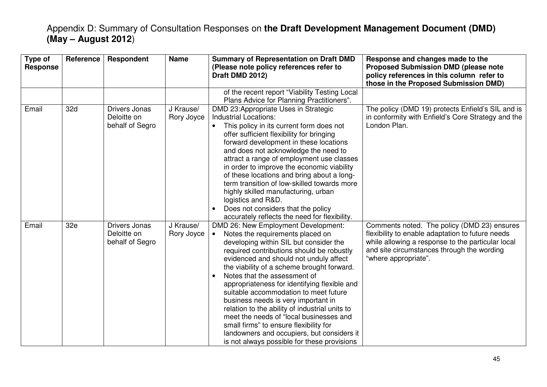| Type of<br><b>Response</b> | Reference | <b>Respondent</b>                                      | <b>Name</b>             | <b>Summary of Representation on Draft DMD</b><br>(Please note policy references refer to<br>Draft DMD 2012)                                                                                                                                                                                                                                                                                                                                                                                                                                                                                                                                                | Response and changes made to the<br><b>Proposed Submission DMD (please note</b><br>policy references in this column refer to<br>those in the Proposed Submission DMD)                                                      |
|----------------------------|-----------|--------------------------------------------------------|-------------------------|------------------------------------------------------------------------------------------------------------------------------------------------------------------------------------------------------------------------------------------------------------------------------------------------------------------------------------------------------------------------------------------------------------------------------------------------------------------------------------------------------------------------------------------------------------------------------------------------------------------------------------------------------------|----------------------------------------------------------------------------------------------------------------------------------------------------------------------------------------------------------------------------|
|                            |           |                                                        |                         | of the recent report "Viability Testing Local<br>Plans Advice for Planning Practitioners".                                                                                                                                                                                                                                                                                                                                                                                                                                                                                                                                                                 |                                                                                                                                                                                                                            |
| Email                      | 32d       | Drivers Jonas<br>Deloitte on<br>behalf of Segro        | J Krause/<br>Rory Joyce | DMD 23: Appropriate Uses in Strategic<br><b>Industrial Locations:</b><br>This policy in its current form does not<br>offer sufficient flexibility for bringing<br>forward development in these locations<br>and does not acknowledge the need to<br>attract a range of employment use classes<br>in order to improve the economic viability<br>of these locations and bring about a long-<br>term transition of low-skilled towards more<br>highly skilled manufacturing, urban<br>logistics and R&D.<br>Does not considers that the policy<br>accurately reflects the need for flexibility.                                                               | The policy (DMD 19) protects Enfield's SIL and is<br>in conformity with Enfield's Core Strategy and the<br>London Plan.                                                                                                    |
| Email                      | 32e       | <b>Drivers Jonas</b><br>Deloitte on<br>behalf of Segro | J Krause/<br>Rory Joyce | DMD 26: New Employment Development:<br>Notes the requirements placed on<br>developing within SIL but consider the<br>required contributions should be robustly<br>evidenced and should not unduly affect<br>the viability of a scheme brought forward.<br>Notes that the assessment of<br>appropriateness for identifying flexible and<br>suitable accommodation to meet future<br>business needs is very important in<br>relation to the ability of industrial units to<br>meet the needs of "local businesses and<br>small firms" to ensure flexibility for<br>landowners and occupiers, but considers it<br>is not always possible for these provisions | Comments noted. The policy (DMD 23) ensures<br>flexibility to enable adaptation to future needs<br>while allowing a response to the particular local<br>and site circumstances through the wording<br>"where appropriate". |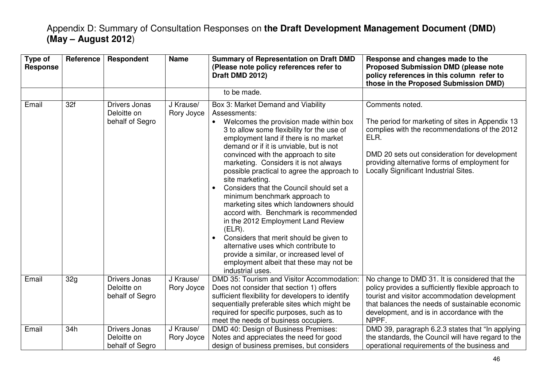| Type of<br><b>Response</b> | Reference | <b>Respondent</b>                                      | <b>Name</b>             | <b>Summary of Representation on Draft DMD</b><br>(Please note policy references refer to<br>Draft DMD 2012)                                                                                                                                                                                                                                                                                                                                                                                                                                                                                                                                                                                                                                                                                                    | Response and changes made to the<br><b>Proposed Submission DMD (please note</b><br>policy references in this column refer to<br>those in the Proposed Submission DMD)                                                                                                   |
|----------------------------|-----------|--------------------------------------------------------|-------------------------|----------------------------------------------------------------------------------------------------------------------------------------------------------------------------------------------------------------------------------------------------------------------------------------------------------------------------------------------------------------------------------------------------------------------------------------------------------------------------------------------------------------------------------------------------------------------------------------------------------------------------------------------------------------------------------------------------------------------------------------------------------------------------------------------------------------|-------------------------------------------------------------------------------------------------------------------------------------------------------------------------------------------------------------------------------------------------------------------------|
|                            |           |                                                        |                         | to be made.                                                                                                                                                                                                                                                                                                                                                                                                                                                                                                                                                                                                                                                                                                                                                                                                    |                                                                                                                                                                                                                                                                         |
| Email                      | 32f       | <b>Drivers Jonas</b><br>Deloitte on<br>behalf of Segro | J Krause/<br>Rory Joyce | Box 3: Market Demand and Viability<br>Assessments:<br>Welcomes the provision made within box<br>3 to allow some flexibility for the use of<br>employment land if there is no market<br>demand or if it is unviable, but is not<br>convinced with the approach to site<br>marketing. Considers it is not always<br>possible practical to agree the approach to<br>site marketing.<br>Considers that the Council should set a<br>$\bullet$<br>minimum benchmark approach to<br>marketing sites which landowners should<br>accord with. Benchmark is recommended<br>in the 2012 Employment Land Review<br>$(ELR)$ .<br>Considers that merit should be given to<br>alternative uses which contribute to<br>provide a similar, or increased level of<br>employment albeit that these may not be<br>industrial uses. | Comments noted.<br>The period for marketing of sites in Appendix 13<br>complies with the recommendations of the 2012<br>ELR.<br>DMD 20 sets out consideration for development<br>providing alternative forms of employment for<br>Locally Significant Industrial Sites. |
| Email                      | 32g       | <b>Drivers Jonas</b><br>Deloitte on<br>behalf of Segro | J Krause/<br>Rory Joyce | DMD 35: Tourism and Visitor Accommodation:<br>Does not consider that section 1) offers<br>sufficient flexibility for developers to identify<br>sequentially preferable sites which might be<br>required for specific purposes, such as to<br>meet the needs of business occupiers.                                                                                                                                                                                                                                                                                                                                                                                                                                                                                                                             | No change to DMD 31. It is considered that the<br>policy provides a sufficiently flexible approach to<br>tourist and visitor accommodation development<br>that balances the needs of sustainable economic<br>development, and is in accordance with the<br>NPPF.        |
| Email                      | 34h       | <b>Drivers Jonas</b><br>Deloitte on<br>behalf of Segro | J Krause/<br>Rory Joyce | DMD 40: Design of Business Premises:<br>Notes and appreciates the need for good<br>design of business premises, but considers                                                                                                                                                                                                                                                                                                                                                                                                                                                                                                                                                                                                                                                                                  | DMD 39, paragraph 6.2.3 states that "In applying<br>the standards, the Council will have regard to the<br>operational requirements of the business and                                                                                                                  |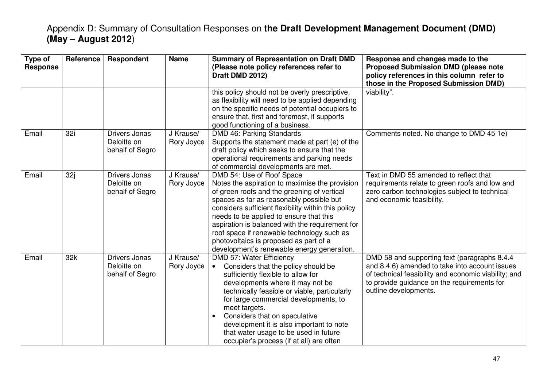| Type of<br><b>Response</b> | <b>Reference</b> | Respondent                                             | <b>Name</b>             | <b>Summary of Representation on Draft DMD</b><br>(Please note policy references refer to<br>Draft DMD 2012)                                                                                                                                                                                                                                                                                                                                                       | Response and changes made to the<br><b>Proposed Submission DMD (please note</b><br>policy references in this column refer to<br>those in the Proposed Submission DMD)                                                           |
|----------------------------|------------------|--------------------------------------------------------|-------------------------|-------------------------------------------------------------------------------------------------------------------------------------------------------------------------------------------------------------------------------------------------------------------------------------------------------------------------------------------------------------------------------------------------------------------------------------------------------------------|---------------------------------------------------------------------------------------------------------------------------------------------------------------------------------------------------------------------------------|
|                            |                  |                                                        |                         | this policy should not be overly prescriptive,<br>as flexibility will need to be applied depending<br>on the specific needs of potential occupiers to<br>ensure that, first and foremost, it supports<br>good functioning of a business.                                                                                                                                                                                                                          | viability".                                                                                                                                                                                                                     |
| Email                      | 32i              | <b>Drivers Jonas</b><br>Deloitte on<br>behalf of Segro | J Krause/<br>Rory Joyce | DMD 46: Parking Standards<br>Supports the statement made at part (e) of the<br>draft policy which seeks to ensure that the<br>operational requirements and parking needs<br>of commercial developments are met.                                                                                                                                                                                                                                                   | Comments noted. No change to DMD 45 1e)                                                                                                                                                                                         |
| Email                      | 32j              | <b>Drivers Jonas</b><br>Deloitte on<br>behalf of Segro | J Krause/<br>Rory Joyce | DMD 54: Use of Roof Space<br>Notes the aspiration to maximise the provision<br>of green roofs and the greening of vertical<br>spaces as far as reasonably possible but<br>considers sufficient flexibility within this policy<br>needs to be applied to ensure that this<br>aspiration is balanced with the requirement for<br>roof space if renewable technology such as<br>photovoltaics is proposed as part of a<br>development's renewable energy generation. | Text in DMD 55 amended to reflect that<br>requirements relate to green roofs and low and<br>zero carbon technologies subject to technical<br>and economic feasibility.                                                          |
| Email                      | 32k              | Drivers Jonas<br>Deloitte on<br>behalf of Segro        | J Krause/<br>Rory Joyce | DMD 57: Water Efficiency<br>Considers that the policy should be<br>$\bullet$<br>sufficiently flexible to allow for<br>developments where it may not be<br>technically feasible or viable, particularly<br>for large commercial developments, to<br>meet targets.<br>Considers that on speculative<br>$\bullet$<br>development it is also important to note<br>that water usage to be used in future<br>occupier's process (if at all) are often                   | DMD 58 and supporting text (paragraphs 8.4.4)<br>and 8.4.6) amended to take into account issues<br>of technical feasibility and economic viability; and<br>to provide guidance on the requirements for<br>outline developments. |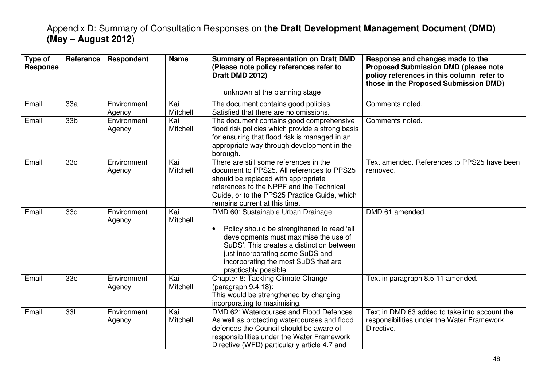| Type of<br><b>Response</b> | Reference       | Respondent            | <b>Name</b>     | <b>Summary of Representation on Draft DMD</b><br>(Please note policy references refer to<br>Draft DMD 2012)                                                                                                                                                                              | Response and changes made to the<br><b>Proposed Submission DMD (please note</b><br>policy references in this column refer to<br>those in the Proposed Submission DMD) |
|----------------------------|-----------------|-----------------------|-----------------|------------------------------------------------------------------------------------------------------------------------------------------------------------------------------------------------------------------------------------------------------------------------------------------|-----------------------------------------------------------------------------------------------------------------------------------------------------------------------|
|                            |                 |                       |                 | unknown at the planning stage                                                                                                                                                                                                                                                            |                                                                                                                                                                       |
| Email                      | 33a             | Environment<br>Agency | Kai<br>Mitchell | The document contains good policies.<br>Satisfied that there are no omissions.                                                                                                                                                                                                           | Comments noted.                                                                                                                                                       |
| Email                      | 33 <sub>b</sub> | Environment<br>Agency | Kai<br>Mitchell | The document contains good comprehensive<br>flood risk policies which provide a strong basis<br>for ensuring that flood risk is managed in an<br>appropriate way through development in the<br>borough.                                                                                  | Comments noted.                                                                                                                                                       |
| Email                      | 33c             | Environment<br>Agency | Kai<br>Mitchell | There are still some references in the<br>document to PPS25. All references to PPS25<br>should be replaced with appropriate<br>references to the NPPF and the Technical<br>Guide, or to the PPS25 Practice Guide, which<br>remains current at this time.                                 | Text amended. References to PPS25 have been<br>removed.                                                                                                               |
| Email                      | 33d             | Environment<br>Agency | Kai<br>Mitchell | DMD 60: Sustainable Urban Drainage<br>Policy should be strengthened to read 'all<br>$\bullet$<br>developments must maximise the use of<br>SuDS'. This creates a distinction between<br>just incorporating some SuDS and<br>incorporating the most SuDS that are<br>practicably possible. | DMD 61 amended.                                                                                                                                                       |
| Email                      | 33e             | Environment<br>Agency | Kai<br>Mitchell | Chapter 8: Tackling Climate Change<br>(paragraph $9.4.18$ ):<br>This would be strengthened by changing<br>incorporating to maximising.                                                                                                                                                   | Text in paragraph 8.5.11 amended.                                                                                                                                     |
| Email                      | 33f             | Environment<br>Agency | Kai<br>Mitchell | DMD 62: Watercourses and Flood Defences<br>As well as protecting watercourses and flood<br>defences the Council should be aware of<br>responsibilities under the Water Framework<br>Directive (WFD) particularly article 4.7 and                                                         | Text in DMD 63 added to take into account the<br>responsibilities under the Water Framework<br>Directive.                                                             |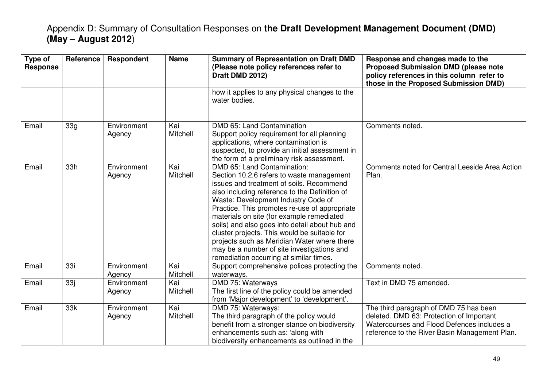| Type of<br><b>Response</b> | Reference | Respondent            | <b>Name</b>     | <b>Summary of Representation on Draft DMD</b><br>(Please note policy references refer to<br>Draft DMD 2012)                                                                                                                                                                                                                                                                                                                                                                                                                                          | Response and changes made to the<br><b>Proposed Submission DMD (please note</b><br>policy references in this column refer to<br>those in the Proposed Submission DMD)             |
|----------------------------|-----------|-----------------------|-----------------|------------------------------------------------------------------------------------------------------------------------------------------------------------------------------------------------------------------------------------------------------------------------------------------------------------------------------------------------------------------------------------------------------------------------------------------------------------------------------------------------------------------------------------------------------|-----------------------------------------------------------------------------------------------------------------------------------------------------------------------------------|
|                            |           |                       |                 | how it applies to any physical changes to the<br>water bodies.                                                                                                                                                                                                                                                                                                                                                                                                                                                                                       |                                                                                                                                                                                   |
| Email                      | 33g       | Environment<br>Agency | Kai<br>Mitchell | DMD 65: Land Contamination<br>Support policy requirement for all planning<br>applications, where contamination is<br>suspected, to provide an initial assessment in<br>the form of a preliminary risk assessment.                                                                                                                                                                                                                                                                                                                                    | Comments noted.                                                                                                                                                                   |
| Email                      | 33h       | Environment<br>Agency | Kai<br>Mitchell | DMD 65: Land Contamination:<br>Section 10.2.6 refers to waste management<br>issues and treatment of soils. Recommend<br>also including reference to the Definition of<br>Waste: Development Industry Code of<br>Practice. This promotes re-use of appropriate<br>materials on site (for example remediated<br>soils) and also goes into detail about hub and<br>cluster projects. This would be suitable for<br>projects such as Meridian Water where there<br>may be a number of site investigations and<br>remediation occurring at similar times. | Comments noted for Central Leeside Area Action<br>Plan.                                                                                                                           |
| Email                      | 33i       | Environment<br>Agency | Kai<br>Mitchell | Support comprehensive polices protecting the<br>waterways.                                                                                                                                                                                                                                                                                                                                                                                                                                                                                           | Comments noted.                                                                                                                                                                   |
| Email                      | 33j       | Environment<br>Agency | Kai<br>Mitchell | DMD 75: Waterways<br>The first line of the policy could be amended<br>from 'Major development' to 'development'.                                                                                                                                                                                                                                                                                                                                                                                                                                     | Text in DMD 75 amended.                                                                                                                                                           |
| Email                      | 33k       | Environment<br>Agency | Kai<br>Mitchell | DMD 75: Waterways:<br>The third paragraph of the policy would<br>benefit from a stronger stance on biodiversity<br>enhancements such as: 'along with<br>biodiversity enhancements as outlined in the                                                                                                                                                                                                                                                                                                                                                 | The third paragraph of DMD 75 has been<br>deleted. DMD 63: Protection of Important<br>Watercourses and Flood Defences includes a<br>reference to the River Basin Management Plan. |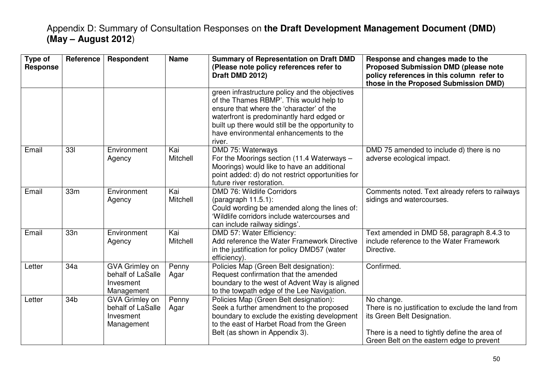| Type of<br><b>Response</b> | Reference       | <b>Respondent</b>                                                     | <b>Name</b>     | <b>Summary of Representation on Draft DMD</b><br>(Please note policy references refer to<br>Draft DMD 2012)                                                                                                                                                                                | Response and changes made to the<br><b>Proposed Submission DMD (please note</b><br>policy references in this column refer to<br>those in the Proposed Submission DMD)                         |
|----------------------------|-----------------|-----------------------------------------------------------------------|-----------------|--------------------------------------------------------------------------------------------------------------------------------------------------------------------------------------------------------------------------------------------------------------------------------------------|-----------------------------------------------------------------------------------------------------------------------------------------------------------------------------------------------|
|                            |                 |                                                                       |                 | green infrastructure policy and the objectives<br>of the Thames RBMP'. This would help to<br>ensure that where the 'character' of the<br>waterfront is predominantly hard edged or<br>built up there would still be the opportunity to<br>have environmental enhancements to the<br>river. |                                                                                                                                                                                               |
| Email                      | 331             | Environment<br>Agency                                                 | Kai<br>Mitchell | DMD 75: Waterways<br>For the Moorings section (11.4 Waterways -<br>Moorings) would like to have an additional<br>point added: d) do not restrict opportunities for<br>future river restoration.                                                                                            | DMD 75 amended to include d) there is no<br>adverse ecological impact.                                                                                                                        |
| Email                      | 33 <sub>m</sub> | Environment<br>Agency                                                 | Kai<br>Mitchell | DMD 76: Wildlife Corridors<br>$(paragraph 11.5.1)$ :<br>Could wording be amended along the lines of:<br>'Wildlife corridors include watercourses and<br>can include railway sidings'.                                                                                                      | Comments noted. Text already refers to railways<br>sidings and watercourses.                                                                                                                  |
| Email                      | 33n             | Environment<br>Agency                                                 | Kai<br>Mitchell | DMD 57: Water Efficiency:<br>Add reference the Water Framework Directive<br>in the justification for policy DMD57 (water<br>efficiency).                                                                                                                                                   | Text amended in DMD 58, paragraph 8.4.3 to<br>include reference to the Water Framework<br>Directive.                                                                                          |
| Letter                     | 34a             | GVA Grimley on<br>behalf of LaSalle<br>Invesment<br>Management        | Penny<br>Agar   | Policies Map (Green Belt designation):<br>Request confirmation that the amended<br>boundary to the west of Advent Way is aligned<br>to the towpath edge of the Lee Navigation.                                                                                                             | Confirmed.                                                                                                                                                                                    |
| Letter                     | 34b             | <b>GVA Grimley on</b><br>behalf of LaSalle<br>Invesment<br>Management | Penny<br>Agar   | Policies Map (Green Belt designation):<br>Seek a further amendment to the proposed<br>boundary to exclude the existing development<br>to the east of Harbet Road from the Green<br>Belt (as shown in Appendix 3).                                                                          | No change.<br>There is no justification to exclude the land from<br>its Green Belt Designation.<br>There is a need to tightly define the area of<br>Green Belt on the eastern edge to prevent |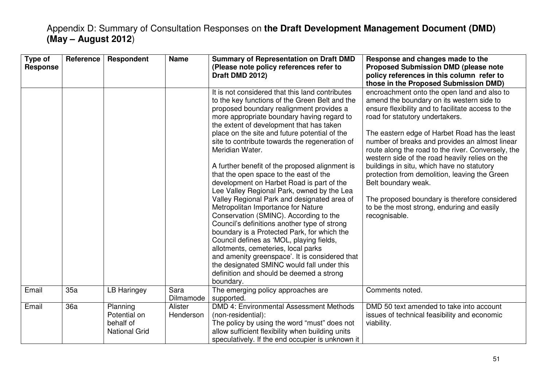| Type of<br><b>Response</b> | Reference | Respondent                                                    | <b>Name</b>          | <b>Summary of Representation on Draft DMD</b><br>(Please note policy references refer to<br>Draft DMD 2012)                                                                                                                                                                                                                                                                                                                                                                                                                                                                                                                                                                                                                                                                                                                                                                                                                                                                                                                    | Response and changes made to the<br><b>Proposed Submission DMD (please note</b><br>policy references in this column refer to<br>those in the Proposed Submission DMD)                                                                                                                                                                                                                                                                                                                                                                                                                                                              |
|----------------------------|-----------|---------------------------------------------------------------|----------------------|--------------------------------------------------------------------------------------------------------------------------------------------------------------------------------------------------------------------------------------------------------------------------------------------------------------------------------------------------------------------------------------------------------------------------------------------------------------------------------------------------------------------------------------------------------------------------------------------------------------------------------------------------------------------------------------------------------------------------------------------------------------------------------------------------------------------------------------------------------------------------------------------------------------------------------------------------------------------------------------------------------------------------------|------------------------------------------------------------------------------------------------------------------------------------------------------------------------------------------------------------------------------------------------------------------------------------------------------------------------------------------------------------------------------------------------------------------------------------------------------------------------------------------------------------------------------------------------------------------------------------------------------------------------------------|
|                            |           |                                                               |                      | It is not considered that this land contributes<br>to the key functions of the Green Belt and the<br>proposed boundary realignment provides a<br>more appropriate boundary having regard to<br>the extent of development that has taken<br>place on the site and future potential of the<br>site to contribute towards the regeneration of<br>Meridian Water.<br>A further benefit of the proposed alignment is<br>that the open space to the east of the<br>development on Harbet Road is part of the<br>Lee Valley Regional Park, owned by the Lea<br>Valley Regional Park and designated area of<br>Metropolitan Importance for Nature<br>Conservation (SMINC). According to the<br>Council's definitions another type of strong<br>boundary is a Protected Park, for which the<br>Council defines as 'MOL, playing fields,<br>allotments, cemeteries, local parks<br>and amenity greenspace'. It is considered that<br>the designated SMINC would fall under this<br>definition and should be deemed a strong<br>boundary. | encroachment onto the open land and also to<br>amend the boundary on its western side to<br>ensure flexibility and to facilitate access to the<br>road for statutory undertakers.<br>The eastern edge of Harbet Road has the least<br>number of breaks and provides an almost linear<br>route along the road to the river. Conversely, the<br>western side of the road heavily relies on the<br>buildings in situ, which have no statutory<br>protection from demolition, leaving the Green<br>Belt boundary weak.<br>The proposed boundary is therefore considered<br>to be the most strong, enduring and easily<br>recognisable. |
| Email                      | 35a       | <b>LB Haringey</b>                                            | Sara<br>Dilmamode    | The emerging policy approaches are<br>supported.                                                                                                                                                                                                                                                                                                                                                                                                                                                                                                                                                                                                                                                                                                                                                                                                                                                                                                                                                                               | Comments noted.                                                                                                                                                                                                                                                                                                                                                                                                                                                                                                                                                                                                                    |
| Email                      | 36a       | Planning<br>Potential on<br>behalf of<br><b>National Grid</b> | Alister<br>Henderson | DMD 4: Environmental Assessment Methods<br>(non-residential):<br>The policy by using the word "must" does not<br>allow sufficient flexibility when building units<br>speculatively. If the end occupier is unknown it                                                                                                                                                                                                                                                                                                                                                                                                                                                                                                                                                                                                                                                                                                                                                                                                          | DMD 50 text amended to take into account<br>issues of technical feasibility and economic<br>viability.                                                                                                                                                                                                                                                                                                                                                                                                                                                                                                                             |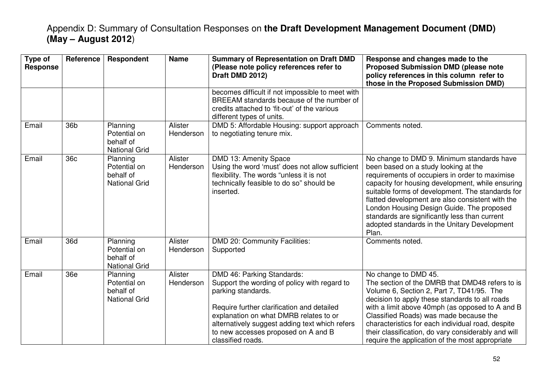| Type of<br><b>Response</b> | Reference       | Respondent                                                    | <b>Name</b>          | <b>Summary of Representation on Draft DMD</b><br>(Please note policy references refer to<br>Draft DMD 2012)                                                                                                                                                                                            | Response and changes made to the<br><b>Proposed Submission DMD (please note</b><br>policy references in this column refer to<br>those in the Proposed Submission DMD)                                                                                                                                                                                                                                                                                   |
|----------------------------|-----------------|---------------------------------------------------------------|----------------------|--------------------------------------------------------------------------------------------------------------------------------------------------------------------------------------------------------------------------------------------------------------------------------------------------------|---------------------------------------------------------------------------------------------------------------------------------------------------------------------------------------------------------------------------------------------------------------------------------------------------------------------------------------------------------------------------------------------------------------------------------------------------------|
|                            |                 |                                                               |                      | becomes difficult if not impossible to meet with<br>BREEAM standards because of the number of<br>credits attached to 'fit-out' of the various<br>different types of units.                                                                                                                             |                                                                                                                                                                                                                                                                                                                                                                                                                                                         |
| Email                      | 36 <sub>b</sub> | Planning<br>Potential on<br>behalf of<br><b>National Grid</b> | Alister<br>Henderson | DMD 5: Affordable Housing: support approach<br>to negotiating tenure mix.                                                                                                                                                                                                                              | Comments noted.                                                                                                                                                                                                                                                                                                                                                                                                                                         |
| Email                      | 36c             | Planning<br>Potential on<br>behalf of<br><b>National Grid</b> | Alister<br>Henderson | DMD 13: Amenity Space<br>Using the word 'must' does not allow sufficient<br>flexibility. The words "unless it is not<br>technically feasible to do so" should be<br>inserted.                                                                                                                          | No change to DMD 9. Minimum standards have<br>been based on a study looking at the<br>requirements of occupiers in order to maximise<br>capacity for housing development, while ensuring<br>suitable forms of development. The standards for<br>flatted development are also consistent with the<br>London Housing Design Guide. The proposed<br>standards are significantly less than current<br>adopted standards in the Unitary Development<br>Plan. |
| Email                      | 36d             | Planning<br>Potential on<br>behalf of<br><b>National Grid</b> | Alister<br>Henderson | DMD 20: Community Facilities:<br>Supported                                                                                                                                                                                                                                                             | Comments noted.                                                                                                                                                                                                                                                                                                                                                                                                                                         |
| Email                      | 36e             | Planning<br>Potential on<br>behalf of<br><b>National Grid</b> | Alister<br>Henderson | DMD 46: Parking Standards:<br>Support the wording of policy with regard to<br>parking standards.<br>Require further clarification and detailed<br>explanation on what DMRB relates to or<br>alternatively suggest adding text which refers<br>to new accesses proposed on A and B<br>classified roads. | No change to DMD 45.<br>The section of the DMRB that DMD48 refers to is<br>Volume 6, Section 2, Part 7, TD41/95. The<br>decision to apply these standards to all roads<br>with a limit above 40mph (as opposed to A and B<br>Classified Roads) was made because the<br>characteristics for each individual road, despite<br>their classification, do vary considerably and will<br>require the application of the most appropriate                      |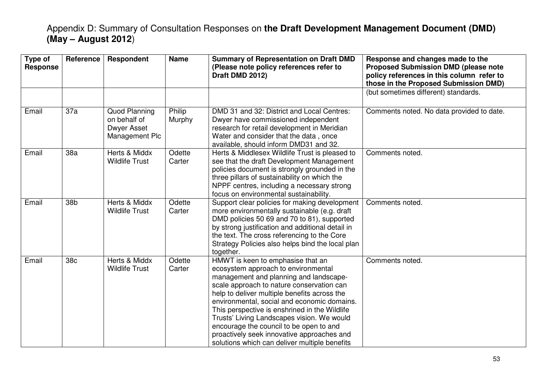| Type of<br><b>Response</b> | Reference | Respondent                                                     | <b>Name</b>      | <b>Summary of Representation on Draft DMD</b><br>(Please note policy references refer to<br>Draft DMD 2012)                                                                                                                                                                                                                                                                                                                                                                                             | Response and changes made to the<br><b>Proposed Submission DMD (please note</b><br>policy references in this column refer to<br>those in the Proposed Submission DMD) |
|----------------------------|-----------|----------------------------------------------------------------|------------------|---------------------------------------------------------------------------------------------------------------------------------------------------------------------------------------------------------------------------------------------------------------------------------------------------------------------------------------------------------------------------------------------------------------------------------------------------------------------------------------------------------|-----------------------------------------------------------------------------------------------------------------------------------------------------------------------|
|                            |           |                                                                |                  |                                                                                                                                                                                                                                                                                                                                                                                                                                                                                                         | (but sometimes different) standards.                                                                                                                                  |
| Email                      | 37a       | Quod Planning<br>on behalf of<br>Dwyer Asset<br>Management Plc | Philip<br>Murphy | DMD 31 and 32: District and Local Centres:<br>Dwyer have commissioned independent<br>research for retail development in Meridian<br>Water and consider that the data, once<br>available, should inform DMD31 and 32.                                                                                                                                                                                                                                                                                    | Comments noted. No data provided to date.                                                                                                                             |
| Email                      | 38a       | Herts & Middx<br><b>Wildlife Trust</b>                         | Odette<br>Carter | Herts & Middlesex Wildlife Trust is pleased to<br>see that the draft Development Management<br>policies document is strongly grounded in the<br>three pillars of sustainability on which the<br>NPPF centres, including a necessary strong<br>focus on environmental sustainability.                                                                                                                                                                                                                    | Comments noted.                                                                                                                                                       |
| Email                      | 38b       | Herts & Middx<br><b>Wildlife Trust</b>                         | Odette<br>Carter | Support clear policies for making development<br>more environmentally sustainable (e.g. draft<br>DMD policies 50 69 and 70 to 81), supported<br>by strong justification and additional detail in<br>the text. The cross referencing to the Core<br>Strategy Policies also helps bind the local plan<br>together.                                                                                                                                                                                        | Comments noted.                                                                                                                                                       |
| Email                      | 38c       | Herts & Middx<br><b>Wildlife Trust</b>                         | Odette<br>Carter | HMWT is keen to emphasise that an<br>ecosystem approach to environmental<br>management and planning and landscape-<br>scale approach to nature conservation can<br>help to deliver multiple benefits across the<br>environmental, social and economic domains.<br>This perspective is enshrined in the Wildlife<br>Trusts' Living Landscapes vision. We would<br>encourage the council to be open to and<br>proactively seek innovative approaches and<br>solutions which can deliver multiple benefits | Comments noted.                                                                                                                                                       |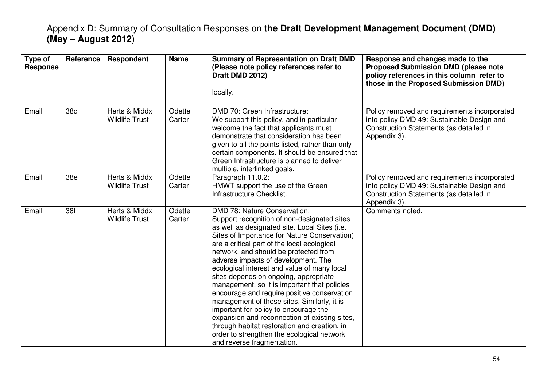| Type of<br><b>Response</b> | Reference | Respondent                             | <b>Name</b>      | <b>Summary of Representation on Draft DMD</b><br>(Please note policy references refer to<br>Draft DMD 2012)                                                                                                                                                                                                                                                                                                                                                                                                                                                                                                                                                                                                                                                                    | Response and changes made to the<br><b>Proposed Submission DMD (please note</b><br>policy references in this column refer to<br>those in the Proposed Submission DMD) |
|----------------------------|-----------|----------------------------------------|------------------|--------------------------------------------------------------------------------------------------------------------------------------------------------------------------------------------------------------------------------------------------------------------------------------------------------------------------------------------------------------------------------------------------------------------------------------------------------------------------------------------------------------------------------------------------------------------------------------------------------------------------------------------------------------------------------------------------------------------------------------------------------------------------------|-----------------------------------------------------------------------------------------------------------------------------------------------------------------------|
|                            |           |                                        |                  | locally.                                                                                                                                                                                                                                                                                                                                                                                                                                                                                                                                                                                                                                                                                                                                                                       |                                                                                                                                                                       |
| Email                      | 38d       | Herts & Middx<br><b>Wildlife Trust</b> | Odette<br>Carter | DMD 70: Green Infrastructure:<br>We support this policy, and in particular<br>welcome the fact that applicants must<br>demonstrate that consideration has been<br>given to all the points listed, rather than only<br>certain components. It should be ensured that<br>Green Infrastructure is planned to deliver<br>multiple, interlinked goals.                                                                                                                                                                                                                                                                                                                                                                                                                              | Policy removed and requirements incorporated<br>into policy DMD 49: Sustainable Design and<br>Construction Statements (as detailed in<br>Appendix 3).                 |
| Email                      | 38e       | Herts & Middx<br><b>Wildlife Trust</b> | Odette<br>Carter | Paragraph 11.0.2:<br>HMWT support the use of the Green<br>Infrastructure Checklist.                                                                                                                                                                                                                                                                                                                                                                                                                                                                                                                                                                                                                                                                                            | Policy removed and requirements incorporated<br>into policy DMD 49: Sustainable Design and<br>Construction Statements (as detailed in<br>Appendix 3).                 |
| Email                      | 38f       | Herts & Middx<br><b>Wildlife Trust</b> | Odette<br>Carter | <b>DMD 78: Nature Conservation:</b><br>Support recognition of non-designated sites<br>as well as designated site. Local Sites (i.e.<br>Sites of Importance for Nature Conservation)<br>are a critical part of the local ecological<br>network, and should be protected from<br>adverse impacts of development. The<br>ecological interest and value of many local<br>sites depends on ongoing, appropriate<br>management, so it is important that policies<br>encourage and require positive conservation<br>management of these sites. Similarly, it is<br>important for policy to encourage the<br>expansion and reconnection of existing sites,<br>through habitat restoration and creation, in<br>order to strengthen the ecological network<br>and reverse fragmentation. | Comments noted.                                                                                                                                                       |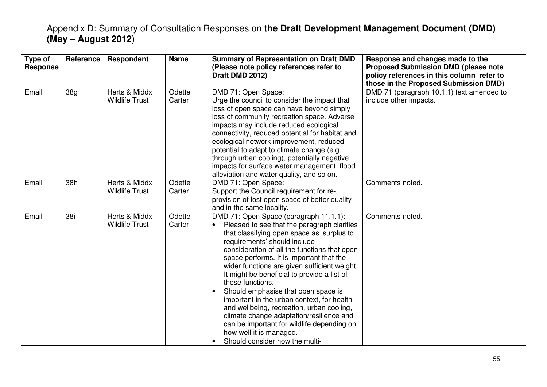| Type of<br><b>Response</b> | Reference | Respondent                             | <b>Name</b>      | <b>Summary of Representation on Draft DMD</b><br>(Please note policy references refer to<br>Draft DMD 2012)                                                                                                                                                                                                                                                                                                                                                                                                                                                                                                                                                                              | Response and changes made to the<br><b>Proposed Submission DMD (please note</b><br>policy references in this column refer to<br>those in the Proposed Submission DMD) |
|----------------------------|-----------|----------------------------------------|------------------|------------------------------------------------------------------------------------------------------------------------------------------------------------------------------------------------------------------------------------------------------------------------------------------------------------------------------------------------------------------------------------------------------------------------------------------------------------------------------------------------------------------------------------------------------------------------------------------------------------------------------------------------------------------------------------------|-----------------------------------------------------------------------------------------------------------------------------------------------------------------------|
| Email                      | 38g       | Herts & Middx<br><b>Wildlife Trust</b> | Odette<br>Carter | DMD 71: Open Space:<br>Urge the council to consider the impact that<br>loss of open space can have beyond simply<br>loss of community recreation space. Adverse<br>impacts may include reduced ecological<br>connectivity, reduced potential for habitat and<br>ecological network improvement, reduced<br>potential to adapt to climate change (e.g.<br>through urban cooling), potentially negative<br>impacts for surface water management, flood<br>alleviation and water quality, and so on.                                                                                                                                                                                        | DMD 71 (paragraph 10.1.1) text amended to<br>include other impacts.                                                                                                   |
| Email                      | 38h       | Herts & Middx<br><b>Wildlife Trust</b> | Odette<br>Carter | DMD 71: Open Space:<br>Support the Council requirement for re-<br>provision of lost open space of better quality<br>and in the same locality.                                                                                                                                                                                                                                                                                                                                                                                                                                                                                                                                            | Comments noted.                                                                                                                                                       |
| Email                      | 38i       | Herts & Middx<br><b>Wildlife Trust</b> | Odette<br>Carter | DMD 71: Open Space (paragraph 11.1.1):<br>Pleased to see that the paragraph clarifies<br>$\bullet$<br>that classifying open space as 'surplus to<br>requirements' should include<br>consideration of all the functions that open<br>space performs. It is important that the<br>wider functions are given sufficient weight.<br>It might be beneficial to provide a list of<br>these functions.<br>Should emphasise that open space is<br>important in the urban context, for health<br>and wellbeing, recreation, urban cooling,<br>climate change adaptation/resilience and<br>can be important for wildlife depending on<br>how well it is managed.<br>Should consider how the multi- | Comments noted.                                                                                                                                                       |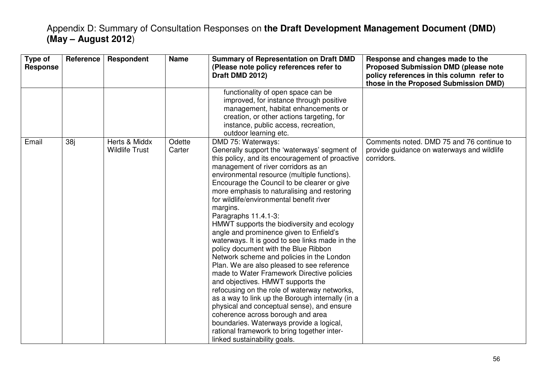| Type of<br><b>Response</b> | Reference       | Respondent                             | <b>Name</b>      | <b>Summary of Representation on Draft DMD</b><br>(Please note policy references refer to<br>Draft DMD 2012)                                                                                                                                                                                                                                                                                                                                                                                                                                                                                                                                                                                                                                                                                                                                                                                                                                                                                                                                                                   | Response and changes made to the<br><b>Proposed Submission DMD (please note</b><br>policy references in this column refer to<br>those in the Proposed Submission DMD) |
|----------------------------|-----------------|----------------------------------------|------------------|-------------------------------------------------------------------------------------------------------------------------------------------------------------------------------------------------------------------------------------------------------------------------------------------------------------------------------------------------------------------------------------------------------------------------------------------------------------------------------------------------------------------------------------------------------------------------------------------------------------------------------------------------------------------------------------------------------------------------------------------------------------------------------------------------------------------------------------------------------------------------------------------------------------------------------------------------------------------------------------------------------------------------------------------------------------------------------|-----------------------------------------------------------------------------------------------------------------------------------------------------------------------|
|                            |                 |                                        |                  | functionality of open space can be<br>improved, for instance through positive<br>management, habitat enhancements or<br>creation, or other actions targeting, for<br>instance, public access, recreation,<br>outdoor learning etc.                                                                                                                                                                                                                                                                                                                                                                                                                                                                                                                                                                                                                                                                                                                                                                                                                                            |                                                                                                                                                                       |
| Email                      | 38 <sub>i</sub> | Herts & Middx<br><b>Wildlife Trust</b> | Odette<br>Carter | DMD 75: Waterways:<br>Generally support the 'waterways' segment of<br>this policy, and its encouragement of proactive<br>management of river corridors as an<br>environmental resource (multiple functions).<br>Encourage the Council to be clearer or give<br>more emphasis to naturalising and restoring<br>for wildlife/environmental benefit river<br>margins.<br>Paragraphs 11.4.1-3:<br>HMWT supports the biodiversity and ecology<br>angle and prominence given to Enfield's<br>waterways. It is good to see links made in the<br>policy document with the Blue Ribbon<br>Network scheme and policies in the London<br>Plan. We are also pleased to see reference<br>made to Water Framework Directive policies<br>and objectives. HMWT supports the<br>refocusing on the role of waterway networks,<br>as a way to link up the Borough internally (in a<br>physical and conceptual sense), and ensure<br>coherence across borough and area<br>boundaries. Waterways provide a logical,<br>rational framework to bring together inter-<br>linked sustainability goals. | Comments noted. DMD 75 and 76 continue to<br>provide guidance on waterways and wildlife<br>corridors.                                                                 |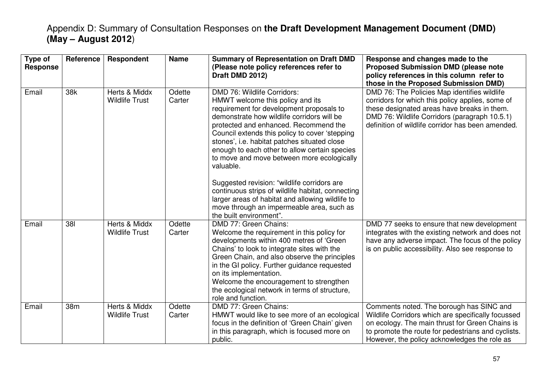| Type of<br><b>Response</b> | Reference | <b>Respondent</b>                      | <b>Name</b>      | <b>Summary of Representation on Draft DMD</b><br>(Please note policy references refer to<br>Draft DMD 2012)                                                                                                                                                                                                                                                                                                                                                                                                                                                                                                                                      | Response and changes made to the<br><b>Proposed Submission DMD (please note</b><br>policy references in this column refer to<br>those in the Proposed Submission DMD)                                                                                   |
|----------------------------|-----------|----------------------------------------|------------------|--------------------------------------------------------------------------------------------------------------------------------------------------------------------------------------------------------------------------------------------------------------------------------------------------------------------------------------------------------------------------------------------------------------------------------------------------------------------------------------------------------------------------------------------------------------------------------------------------------------------------------------------------|---------------------------------------------------------------------------------------------------------------------------------------------------------------------------------------------------------------------------------------------------------|
| Email                      | 38k       | Herts & Middx<br><b>Wildlife Trust</b> | Odette<br>Carter | DMD 76: Wildlife Corridors:<br>HMWT welcome this policy and its<br>requirement for development proposals to<br>demonstrate how wildlife corridors will be<br>protected and enhanced. Recommend the<br>Council extends this policy to cover 'stepping<br>stones', i.e. habitat patches situated close<br>enough to each other to allow certain species<br>to move and move between more ecologically<br>valuable.<br>Suggested revision: "wildlife corridors are<br>continuous strips of wildlife habitat, connecting<br>larger areas of habitat and allowing wildlife to<br>move through an impermeable area, such as<br>the built environment". | DMD 76: The Policies Map identifies wildlife<br>corridors for which this policy applies, some of<br>these designated areas have breaks in them.<br>DMD 76: Wildlife Corridors (paragraph 10.5.1)<br>definition of wildlife corridor has been amended.   |
| Email                      | 381       | Herts & Middx<br><b>Wildlife Trust</b> | Odette<br>Carter | DMD 77: Green Chains:<br>Welcome the requirement in this policy for<br>developments within 400 metres of 'Green<br>Chains' to look to integrate sites with the<br>Green Chain, and also observe the principles<br>in the GI policy. Further guidance requested<br>on its implementation.<br>Welcome the encouragement to strengthen<br>the ecological network in terms of structure,<br>role and function.                                                                                                                                                                                                                                       | DMD 77 seeks to ensure that new development<br>integrates with the existing network and does not<br>have any adverse impact. The focus of the policy<br>is on public accessibility. Also see response to                                                |
| Email                      | 38m       | Herts & Middx<br><b>Wildlife Trust</b> | Odette<br>Carter | DMD 77: Green Chains:<br>HMWT would like to see more of an ecological<br>focus in the definition of 'Green Chain' given<br>in this paragraph, which is focused more on<br>public.                                                                                                                                                                                                                                                                                                                                                                                                                                                                | Comments noted. The borough has SINC and<br>Wildlife Corridors which are specifically focussed<br>on ecology. The main thrust for Green Chains is<br>to promote the route for pedestrians and cyclists.<br>However, the policy acknowledges the role as |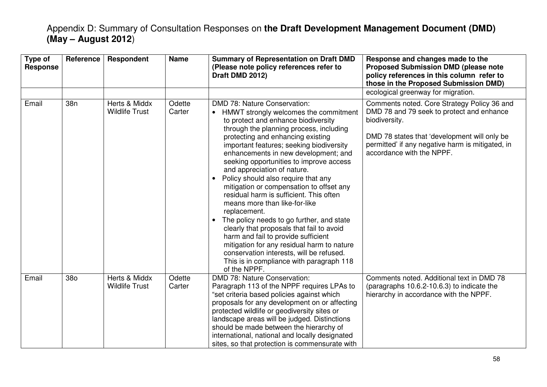| Type of<br><b>Response</b> | Reference | Respondent                             | <b>Name</b>      | <b>Summary of Representation on Draft DMD</b><br>(Please note policy references refer to<br>Draft DMD 2012)                                                                                                                                                                                                                                                                                                                                                                                                                                                                                                                                                                                                                                                                                                                                                | Response and changes made to the<br><b>Proposed Submission DMD (please note</b><br>policy references in this column refer to<br>those in the Proposed Submission DMD)                                                                      |
|----------------------------|-----------|----------------------------------------|------------------|------------------------------------------------------------------------------------------------------------------------------------------------------------------------------------------------------------------------------------------------------------------------------------------------------------------------------------------------------------------------------------------------------------------------------------------------------------------------------------------------------------------------------------------------------------------------------------------------------------------------------------------------------------------------------------------------------------------------------------------------------------------------------------------------------------------------------------------------------------|--------------------------------------------------------------------------------------------------------------------------------------------------------------------------------------------------------------------------------------------|
|                            |           |                                        |                  |                                                                                                                                                                                                                                                                                                                                                                                                                                                                                                                                                                                                                                                                                                                                                                                                                                                            | ecological greenway for migration.                                                                                                                                                                                                         |
| Email                      | 38n       | Herts & Middx<br><b>Wildlife Trust</b> | Odette<br>Carter | DMD 78: Nature Conservation:<br>HMWT strongly welcomes the commitment<br>to protect and enhance biodiversity<br>through the planning process, including<br>protecting and enhancing existing<br>important features; seeking biodiversity<br>enhancements in new development; and<br>seeking opportunities to improve access<br>and appreciation of nature.<br>Policy should also require that any<br>$\bullet$<br>mitigation or compensation to offset any<br>residual harm is sufficient. This often<br>means more than like-for-like<br>replacement.<br>The policy needs to go further, and state<br>$\bullet$<br>clearly that proposals that fail to avoid<br>harm and fail to provide sufficient<br>mitigation for any residual harm to nature<br>conservation interests, will be refused.<br>This is in compliance with paragraph 118<br>of the NPPF. | Comments noted. Core Strategy Policy 36 and<br>DMD 78 and 79 seek to protect and enhance<br>biodiversity.<br>DMD 78 states that 'development will only be<br>permitted' if any negative harm is mitigated, in<br>accordance with the NPPF. |
| Email                      | 380       | Herts & Middx<br><b>Wildlife Trust</b> | Odette<br>Carter | DMD 78: Nature Conservation:<br>Paragraph 113 of the NPPF requires LPAs to<br>"set criteria based policies against which<br>proposals for any development on or affecting<br>protected wildlife or geodiversity sites or<br>landscape areas will be judged. Distinctions<br>should be made between the hierarchy of<br>international, national and locally designated<br>sites, so that protection is commensurate with                                                                                                                                                                                                                                                                                                                                                                                                                                    | Comments noted. Additional text in DMD 78<br>(paragraphs 10.6.2-10.6.3) to indicate the<br>hierarchy in accordance with the NPPF.                                                                                                          |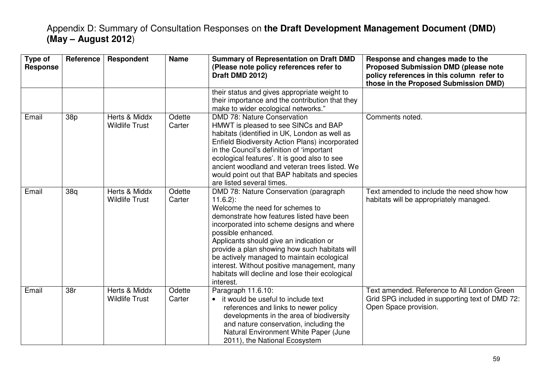| Type of<br><b>Response</b> | <b>Reference</b> | <b>Respondent</b>                      | <b>Name</b>      | <b>Summary of Representation on Draft DMD</b><br>(Please note policy references refer to<br>Draft DMD 2012)                                                                                                                                                                                                                                                                                                                                                       | Response and changes made to the<br><b>Proposed Submission DMD (please note</b><br>policy references in this column refer to<br>those in the Proposed Submission DMD) |
|----------------------------|------------------|----------------------------------------|------------------|-------------------------------------------------------------------------------------------------------------------------------------------------------------------------------------------------------------------------------------------------------------------------------------------------------------------------------------------------------------------------------------------------------------------------------------------------------------------|-----------------------------------------------------------------------------------------------------------------------------------------------------------------------|
|                            |                  |                                        |                  | their status and gives appropriate weight to<br>their importance and the contribution that they<br>make to wider ecological networks."                                                                                                                                                                                                                                                                                                                            |                                                                                                                                                                       |
| Email                      | 38p              | Herts & Middx<br><b>Wildlife Trust</b> | Odette<br>Carter | DMD 78: Nature Conservation<br>HMWT is pleased to see SINCs and BAP<br>habitats (identified in UK, London as well as<br>Enfield Biodiversity Action Plans) incorporated<br>in the Council's definition of 'important<br>ecological features'. It is good also to see<br>ancient woodland and veteran trees listed. We<br>would point out that BAP habitats and species<br>are listed several times.                                                               | Comments noted.                                                                                                                                                       |
| Email                      | 38q              | Herts & Middx<br><b>Wildlife Trust</b> | Odette<br>Carter | DMD 78: Nature Conservation (paragraph<br>$11.6.2$ :<br>Welcome the need for schemes to<br>demonstrate how features listed have been<br>incorporated into scheme designs and where<br>possible enhanced.<br>Applicants should give an indication or<br>provide a plan showing how such habitats will<br>be actively managed to maintain ecological<br>interest. Without positive management, many<br>habitats will decline and lose their ecological<br>interest. | Text amended to include the need show how<br>habitats will be appropriately managed.                                                                                  |
| Email                      | 38r              | Herts & Middx<br><b>Wildlife Trust</b> | Odette<br>Carter | Paragraph 11.6.10:<br>it would be useful to include text<br>references and links to newer policy<br>developments in the area of biodiversity<br>and nature conservation, including the<br>Natural Environment White Paper (June<br>2011), the National Ecosystem                                                                                                                                                                                                  | Text amended. Reference to All London Green<br>Grid SPG included in supporting text of DMD 72:<br>Open Space provision.                                               |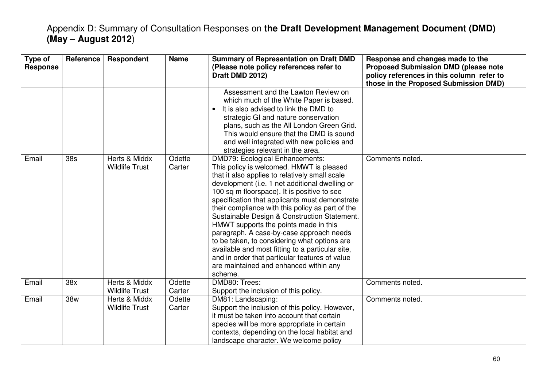| Type of<br><b>Response</b> | Reference | Respondent                             | <b>Name</b>      | <b>Summary of Representation on Draft DMD</b><br>(Please note policy references refer to<br>Draft DMD 2012)                                                                                                                                                                                                                                                                                                                                                                                                                                                                                                                                                                                 | Response and changes made to the<br><b>Proposed Submission DMD (please note</b><br>policy references in this column refer to<br>those in the Proposed Submission DMD) |
|----------------------------|-----------|----------------------------------------|------------------|---------------------------------------------------------------------------------------------------------------------------------------------------------------------------------------------------------------------------------------------------------------------------------------------------------------------------------------------------------------------------------------------------------------------------------------------------------------------------------------------------------------------------------------------------------------------------------------------------------------------------------------------------------------------------------------------|-----------------------------------------------------------------------------------------------------------------------------------------------------------------------|
|                            |           |                                        |                  | Assessment and the Lawton Review on<br>which much of the White Paper is based.<br>It is also advised to link the DMD to<br>strategic GI and nature conservation<br>plans, such as the All London Green Grid.<br>This would ensure that the DMD is sound<br>and well integrated with new policies and<br>strategies relevant in the area.                                                                                                                                                                                                                                                                                                                                                    |                                                                                                                                                                       |
| Email                      | 38s       | Herts & Middx<br><b>Wildlife Trust</b> | Odette<br>Carter | <b>DMD79: Ecological Enhancements:</b><br>This policy is welcomed. HMWT is pleased<br>that it also applies to relatively small scale<br>development (i.e. 1 net additional dwelling or<br>100 sq m floorspace). It is positive to see<br>specification that applicants must demonstrate<br>their compliance with this policy as part of the<br>Sustainable Design & Construction Statement.<br>HMWT supports the points made in this<br>paragraph. A case-by-case approach needs<br>to be taken, to considering what options are<br>available and most fitting to a particular site,<br>and in order that particular features of value<br>are maintained and enhanced within any<br>scheme. | Comments noted.                                                                                                                                                       |
| Email                      | 38x       | Herts & Middx<br><b>Wildlife Trust</b> | Odette<br>Carter | DMD80: Trees:<br>Support the inclusion of this policy.                                                                                                                                                                                                                                                                                                                                                                                                                                                                                                                                                                                                                                      | Comments noted.                                                                                                                                                       |
| Email                      | 38w       | Herts & Middx<br><b>Wildlife Trust</b> | Odette<br>Carter | DM81: Landscaping:<br>Support the inclusion of this policy. However,<br>it must be taken into account that certain<br>species will be more appropriate in certain<br>contexts, depending on the local habitat and<br>landscape character. We welcome policy                                                                                                                                                                                                                                                                                                                                                                                                                                 | Comments noted.                                                                                                                                                       |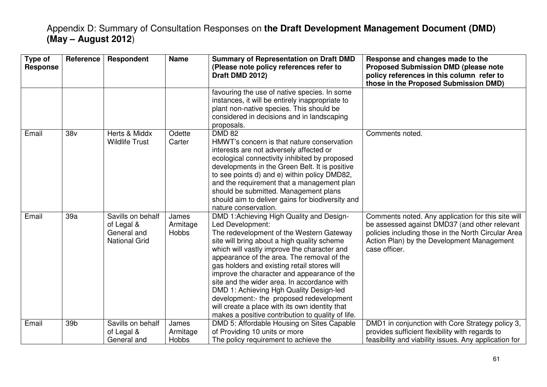| Type of<br><b>Response</b> | Reference       | Respondent                                                             | <b>Name</b>                       | <b>Summary of Representation on Draft DMD</b><br>(Please note policy references refer to<br>Draft DMD 2012)                                                                                                                                                                                                                                                                                                                                                                                                                                                                                      | Response and changes made to the<br><b>Proposed Submission DMD (please note</b><br>policy references in this column refer to<br>those in the Proposed Submission DMD)                                                     |
|----------------------------|-----------------|------------------------------------------------------------------------|-----------------------------------|--------------------------------------------------------------------------------------------------------------------------------------------------------------------------------------------------------------------------------------------------------------------------------------------------------------------------------------------------------------------------------------------------------------------------------------------------------------------------------------------------------------------------------------------------------------------------------------------------|---------------------------------------------------------------------------------------------------------------------------------------------------------------------------------------------------------------------------|
|                            |                 |                                                                        |                                   | favouring the use of native species. In some<br>instances, it will be entirely inappropriate to<br>plant non-native species. This should be<br>considered in decisions and in landscaping<br>proposals.                                                                                                                                                                                                                                                                                                                                                                                          |                                                                                                                                                                                                                           |
| Email                      | 38 <sub>V</sub> | Herts & Middx<br><b>Wildlife Trust</b>                                 | Odette<br>Carter                  | <b>DMD 82</b><br>HMWT's concern is that nature conservation<br>interests are not adversely affected or<br>ecological connectivity inhibited by proposed<br>developments in the Green Belt. It is positive<br>to see points d) and e) within policy DMD82,<br>and the requirement that a management plan<br>should be submitted. Management plans<br>should aim to deliver gains for biodiversity and<br>nature conservation.                                                                                                                                                                     | Comments noted.                                                                                                                                                                                                           |
| Email                      | 39a             | Savills on behalf<br>of Legal &<br>General and<br><b>National Grid</b> | James<br>Armitage<br><b>Hobbs</b> | DMD 1: Achieving High Quality and Design-<br>Led Development:<br>The redevelopment of the Western Gateway<br>site will bring about a high quality scheme<br>which will vastly improve the character and<br>appearance of the area. The removal of the<br>gas holders and existing retail stores will<br>improve the character and appearance of the<br>site and the wider area. In accordance with<br>DMD 1: Achieving Hgh Quality Design-led<br>development:- the proposed redevelopment<br>will create a place with its own identity that<br>makes a positive contribution to quality of life. | Comments noted. Any application for this site will<br>be assessed against DMD37 (and other relevant<br>policies including those in the North Circular Area<br>Action Plan) by the Development Management<br>case officer. |
| Email                      | 39 <sub>b</sub> | Savills on behalf<br>of Legal &<br>General and                         | James<br>Armitage<br>Hobbs        | DMD 5: Affordable Housing on Sites Capable<br>of Providing 10 units or more<br>The policy requirement to achieve the                                                                                                                                                                                                                                                                                                                                                                                                                                                                             | DMD1 in conjunction with Core Strategy policy 3,<br>provides sufficient flexibility with regards to<br>feasibility and viability issues. Any application for                                                              |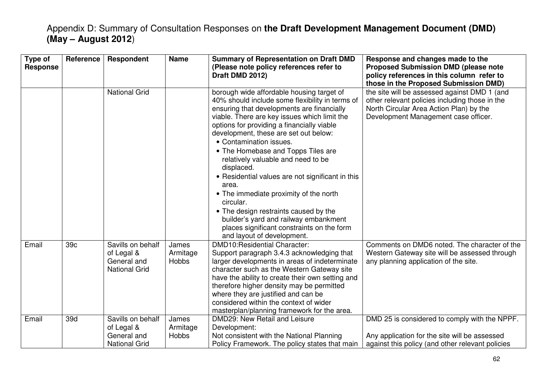| Type of<br><b>Response</b> | <b>Reference</b> | <b>Respondent</b>                                                      | <b>Name</b>                | <b>Summary of Representation on Draft DMD</b><br>(Please note policy references refer to<br>Draft DMD 2012)                                                                                                                                                                                                                                                                                                                                                                                                                                                                                                                                                                              | Response and changes made to the<br><b>Proposed Submission DMD (please note</b><br>policy references in this column refer to<br>those in the Proposed Submission DMD)             |
|----------------------------|------------------|------------------------------------------------------------------------|----------------------------|------------------------------------------------------------------------------------------------------------------------------------------------------------------------------------------------------------------------------------------------------------------------------------------------------------------------------------------------------------------------------------------------------------------------------------------------------------------------------------------------------------------------------------------------------------------------------------------------------------------------------------------------------------------------------------------|-----------------------------------------------------------------------------------------------------------------------------------------------------------------------------------|
|                            |                  | <b>National Grid</b>                                                   |                            | borough wide affordable housing target of<br>40% should include some flexibility in terms of<br>ensuring that developments are financially<br>viable. There are key issues which limit the<br>options for providing a financially viable<br>development, these are set out below:<br>• Contamination issues.<br>• The Homebase and Topps Tiles are<br>relatively valuable and need to be<br>displaced.<br>• Residential values are not significant in this<br>area.<br>• The immediate proximity of the north<br>circular.<br>• The design restraints caused by the<br>builder's yard and railway embankment<br>places significant constraints on the form<br>and layout of development. | the site will be assessed against DMD 1 (and<br>other relevant policies including those in the<br>North Circular Area Action Plan) by the<br>Development Management case officer. |
| Email                      | 39 <sub>c</sub>  | Savills on behalf<br>of Legal &<br>General and<br><b>National Grid</b> | James<br>Armitage<br>Hobbs | DMD10:Residential Character:<br>Support paragraph 3.4.3 acknowledging that<br>larger developments in areas of indeterminate<br>character such as the Western Gateway site<br>have the ability to create their own setting and<br>therefore higher density may be permitted<br>where they are justified and can be<br>considered within the context of wider<br>masterplan/planning framework for the area.                                                                                                                                                                                                                                                                               | Comments on DMD6 noted. The character of the<br>Western Gateway site will be assessed through<br>any planning application of the site.                                            |
| Email                      | 39d              | Savills on behalf<br>of Legal &<br>General and<br><b>National Grid</b> | James<br>Armitage<br>Hobbs | DMD29: New Retail and Leisure<br>Development:<br>Not consistent with the National Planning<br>Policy Framework. The policy states that main                                                                                                                                                                                                                                                                                                                                                                                                                                                                                                                                              | DMD 25 is considered to comply with the NPPF.<br>Any application for the site will be assessed<br>against this policy (and other relevant policies                                |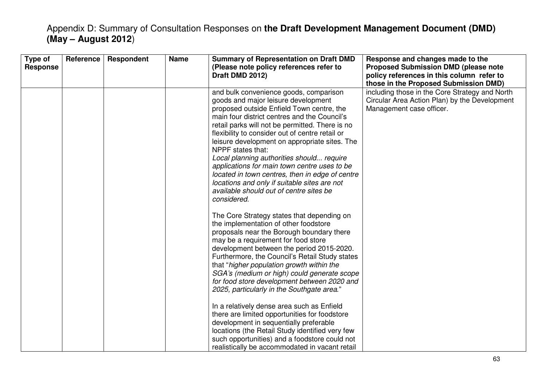| Type of<br>Response | Reference | Respondent | <b>Name</b> | <b>Summary of Representation on Draft DMD</b><br>(Please note policy references refer to<br>Draft DMD 2012)                                                                                                                                                                                                                                                                                                                                                                                                                                                                                                                                                                                                                                                    | Response and changes made to the<br><b>Proposed Submission DMD (please note</b><br>policy references in this column refer to<br>those in the Proposed Submission DMD) |
|---------------------|-----------|------------|-------------|----------------------------------------------------------------------------------------------------------------------------------------------------------------------------------------------------------------------------------------------------------------------------------------------------------------------------------------------------------------------------------------------------------------------------------------------------------------------------------------------------------------------------------------------------------------------------------------------------------------------------------------------------------------------------------------------------------------------------------------------------------------|-----------------------------------------------------------------------------------------------------------------------------------------------------------------------|
|                     |           |            |             | and bulk convenience goods, comparison<br>goods and major leisure development<br>proposed outside Enfield Town centre, the<br>main four district centres and the Council's<br>retail parks will not be permitted. There is no<br>flexibility to consider out of centre retail or<br>leisure development on appropriate sites. The<br>NPPF states that:<br>Local planning authorities should require<br>applications for main town centre uses to be<br>located in town centres, then in edge of centre<br>locations and only if suitable sites are not<br>available should out of centre sites be<br>considered.                                                                                                                                               | including those in the Core Strategy and North<br>Circular Area Action Plan) by the Development<br>Management case officer.                                           |
|                     |           |            |             | The Core Strategy states that depending on<br>the implementation of other foodstore<br>proposals near the Borough boundary there<br>may be a requirement for food store<br>development between the period 2015-2020.<br>Furthermore, the Council's Retail Study states<br>that "higher population growth within the<br>SGA's (medium or high) could generate scope<br>for food store development between 2020 and<br>2025, particularly in the Southgate area."<br>In a relatively dense area such as Enfield<br>there are limited opportunities for foodstore<br>development in sequentially preferable<br>locations (the Retail Study identified very few<br>such opportunities) and a foodstore could not<br>realistically be accommodated in vacant retail |                                                                                                                                                                       |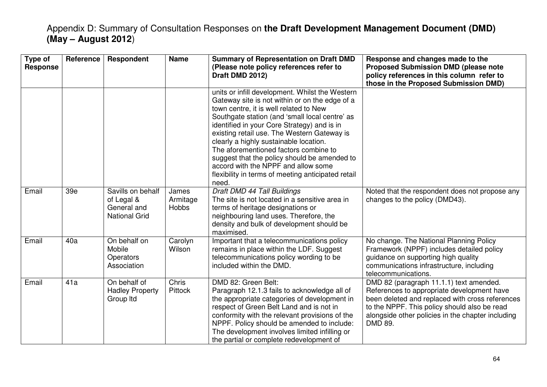| Type of<br><b>Response</b> | <b>Reference</b> | Respondent                                                             | <b>Name</b>                       | <b>Summary of Representation on Draft DMD</b><br>(Please note policy references refer to<br>Draft DMD 2012)                                                                                                                                                                                                                                                                                                                                                                                                                          | Response and changes made to the<br><b>Proposed Submission DMD (please note</b><br>policy references in this column refer to<br>those in the Proposed Submission DMD)                                                                                    |
|----------------------------|------------------|------------------------------------------------------------------------|-----------------------------------|--------------------------------------------------------------------------------------------------------------------------------------------------------------------------------------------------------------------------------------------------------------------------------------------------------------------------------------------------------------------------------------------------------------------------------------------------------------------------------------------------------------------------------------|----------------------------------------------------------------------------------------------------------------------------------------------------------------------------------------------------------------------------------------------------------|
|                            |                  |                                                                        |                                   | units or infill development. Whilst the Western<br>Gateway site is not within or on the edge of a<br>town centre, it is well related to New<br>Southgate station (and 'small local centre' as<br>identified in your Core Strategy) and is in<br>existing retail use. The Western Gateway is<br>clearly a highly sustainable location.<br>The aforementioned factors combine to<br>suggest that the policy should be amended to<br>accord with the NPPF and allow some<br>flexibility in terms of meeting anticipated retail<br>need. |                                                                                                                                                                                                                                                          |
| Email                      | 39e              | Savills on behalf<br>of Legal &<br>General and<br><b>National Grid</b> | James<br>Armitage<br><b>Hobbs</b> | Draft DMD 44 Tall Buildings<br>The site is not located in a sensitive area in<br>terms of heritage designations or<br>neighbouring land uses. Therefore, the<br>density and bulk of development should be<br>maximised.                                                                                                                                                                                                                                                                                                              | Noted that the respondent does not propose any<br>changes to the policy (DMD43).                                                                                                                                                                         |
| Email                      | 40a              | On behalf on<br>Mobile<br>Operators<br>Association                     | Carolyn<br>Wilson                 | Important that a telecommunications policy<br>remains in place within the LDF. Suggest<br>telecommunications policy wording to be<br>included within the DMD.                                                                                                                                                                                                                                                                                                                                                                        | No change. The National Planning Policy<br>Framework (NPPF) includes detailed policy<br>guidance on supporting high quality<br>communications infrastructure, including<br>telecommunications.                                                           |
| Email                      | 41a              | On behalf of<br><b>Hadley Property</b><br>Group Itd                    | Chris<br>Pittock                  | DMD 82: Green Belt:<br>Paragraph 12.1.3 fails to acknowledge all of<br>the appropriate categories of development in<br>respect of Green Belt Land and is not in<br>conformity with the relevant provisions of the<br>NPPF. Policy should be amended to include:<br>The development involves limited infilling or<br>the partial or complete redevelopment of                                                                                                                                                                         | DMD 82 (paragraph 11.1.1) text amended.<br>References to appropriate development have<br>been deleted and replaced with cross references<br>to the NPPF. This policy should also be read<br>alongside other policies in the chapter including<br>DMD 89. |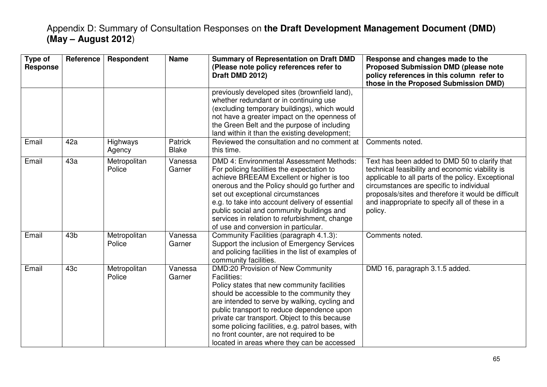| Type of<br><b>Response</b> | Reference       | Respondent             | <b>Name</b>             | <b>Summary of Representation on Draft DMD</b><br>(Please note policy references refer to<br>Draft DMD 2012)                                                                                                                                                                                                                                                                                                                                          | Response and changes made to the<br><b>Proposed Submission DMD (please note</b><br>policy references in this column refer to<br>those in the Proposed Submission DMD)                                                                                                                                                  |
|----------------------------|-----------------|------------------------|-------------------------|------------------------------------------------------------------------------------------------------------------------------------------------------------------------------------------------------------------------------------------------------------------------------------------------------------------------------------------------------------------------------------------------------------------------------------------------------|------------------------------------------------------------------------------------------------------------------------------------------------------------------------------------------------------------------------------------------------------------------------------------------------------------------------|
|                            |                 |                        |                         | previously developed sites (brownfield land),<br>whether redundant or in continuing use<br>(excluding temporary buildings), which would<br>not have a greater impact on the openness of<br>the Green Belt and the purpose of including<br>land within it than the existing development;                                                                                                                                                              |                                                                                                                                                                                                                                                                                                                        |
| Email                      | 42a             | Highways<br>Agency     | Patrick<br><b>Blake</b> | Reviewed the consultation and no comment at<br>this time.                                                                                                                                                                                                                                                                                                                                                                                            | Comments noted.                                                                                                                                                                                                                                                                                                        |
| Email                      | 43a             | Metropolitan<br>Police | Vanessa<br>Garner       | DMD 4: Environmental Assessment Methods:<br>For policing facilities the expectation to<br>achieve BREEAM Excellent or higher is too<br>onerous and the Policy should go further and<br>set out exceptional circumstances<br>e.g. to take into account delivery of essential<br>public social and community buildings and<br>services in relation to refurbishment, change<br>of use and conversion in particular.                                    | Text has been added to DMD 50 to clarify that<br>technical feasibility and economic viability is<br>applicable to all parts of the policy. Exceptional<br>circumstances are specific to individual<br>proposals/sites and therefore it would be difficult<br>and inappropriate to specify all of these in a<br>policy. |
| Email                      | 43 <sub>b</sub> | Metropolitan<br>Police | Vanessa<br>Garner       | Community Facilities (paragraph 4.1.3):<br>Support the inclusion of Emergency Services<br>and policing facilities in the list of examples of<br>community facilities.                                                                                                                                                                                                                                                                                | Comments noted.                                                                                                                                                                                                                                                                                                        |
| Email                      | 43c             | Metropolitan<br>Police | Vanessa<br>Garner       | DMD:20 Provision of New Community<br><b>Facilities:</b><br>Policy states that new community facilities<br>should be accessible to the community they<br>are intended to serve by walking, cycling and<br>public transport to reduce dependence upon<br>private car transport. Object to this because<br>some policing facilities, e.g. patrol bases, with<br>no front counter, are not required to be<br>located in areas where they can be accessed | DMD 16, paragraph 3.1.5 added.                                                                                                                                                                                                                                                                                         |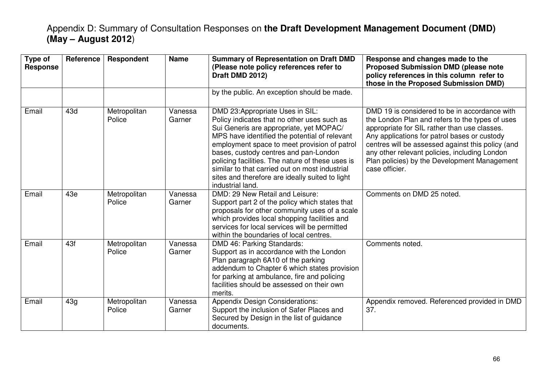| Type of<br><b>Response</b> | Reference | Respondent             | <b>Name</b>       | <b>Summary of Representation on Draft DMD</b><br>(Please note policy references refer to<br>Draft DMD 2012)                                                                                                                                                                                                                                                                                                                                      | Response and changes made to the<br><b>Proposed Submission DMD (please note</b><br>policy references in this column refer to<br>those in the Proposed Submission DMD)                                                                                                                                                                                                    |
|----------------------------|-----------|------------------------|-------------------|--------------------------------------------------------------------------------------------------------------------------------------------------------------------------------------------------------------------------------------------------------------------------------------------------------------------------------------------------------------------------------------------------------------------------------------------------|--------------------------------------------------------------------------------------------------------------------------------------------------------------------------------------------------------------------------------------------------------------------------------------------------------------------------------------------------------------------------|
|                            |           |                        |                   | by the public. An exception should be made.                                                                                                                                                                                                                                                                                                                                                                                                      |                                                                                                                                                                                                                                                                                                                                                                          |
| Email                      | 43d       | Metropolitan<br>Police | Vanessa<br>Garner | DMD 23:Appropriate Uses in SIL:<br>Policy indicates that no other uses such as<br>Sui Generis are appropriate, yet MOPAC/<br>MPS have identified the potential of relevant<br>employment space to meet provision of patrol<br>bases, custody centres and pan-London<br>policing facilities. The nature of these uses is<br>similar to that carried out on most industrial<br>sites and therefore are ideally suited to light<br>industrial land. | DMD 19 is considered to be in accordance with<br>the London Plan and refers to the types of uses<br>appropriate for SIL rather than use classes.<br>Any applications for patrol bases or custody<br>centres will be assessed against this policy (and<br>any other relevant policies, including London<br>Plan policies) by the Development Management<br>case officier. |
| Email                      | 43e       | Metropolitan<br>Police | Vanessa<br>Garner | DMD: 29 New Retail and Leisure:<br>Support part 2 of the policy which states that<br>proposals for other community uses of a scale<br>which provides local shopping facilities and<br>services for local services will be permitted<br>within the boundaries of local centres.                                                                                                                                                                   | Comments on DMD 25 noted.                                                                                                                                                                                                                                                                                                                                                |
| Email                      | 43f       | Metropolitan<br>Police | Vanessa<br>Garner | DMD 46: Parking Standards:<br>Support as in accordance with the London<br>Plan paragraph 6A10 of the parking<br>addendum to Chapter 6 which states provision<br>for parking at ambulance, fire and policing<br>facilities should be assessed on their own<br>merits.                                                                                                                                                                             | Comments noted.                                                                                                                                                                                                                                                                                                                                                          |
| Email                      | 43g       | Metropolitan<br>Police | Vanessa<br>Garner | <b>Appendix Design Considerations:</b><br>Support the inclusion of Safer Places and<br>Secured by Design in the list of guidance<br>documents.                                                                                                                                                                                                                                                                                                   | Appendix removed. Referenced provided in DMD<br>37.                                                                                                                                                                                                                                                                                                                      |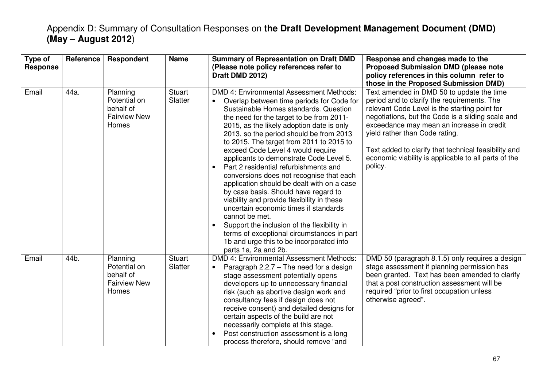| Type of<br><b>Response</b> | <b>Reference</b> | Respondent                                                            | <b>Name</b>       | <b>Summary of Representation on Draft DMD</b><br>(Please note policy references refer to<br>Draft DMD 2012)                                                                                                                                                                                                                                                                                                                                                                                                                                                                                                                                                                                                                                                                                                                                         | Response and changes made to the<br><b>Proposed Submission DMD (please note</b><br>policy references in this column refer to<br>those in the Proposed Submission DMD)                                                                                                                                                                                                                                    |
|----------------------------|------------------|-----------------------------------------------------------------------|-------------------|-----------------------------------------------------------------------------------------------------------------------------------------------------------------------------------------------------------------------------------------------------------------------------------------------------------------------------------------------------------------------------------------------------------------------------------------------------------------------------------------------------------------------------------------------------------------------------------------------------------------------------------------------------------------------------------------------------------------------------------------------------------------------------------------------------------------------------------------------------|----------------------------------------------------------------------------------------------------------------------------------------------------------------------------------------------------------------------------------------------------------------------------------------------------------------------------------------------------------------------------------------------------------|
| Email                      | 44a.             | Planning<br>Potential on<br>behalf of<br><b>Fairview New</b><br>Homes | Stuart<br>Slatter | DMD 4: Environmental Assessment Methods:<br>Overlap between time periods for Code for<br>Sustainable Homes standards. Question<br>the need for the target to be from 2011-<br>2015, as the likely adoption date is only<br>2013, so the period should be from 2013<br>to 2015. The target from 2011 to 2015 to<br>exceed Code Level 4 would require<br>applicants to demonstrate Code Level 5.<br>Part 2 residential refurbishments and<br>conversions does not recognise that each<br>application should be dealt with on a case<br>by case basis. Should have regard to<br>viability and provide flexibility in these<br>uncertain economic times if standards<br>cannot be met.<br>Support the inclusion of the flexibility in<br>terms of exceptional circumstances in part<br>1b and urge this to be incorporated into<br>parts 1a, 2a and 2b. | Text amended in DMD 50 to update the time<br>period and to clarify the requirements. The<br>relevant Code Level is the starting point for<br>negotiations, but the Code is a sliding scale and<br>exceedance may mean an increase in credit<br>yield rather than Code rating.<br>Text added to clarify that technical feasibility and<br>economic viability is applicable to all parts of the<br>policy. |
| Email                      | 44b.             | Planning<br>Potential on<br>behalf of<br><b>Fairview New</b><br>Homes | Stuart<br>Slatter | DMD 4: Environmental Assessment Methods:<br>Paragraph $2.2.7$ – The need for a design<br>$\bullet$<br>stage assessment potentially opens<br>developers up to unnecessary financial<br>risk (such as abortive design work and<br>consultancy fees if design does not<br>receive consent) and detailed designs for<br>certain aspects of the build are not<br>necessarily complete at this stage.<br>Post construction assessment is a long<br>process therefore, should remove "and                                                                                                                                                                                                                                                                                                                                                                  | DMD 50 (paragraph 8.1.5) only requires a design<br>stage assessment if planning permission has<br>been granted. Text has been amended to clarify<br>that a post construction assessment will be<br>required "prior to first occupation unless<br>otherwise agreed".                                                                                                                                      |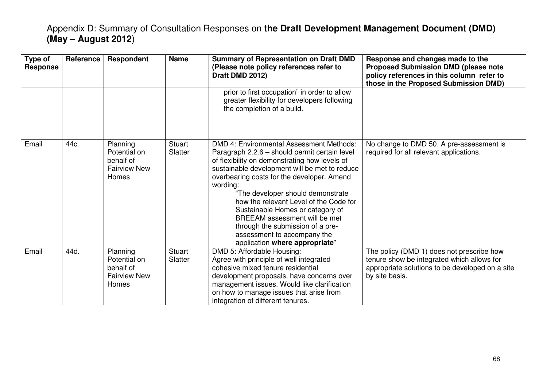| Type of<br><b>Response</b> | <b>Reference</b> | <b>Respondent</b>                                                            | <b>Name</b>              | <b>Summary of Representation on Draft DMD</b><br>(Please note policy references refer to<br>Draft DMD 2012)                                                                                                                                                                                                                                                                                                                                                                                                    | Response and changes made to the<br><b>Proposed Submission DMD (please note</b><br>policy references in this column refer to<br>those in the Proposed Submission DMD) |
|----------------------------|------------------|------------------------------------------------------------------------------|--------------------------|----------------------------------------------------------------------------------------------------------------------------------------------------------------------------------------------------------------------------------------------------------------------------------------------------------------------------------------------------------------------------------------------------------------------------------------------------------------------------------------------------------------|-----------------------------------------------------------------------------------------------------------------------------------------------------------------------|
|                            |                  |                                                                              |                          | prior to first occupation" in order to allow<br>greater flexibility for developers following<br>the completion of a build.                                                                                                                                                                                                                                                                                                                                                                                     |                                                                                                                                                                       |
| Email                      | 44c.             | Planning<br>Potential on<br>behalf of<br><b>Fairview New</b><br><b>Homes</b> | <b>Stuart</b><br>Slatter | DMD 4: Environmental Assessment Methods:<br>Paragraph 2.2.6 - should permit certain level<br>of flexibility on demonstrating how levels of<br>sustainable development will be met to reduce<br>overbearing costs for the developer. Amend<br>wording:<br>"The developer should demonstrate<br>how the relevant Level of the Code for<br>Sustainable Homes or category of<br>BREEAM assessment will be met<br>through the submission of a pre-<br>assessment to accompany the<br>application where appropriate" | No change to DMD 50. A pre-assessment is<br>required for all relevant applications.                                                                                   |
| Email                      | 44d.             | Planning<br>Potential on<br>behalf of<br><b>Fairview New</b><br>Homes        | Stuart<br>Slatter        | DMD 5: Affordable Housing:<br>Agree with principle of well integrated<br>cohesive mixed tenure residential<br>development proposals, have concerns over<br>management issues. Would like clarification<br>on how to manage issues that arise from<br>integration of different tenures.                                                                                                                                                                                                                         | The policy (DMD 1) does not prescribe how<br>tenure show be integrated which allows for<br>appropriate solutions to be developed on a site<br>by site basis.          |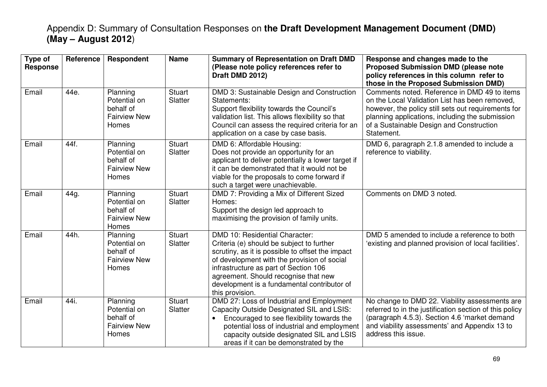| Type of<br><b>Response</b> | Reference | Respondent                                                                   | <b>Name</b>              | <b>Summary of Representation on Draft DMD</b><br>(Please note policy references refer to<br>Draft DMD 2012)                                                                                                                                                                                                                       | Response and changes made to the<br><b>Proposed Submission DMD (please note</b><br>policy references in this column refer to<br>those in the Proposed Submission DMD)                                                                                              |
|----------------------------|-----------|------------------------------------------------------------------------------|--------------------------|-----------------------------------------------------------------------------------------------------------------------------------------------------------------------------------------------------------------------------------------------------------------------------------------------------------------------------------|--------------------------------------------------------------------------------------------------------------------------------------------------------------------------------------------------------------------------------------------------------------------|
| Email                      | 44e.      | Planning<br>Potential on<br>behalf of<br><b>Fairview New</b><br><b>Homes</b> | <b>Stuart</b><br>Slatter | DMD 3: Sustainable Design and Construction<br>Statements:<br>Support flexibility towards the Council's<br>validation list. This allows flexibility so that<br>Council can assess the required criteria for an<br>application on a case by case basis.                                                                             | Comments noted. Reference in DMD 49 to items<br>on the Local Validation List has been removed,<br>however, the policy still sets out requirements for<br>planning applications, including the submission<br>of a Sustainable Design and Construction<br>Statement. |
| Email                      | 44f.      | Planning<br>Potential on<br>behalf of<br><b>Fairview New</b><br>Homes        | <b>Stuart</b><br>Slatter | DMD 6: Affordable Housing:<br>Does not provide an opportunity for an<br>applicant to deliver potentially a lower target if<br>it can be demonstrated that it would not be<br>viable for the proposals to come forward if<br>such a target were unachievable.                                                                      | DMD 6, paragraph 2.1.8 amended to include a<br>reference to viability.                                                                                                                                                                                             |
| Email                      | 44g.      | Planning<br>Potential on<br>behalf of<br><b>Fairview New</b><br>Homes        | <b>Stuart</b><br>Slatter | DMD 7: Providing a Mix of Different Sized<br>Homes:<br>Support the design led approach to<br>maximising the provision of family units.                                                                                                                                                                                            | Comments on DMD 3 noted.                                                                                                                                                                                                                                           |
| Email                      | 44h.      | Planning<br>Potential on<br>behalf of<br><b>Fairview New</b><br><b>Homes</b> | <b>Stuart</b><br>Slatter | DMD 10: Residential Character:<br>Criteria (e) should be subject to further<br>scrutiny, as it is possible to offset the impact<br>of development with the provision of social<br>infrastructure as part of Section 106<br>agreement. Should recognise that new<br>development is a fundamental contributor of<br>this provision. | DMD 5 amended to include a reference to both<br>'existing and planned provision of local facilities'.                                                                                                                                                              |
| Email                      | 44i.      | Planning<br>Potential on<br>behalf of<br><b>Fairview New</b><br>Homes        | <b>Stuart</b><br>Slatter | DMD 27: Loss of Industrial and Employment<br>Capacity Outside Designated SIL and LSIS:<br>Encouraged to see flexibility towards the<br>$\bullet$<br>potential loss of industrial and employment<br>capacity outside designated SIL and LSIS<br>areas if it can be demonstrated by the                                             | No change to DMD 22. Viability assessments are<br>referred to in the justification section of this policy<br>(paragraph 4.5.3). Section 4.6 'market demand<br>and viability assessments' and Appendix 13 to<br>address this issue.                                 |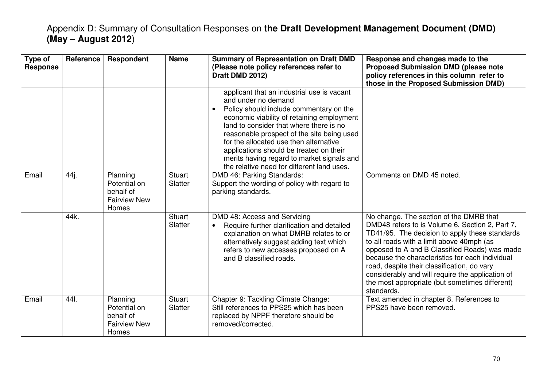| Type of<br><b>Response</b> | Reference | Respondent                                                            | <b>Name</b>              | <b>Summary of Representation on Draft DMD</b><br>(Please note policy references refer to<br>Draft DMD 2012)                                                                                                                                                                                                                                                                                                                          | Response and changes made to the<br><b>Proposed Submission DMD (please note</b><br>policy references in this column refer to<br>those in the Proposed Submission DMD)                                                                                                                                                                                                                                                                                            |
|----------------------------|-----------|-----------------------------------------------------------------------|--------------------------|--------------------------------------------------------------------------------------------------------------------------------------------------------------------------------------------------------------------------------------------------------------------------------------------------------------------------------------------------------------------------------------------------------------------------------------|------------------------------------------------------------------------------------------------------------------------------------------------------------------------------------------------------------------------------------------------------------------------------------------------------------------------------------------------------------------------------------------------------------------------------------------------------------------|
|                            |           |                                                                       |                          | applicant that an industrial use is vacant<br>and under no demand<br>Policy should include commentary on the<br>economic viability of retaining employment<br>land to consider that where there is no<br>reasonable prospect of the site being used<br>for the allocated use then alternative<br>applications should be treated on their<br>merits having regard to market signals and<br>the relative need for different land uses. |                                                                                                                                                                                                                                                                                                                                                                                                                                                                  |
| Email                      | 44j.      | Planning<br>Potential on<br>behalf of<br><b>Fairview New</b><br>Homes | <b>Stuart</b><br>Slatter | DMD 46: Parking Standards:<br>Support the wording of policy with regard to<br>parking standards.                                                                                                                                                                                                                                                                                                                                     | Comments on DMD 45 noted.                                                                                                                                                                                                                                                                                                                                                                                                                                        |
|                            | 44k.      |                                                                       | <b>Stuart</b><br>Slatter | DMD 48: Access and Servicing<br>Require further clarification and detailed<br>$\bullet$<br>explanation on what DMRB relates to or<br>alternatively suggest adding text which<br>refers to new accesses proposed on A<br>and B classified roads.                                                                                                                                                                                      | No change. The section of the DMRB that<br>DMD48 refers to is Volume 6, Section 2, Part 7,<br>TD41/95. The decision to apply these standards<br>to all roads with a limit above 40mph (as<br>opposed to A and B Classified Roads) was made<br>because the characteristics for each individual<br>road, despite their classification, do vary<br>considerably and will require the application of<br>the most appropriate (but sometimes different)<br>standards. |
| Email                      | 44 .      | Planning<br>Potential on<br>behalf of<br><b>Fairview New</b><br>Homes | <b>Stuart</b><br>Slatter | Chapter 9: Tackling Climate Change:<br>Still references to PPS25 which has been<br>replaced by NPPF therefore should be<br>removed/corrected.                                                                                                                                                                                                                                                                                        | Text amended in chapter 8. References to<br>PPS25 have been removed.                                                                                                                                                                                                                                                                                                                                                                                             |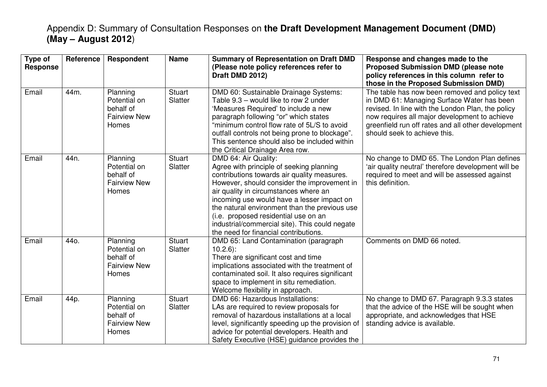| Type of<br><b>Response</b> | Reference       | Respondent                                                                   | <b>Name</b>              | <b>Summary of Representation on Draft DMD</b><br>(Please note policy references refer to<br>Draft DMD 2012)                                                                                                                                                                                                                                                                                                                               | Response and changes made to the<br><b>Proposed Submission DMD (please note</b><br>policy references in this column refer to                                                                                                                                                                                                      |
|----------------------------|-----------------|------------------------------------------------------------------------------|--------------------------|-------------------------------------------------------------------------------------------------------------------------------------------------------------------------------------------------------------------------------------------------------------------------------------------------------------------------------------------------------------------------------------------------------------------------------------------|-----------------------------------------------------------------------------------------------------------------------------------------------------------------------------------------------------------------------------------------------------------------------------------------------------------------------------------|
| Email                      | 44m.            | Planning<br>Potential on<br>behalf of<br><b>Fairview New</b><br><b>Homes</b> | <b>Stuart</b><br>Slatter | DMD 60: Sustainable Drainage Systems:<br>Table 9.3 – would like to row 2 under<br>'Measures Required' to include a new<br>paragraph following "or" which states<br>"minimum control flow rate of 5L/S to avoid<br>outfall controls not being prone to blockage".<br>This sentence should also be included within<br>the Critical Drainage Area row.                                                                                       | those in the Proposed Submission DMD)<br>The table has now been removed and policy text<br>in DMD 61: Managing Surface Water has been<br>revised. In line with the London Plan, the policy<br>now requires all major development to achieve<br>greenfield run off rates and all other development<br>should seek to achieve this. |
| Email                      | 44 <sub>n</sub> | Planning<br>Potential on<br>behalf of<br><b>Fairview New</b><br><b>Homes</b> | <b>Stuart</b><br>Slatter | DMD 64: Air Quality:<br>Agree with principle of seeking planning<br>contributions towards air quality measures.<br>However, should consider the improvement in<br>air quality in circumstances where an<br>incoming use would have a lesser impact on<br>the natural environment than the previous use<br>(i.e. proposed residential use on an<br>industrial/commercial site). This could negate<br>the need for financial contributions. | No change to DMD 65. The London Plan defines<br>'air quality neutral' therefore development will be<br>required to meet and will be assessed against<br>this definition.                                                                                                                                                          |
| Email                      | 44o.            | Planning<br>Potential on<br>behalf of<br><b>Fairview New</b><br>Homes        | <b>Stuart</b><br>Slatter | DMD 65: Land Contamination (paragraph)<br>$10.2.6$ :<br>There are significant cost and time<br>implications associated with the treatment of<br>contaminated soil. It also requires significant<br>space to implement in situ remediation.<br>Welcome flexibility in approach.                                                                                                                                                            | Comments on DMD 66 noted.                                                                                                                                                                                                                                                                                                         |
| Email                      | 44p.            | Planning<br>Potential on<br>behalf of<br><b>Fairview New</b><br>Homes        | <b>Stuart</b><br>Slatter | DMD 66: Hazardous Installations:<br>LAs are required to review proposals for<br>removal of hazardous installations at a local<br>level, significantly speeding up the provision of<br>advice for potential developers. Health and<br>Safety Executive (HSE) guidance provides the                                                                                                                                                         | No change to DMD 67. Paragraph 9.3.3 states<br>that the advice of the HSE will be sought when<br>appropriate, and acknowledges that HSE<br>standing advice is available.                                                                                                                                                          |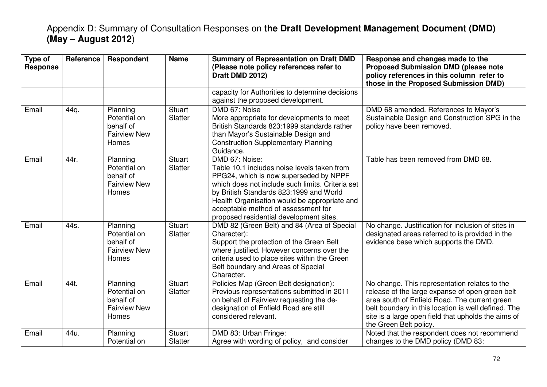| Type of<br><b>Response</b> | Reference | Respondent                                                            | <b>Name</b>              | <b>Summary of Representation on Draft DMD</b><br>(Please note policy references refer to<br>Draft DMD 2012)                                                                                                                                                                                                                              | Response and changes made to the<br><b>Proposed Submission DMD (please note</b><br>policy references in this column refer to<br>those in the Proposed Submission DMD)                                                                                                                     |
|----------------------------|-----------|-----------------------------------------------------------------------|--------------------------|------------------------------------------------------------------------------------------------------------------------------------------------------------------------------------------------------------------------------------------------------------------------------------------------------------------------------------------|-------------------------------------------------------------------------------------------------------------------------------------------------------------------------------------------------------------------------------------------------------------------------------------------|
|                            |           |                                                                       |                          | capacity for Authorities to determine decisions<br>against the proposed development.                                                                                                                                                                                                                                                     |                                                                                                                                                                                                                                                                                           |
| Email                      | 44q.      | Planning<br>Potential on<br>behalf of<br><b>Fairview New</b><br>Homes | <b>Stuart</b><br>Slatter | DMD 67: Noise<br>More appropriate for developments to meet<br>British Standards 823:1999 standards rather<br>than Mayor's Sustainable Design and<br><b>Construction Supplementary Planning</b><br>Guidance.                                                                                                                              | DMD 68 amended. References to Mayor's<br>Sustainable Design and Construction SPG in the<br>policy have been removed.                                                                                                                                                                      |
| Email                      | 44r.      | Planning<br>Potential on<br>behalf of<br><b>Fairview New</b><br>Homes | <b>Stuart</b><br>Slatter | DMD 67: Noise:<br>Table 10.1 includes noise levels taken from<br>PPG24, which is now superseded by NPPF<br>which does not include such limits. Criteria set<br>by British Standards 823:1999 and World<br>Health Organisation would be appropriate and<br>acceptable method of assessment for<br>proposed residential development sites. | Table has been removed from DMD 68.                                                                                                                                                                                                                                                       |
| Email                      | 44s.      | Planning<br>Potential on<br>behalf of<br><b>Fairview New</b><br>Homes | <b>Stuart</b><br>Slatter | DMD 82 (Green Belt) and 84 (Area of Special<br>Character):<br>Support the protection of the Green Belt<br>where justified. However concerns over the<br>criteria used to place sites within the Green<br>Belt boundary and Areas of Special<br>Character.                                                                                | No change. Justification for inclusion of sites in<br>designated areas referred to is provided in the<br>evidence base which supports the DMD.                                                                                                                                            |
| Email                      | 44t.      | Planning<br>Potential on<br>behalf of<br><b>Fairview New</b><br>Homes | <b>Stuart</b><br>Slatter | Policies Map (Green Belt designation):<br>Previous representations submitted in 2011<br>on behalf of Fairview requesting the de-<br>designation of Enfield Road are still<br>considered relevant.                                                                                                                                        | No change. This representation relates to the<br>release of the large expanse of open green belt<br>area south of Enfield Road. The current green<br>belt boundary in this location is well defined. The<br>site is a large open field that upholds the aims of<br>the Green Belt policy. |
| Email                      | 44u.      | Planning<br>Potential on                                              | <b>Stuart</b><br>Slatter | DMD 83: Urban Fringe:<br>Agree with wording of policy, and consider                                                                                                                                                                                                                                                                      | Noted that the respondent does not recommend<br>changes to the DMD policy (DMD 83:                                                                                                                                                                                                        |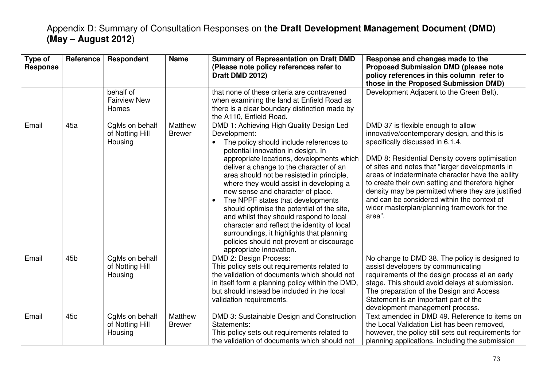| Type of<br><b>Response</b> | <b>Reference</b> | Respondent                                   | <b>Name</b>              | <b>Summary of Representation on Draft DMD</b><br>(Please note policy references refer to<br>Draft DMD 2012)                                                                                                                                                                                                                                                                                                                                                                                                                                                                                                                                                                   | Response and changes made to the<br><b>Proposed Submission DMD (please note</b><br>policy references in this column refer to<br>those in the Proposed Submission DMD)                                                                                                                                                                                                                                                                                                                            |
|----------------------------|------------------|----------------------------------------------|--------------------------|-------------------------------------------------------------------------------------------------------------------------------------------------------------------------------------------------------------------------------------------------------------------------------------------------------------------------------------------------------------------------------------------------------------------------------------------------------------------------------------------------------------------------------------------------------------------------------------------------------------------------------------------------------------------------------|--------------------------------------------------------------------------------------------------------------------------------------------------------------------------------------------------------------------------------------------------------------------------------------------------------------------------------------------------------------------------------------------------------------------------------------------------------------------------------------------------|
|                            |                  | behalf of<br><b>Fairview New</b><br>Homes    |                          | that none of these criteria are contravened<br>when examining the land at Enfield Road as<br>there is a clear boundary distinction made by<br>the A110, Enfield Road.                                                                                                                                                                                                                                                                                                                                                                                                                                                                                                         | Development Adjacent to the Green Belt).                                                                                                                                                                                                                                                                                                                                                                                                                                                         |
| Email                      | 45a              | CgMs on behalf<br>of Notting Hill<br>Housing | Matthew<br><b>Brewer</b> | DMD 1: Achieving High Quality Design Led<br>Development:<br>The policy should include references to<br>potential innovation in design. In<br>appropriate locations, developments which<br>deliver a change to the character of an<br>area should not be resisted in principle,<br>where they would assist in developing a<br>new sense and character of place.<br>The NPPF states that developments<br>$\bullet$<br>should optimise the potential of the site,<br>and whilst they should respond to local<br>character and reflect the identity of local<br>surroundings, it highlights that planning<br>policies should not prevent or discourage<br>appropriate innovation. | DMD 37 is flexible enough to allow<br>innovative/contemporary design, and this is<br>specifically discussed in 6.1.4.<br>DMD 8: Residential Density covers optimisation<br>of sites and notes that "larger developments in<br>areas of indeterminate character have the ability<br>to create their own setting and therefore higher<br>density may be permitted where they are justified<br>and can be considered within the context of<br>wider masterplan/planning framework for the<br>area". |
| Email                      | 45 <sub>b</sub>  | CgMs on behalf<br>of Notting Hill<br>Housing |                          | <b>DMD 2: Design Process:</b><br>This policy sets out requirements related to<br>the validation of documents which should not<br>in itself form a planning policy within the DMD,<br>but should instead be included in the local<br>validation requirements.                                                                                                                                                                                                                                                                                                                                                                                                                  | No change to DMD 38. The policy is designed to<br>assist developers by communicating<br>requirements of the design process at an early<br>stage. This should avoid delays at submission.<br>The preparation of the Design and Access<br>Statement is an important part of the<br>development management process.                                                                                                                                                                                 |
| Email                      | 45 <sub>c</sub>  | CgMs on behalf<br>of Notting Hill<br>Housing | Matthew<br><b>Brewer</b> | DMD 3: Sustainable Design and Construction<br>Statements:<br>This policy sets out requirements related to<br>the validation of documents which should not                                                                                                                                                                                                                                                                                                                                                                                                                                                                                                                     | Text amended in DMD 49. Reference to items on<br>the Local Validation List has been removed,<br>however, the policy still sets out requirements for<br>planning applications, including the submission                                                                                                                                                                                                                                                                                           |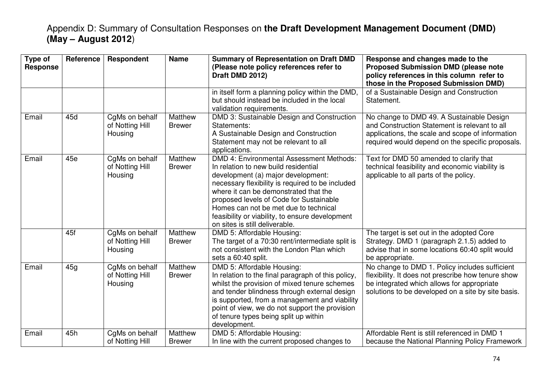| Type of<br><b>Response</b> | Reference | <b>Respondent</b>                            | <b>Name</b>              | <b>Summary of Representation on Draft DMD</b><br>(Please note policy references refer to<br>Draft DMD 2012)                                                                                                                                                                                                                                                                                         | Response and changes made to the<br><b>Proposed Submission DMD (please note</b><br>policy references in this column refer to<br>those in the Proposed Submission DMD)                                    |
|----------------------------|-----------|----------------------------------------------|--------------------------|-----------------------------------------------------------------------------------------------------------------------------------------------------------------------------------------------------------------------------------------------------------------------------------------------------------------------------------------------------------------------------------------------------|----------------------------------------------------------------------------------------------------------------------------------------------------------------------------------------------------------|
|                            |           |                                              |                          | in itself form a planning policy within the DMD,<br>but should instead be included in the local<br>validation requirements.                                                                                                                                                                                                                                                                         | of a Sustainable Design and Construction<br>Statement.                                                                                                                                                   |
| Email                      | 45d       | CgMs on behalf<br>of Notting Hill<br>Housing | Matthew<br><b>Brewer</b> | DMD 3: Sustainable Design and Construction<br>Statements:<br>A Sustainable Design and Construction<br>Statement may not be relevant to all<br>applications.                                                                                                                                                                                                                                         | No change to DMD 49. A Sustainable Design<br>and Construction Statement is relevant to all<br>applications, the scale and scope of information<br>required would depend on the specific proposals.       |
| Email                      | 45e       | CgMs on behalf<br>of Notting Hill<br>Housing | Matthew<br><b>Brewer</b> | <b>DMD 4: Environmental Assessment Methods:</b><br>In relation to new build residential<br>development (a) major development:<br>necessary flexibility is required to be included<br>where it can be demonstrated that the<br>proposed levels of Code for Sustainable<br>Homes can not be met due to technical<br>feasibility or viability, to ensure development<br>on sites is still deliverable. | Text for DMD 50 amended to clarify that<br>technical feasibility and economic viability is<br>applicable to all parts of the policy.                                                                     |
|                            | 45f       | CgMs on behalf<br>of Notting Hill<br>Housing | Matthew<br><b>Brewer</b> | DMD 5: Affordable Housing:<br>The target of a 70:30 rent/intermediate split is<br>not consistent with the London Plan which<br>sets a 60:40 split.                                                                                                                                                                                                                                                  | The target is set out in the adopted Core<br>Strategy. DMD 1 (paragraph 2.1.5) added to<br>advise that in some locations 60:40 split would<br>be appropriate.                                            |
| Email                      | 45g       | CgMs on behalf<br>of Notting Hill<br>Housing | Matthew<br><b>Brewer</b> | DMD 5: Affordable Housing:<br>In relation to the final paragraph of this policy,<br>whilst the provision of mixed tenure schemes<br>and tender blindness through external design<br>is supported, from a management and viability<br>point of view, we do not support the provision<br>of tenure types being split up within<br>development.                                                        | No change to DMD 1. Policy includes sufficient<br>flexibility. It does not prescribe how tenure show<br>be integrated which allows for appropriate<br>solutions to be developed on a site by site basis. |
| Email                      | 45h       | CgMs on behalf<br>of Notting Hill            | Matthew<br><b>Brewer</b> | DMD 5: Affordable Housing:<br>In line with the current proposed changes to                                                                                                                                                                                                                                                                                                                          | Affordable Rent is still referenced in DMD 1<br>because the National Planning Policy Framework                                                                                                           |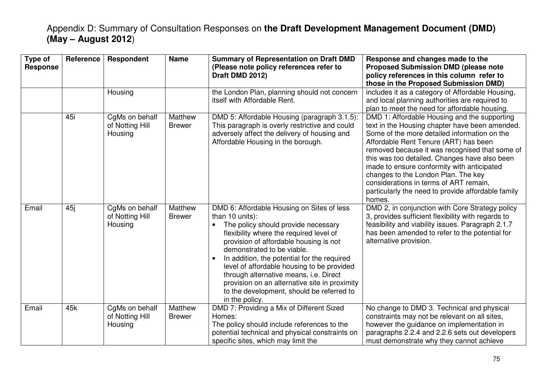| Type of<br><b>Response</b> | Reference | Respondent                                   | <b>Name</b>              | <b>Summary of Representation on Draft DMD</b><br>(Please note policy references refer to<br>Draft DMD 2012)                                                                                                                                                                                                                                                                                                                                                                                 | Response and changes made to the<br><b>Proposed Submission DMD (please note</b><br>policy references in this column refer to<br>those in the Proposed Submission DMD)                                                                                                                                                                                                                                                                                                                     |
|----------------------------|-----------|----------------------------------------------|--------------------------|---------------------------------------------------------------------------------------------------------------------------------------------------------------------------------------------------------------------------------------------------------------------------------------------------------------------------------------------------------------------------------------------------------------------------------------------------------------------------------------------|-------------------------------------------------------------------------------------------------------------------------------------------------------------------------------------------------------------------------------------------------------------------------------------------------------------------------------------------------------------------------------------------------------------------------------------------------------------------------------------------|
|                            |           | Housing                                      |                          | the London Plan, planning should not concern<br>itself with Affordable Rent.                                                                                                                                                                                                                                                                                                                                                                                                                | includes it as a category of Affordable Housing,<br>and local planning authorities are required to<br>plan to meet the need for affordable housing.                                                                                                                                                                                                                                                                                                                                       |
|                            | 45i       | CgMs on behalf<br>of Notting Hill<br>Housing | Matthew<br><b>Brewer</b> | DMD 5: Affordable Housing (paragraph 3.1.5)<br>This paragraph is overly restrictive and could<br>adversely affect the delivery of housing and<br>Affordable Housing in the borough.                                                                                                                                                                                                                                                                                                         | DMD 1: Affordable Housing and the supporting<br>text in the Housing chapter have been amended.<br>Some of the more detailed information on the<br>Affordable Rent Tenure (ART) has been<br>removed because it was recognised that some of<br>this was too detailed. Changes have also been<br>made to ensure conformity with anticipated<br>changes to the London Plan. The key<br>considerations in terms of ART remain,<br>particularly the need to provide affordable family<br>homes. |
| Email                      | 45j       | CgMs on behalf<br>of Notting Hill<br>Housing | Matthew<br><b>Brewer</b> | DMD 6: Affordable Housing on Sites of less<br>than 10 units):<br>The policy should provide necessary<br>flexibility where the required level of<br>provision of affordable housing is not<br>demonstrated to be viable.<br>In addition, the potential for the required<br>$\bullet$<br>level of affordable housing to be provided<br>through alternative means, i.e. Direct<br>provision on an alternative site in proximity<br>to the development, should be referred to<br>in the policy. | DMD 2, in conjunction with Core Strategy policy<br>3, provides sufficient flexibility with regards to<br>feasibility and viability issues. Paragraph 2.1.7<br>has been amended to refer to the potential for<br>alternative provision.                                                                                                                                                                                                                                                    |
| Email                      | 45k       | CgMs on behalf<br>of Notting Hill<br>Housing | Matthew<br><b>Brewer</b> | DMD 7: Providing a Mix of Different Sized<br>Homes:<br>The policy should include references to the<br>potential technical and physical constraints on<br>specific sites, which may limit the                                                                                                                                                                                                                                                                                                | No change to DMD 3. Technical and physical<br>constraints may not be relevant on all sites,<br>however the guidance on implementation in<br>paragraphs 2.2.4 and 2.2.6 sets out developers<br>must demonstrate why they cannot achieve                                                                                                                                                                                                                                                    |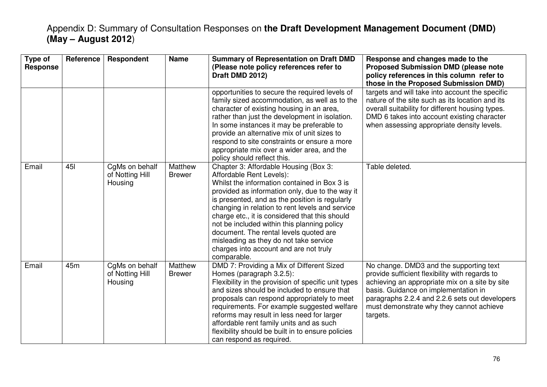| Type of<br><b>Response</b> | Reference | Respondent                                   | <b>Name</b>              | <b>Summary of Representation on Draft DMD</b><br>(Please note policy references refer to<br>Draft DMD 2012)                                                                                                                                                                                                                                                                                                                                                                                                             | Response and changes made to the<br><b>Proposed Submission DMD (please note</b><br>policy references in this column refer to<br>those in the Proposed Submission DMD)                                                                                                                         |
|----------------------------|-----------|----------------------------------------------|--------------------------|-------------------------------------------------------------------------------------------------------------------------------------------------------------------------------------------------------------------------------------------------------------------------------------------------------------------------------------------------------------------------------------------------------------------------------------------------------------------------------------------------------------------------|-----------------------------------------------------------------------------------------------------------------------------------------------------------------------------------------------------------------------------------------------------------------------------------------------|
|                            |           |                                              |                          | opportunities to secure the required levels of<br>family sized accommodation, as well as to the<br>character of existing housing in an area,<br>rather than just the development in isolation.<br>In some instances it may be preferable to<br>provide an alternative mix of unit sizes to<br>respond to site constraints or ensure a more<br>appropriate mix over a wider area, and the<br>policy should reflect this.                                                                                                 | targets and will take into account the specific<br>nature of the site such as its location and its<br>overall suitability for different housing types.<br>DMD 6 takes into account existing character<br>when assessing appropriate density levels.                                           |
| Email                      | 451       | CgMs on behalf<br>of Notting Hill<br>Housing | Matthew<br><b>Brewer</b> | Chapter 3: Affordable Housing (Box 3:<br>Affordable Rent Levels):<br>Whilst the information contained in Box 3 is<br>provided as information only, due to the way it<br>is presented, and as the position is regularly<br>changing in relation to rent levels and service<br>charge etc., it is considered that this should<br>not be included within this planning policy<br>document. The rental levels quoted are<br>misleading as they do not take service<br>charges into account and are not truly<br>comparable. | Table deleted.                                                                                                                                                                                                                                                                                |
| Email                      | 45m       | CgMs on behalf<br>of Notting Hill<br>Housing | Matthew<br><b>Brewer</b> | DMD 7: Providing a Mix of Different Sized<br>Homes (paragraph 3.2.5):<br>Flexibility in the provision of specific unit types<br>and sizes should be included to ensure that<br>proposals can respond appropriately to meet<br>requirements. For example suggested welfare<br>reforms may result in less need for larger<br>affordable rent family units and as such<br>flexibility should be built in to ensure policies<br>can respond as required.                                                                    | No change. DMD3 and the supporting text<br>provide sufficient flexibility with regards to<br>achieving an appropriate mix on a site by site<br>basis. Guidance on implementation in<br>paragraphs 2.2.4 and 2.2.6 sets out developers<br>must demonstrate why they cannot achieve<br>targets. |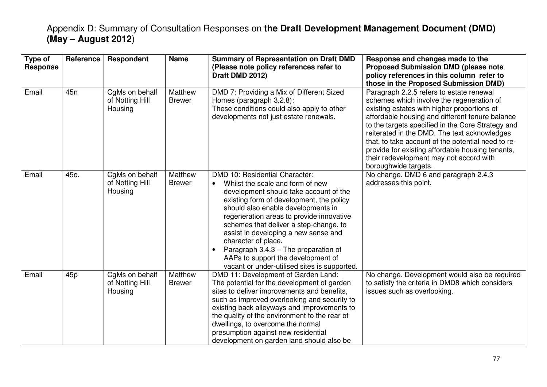| Type of<br><b>Response</b> | <b>Reference</b> | Respondent                                   | <b>Name</b>              | <b>Summary of Representation on Draft DMD</b><br>(Please note policy references refer to<br>Draft DMD 2012)                                                                                                                                                                                                                                                                                                                                                                                                 | Response and changes made to the<br><b>Proposed Submission DMD (please note</b><br>policy references in this column refer to<br>those in the Proposed Submission DMD)                                                                                                                                                                                                                                                                                                     |
|----------------------------|------------------|----------------------------------------------|--------------------------|-------------------------------------------------------------------------------------------------------------------------------------------------------------------------------------------------------------------------------------------------------------------------------------------------------------------------------------------------------------------------------------------------------------------------------------------------------------------------------------------------------------|---------------------------------------------------------------------------------------------------------------------------------------------------------------------------------------------------------------------------------------------------------------------------------------------------------------------------------------------------------------------------------------------------------------------------------------------------------------------------|
| Email                      | 45 <sub>n</sub>  | CgMs on behalf<br>of Notting Hill<br>Housing | Matthew<br><b>Brewer</b> | DMD 7: Providing a Mix of Different Sized<br>Homes (paragraph 3.2.8):<br>These conditions could also apply to other<br>developments not just estate renewals.                                                                                                                                                                                                                                                                                                                                               | Paragraph 2.2.5 refers to estate renewal<br>schemes which involve the regeneration of<br>existing estates with higher proportions of<br>affordable housing and different tenure balance<br>to the targets specified in the Core Strategy and<br>reiterated in the DMD. The text acknowledges<br>that, to take account of the potential need to re-<br>provide for existing affordable housing tenants,<br>their redevelopment may not accord with<br>boroughwide targets. |
| Email                      | 45o.             | CgMs on behalf<br>of Notting Hill<br>Housing | Matthew<br><b>Brewer</b> | DMD 10: Residential Character:<br>Whilst the scale and form of new<br>$\bullet$<br>development should take account of the<br>existing form of development, the policy<br>should also enable developments in<br>regeneration areas to provide innovative<br>schemes that deliver a step-change, to<br>assist in developing a new sense and<br>character of place.<br>Paragraph 3.4.3 - The preparation of<br>$\bullet$<br>AAPs to support the development of<br>vacant or under-utilised sites is supported. | No change. DMD 6 and paragraph 2.4.3<br>addresses this point.                                                                                                                                                                                                                                                                                                                                                                                                             |
| Email                      | 45p              | CgMs on behalf<br>of Notting Hill<br>Housing | Matthew<br><b>Brewer</b> | DMD 11: Development of Garden Land:<br>The potential for the development of garden<br>sites to deliver improvements and benefits,<br>such as improved overlooking and security to<br>existing back alleyways and improvements to<br>the quality of the environment to the rear of<br>dwellings, to overcome the normal<br>presumption against new residential<br>development on garden land should also be                                                                                                  | No change. Development would also be required<br>to satisfy the criteria in DMD8 which considers<br>issues such as overlooking.                                                                                                                                                                                                                                                                                                                                           |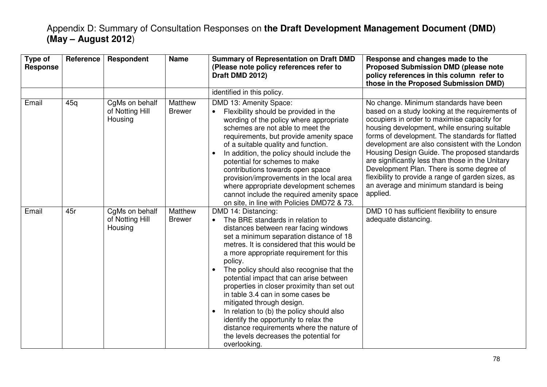| Type of<br><b>Response</b> | Reference | Respondent                                   | <b>Name</b>              | <b>Summary of Representation on Draft DMD</b><br>(Please note policy references refer to<br>Draft DMD 2012)                                                                                                                                                                                                                                                                                                                                                                                                                                                                                                                                                         | Response and changes made to the<br><b>Proposed Submission DMD (please note</b><br>policy references in this column refer to<br>those in the Proposed Submission DMD)                                                                                                                                                                                                                                                                                                                                                                                         |
|----------------------------|-----------|----------------------------------------------|--------------------------|---------------------------------------------------------------------------------------------------------------------------------------------------------------------------------------------------------------------------------------------------------------------------------------------------------------------------------------------------------------------------------------------------------------------------------------------------------------------------------------------------------------------------------------------------------------------------------------------------------------------------------------------------------------------|---------------------------------------------------------------------------------------------------------------------------------------------------------------------------------------------------------------------------------------------------------------------------------------------------------------------------------------------------------------------------------------------------------------------------------------------------------------------------------------------------------------------------------------------------------------|
|                            |           |                                              |                          | identified in this policy.                                                                                                                                                                                                                                                                                                                                                                                                                                                                                                                                                                                                                                          |                                                                                                                                                                                                                                                                                                                                                                                                                                                                                                                                                               |
| Email                      | 45q       | CgMs on behalf<br>of Notting Hill<br>Housing | Matthew<br><b>Brewer</b> | DMD 13: Amenity Space:<br>Flexibility should be provided in the<br>$\bullet$<br>wording of the policy where appropriate<br>schemes are not able to meet the<br>requirements, but provide amenity space<br>of a suitable quality and function.<br>In addition, the policy should include the<br>$\bullet$<br>potential for schemes to make<br>contributions towards open space<br>provision/improvements in the local area<br>where appropriate development schemes<br>cannot include the required amenity space<br>on site, in line with Policies DMD72 & 73.                                                                                                       | No change. Minimum standards have been<br>based on a study looking at the requirements of<br>occupiers in order to maximise capacity for<br>housing development, while ensuring suitable<br>forms of development. The standards for flatted<br>development are also consistent with the London<br>Housing Design Guide. The proposed standards<br>are significantly less than those in the Unitary<br>Development Plan. There is some degree of<br>flexibility to provide a range of garden sizes, as<br>an average and minimum standard is being<br>applied. |
| Email                      | 45r       | CgMs on behalf<br>of Notting Hill<br>Housing | Matthew<br><b>Brewer</b> | DMD 14: Distancing:<br>The BRE standards in relation to<br>distances between rear facing windows<br>set a minimum separation distance of 18<br>metres. It is considered that this would be<br>a more appropriate requirement for this<br>policy.<br>The policy should also recognise that the<br>potential impact that can arise between<br>properties in closer proximity than set out<br>in table 3.4 can in some cases be<br>mitigated through design.<br>In relation to (b) the policy should also<br>$\bullet$<br>identify the opportunity to relax the<br>distance requirements where the nature of<br>the levels decreases the potential for<br>overlooking. | DMD 10 has sufficient flexibility to ensure<br>adequate distancing.                                                                                                                                                                                                                                                                                                                                                                                                                                                                                           |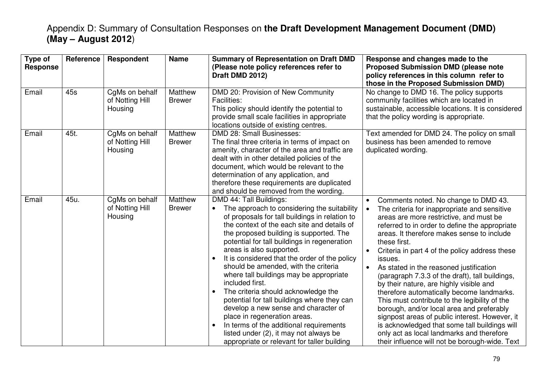| Type of<br><b>Response</b> | Reference | Respondent                                   | <b>Name</b>              | <b>Summary of Representation on Draft DMD</b><br>(Please note policy references refer to<br>Draft DMD 2012)                                                                                                                                                                                                                                                                                                                                                                                                                                                                                                                                                                                                                                                                                                 | Response and changes made to the<br><b>Proposed Submission DMD (please note</b><br>policy references in this column refer to<br>those in the Proposed Submission DMD)                                                                                                                                                                                                                                                                                                                                                                                                                                                                                                                                                                                                                                           |
|----------------------------|-----------|----------------------------------------------|--------------------------|-------------------------------------------------------------------------------------------------------------------------------------------------------------------------------------------------------------------------------------------------------------------------------------------------------------------------------------------------------------------------------------------------------------------------------------------------------------------------------------------------------------------------------------------------------------------------------------------------------------------------------------------------------------------------------------------------------------------------------------------------------------------------------------------------------------|-----------------------------------------------------------------------------------------------------------------------------------------------------------------------------------------------------------------------------------------------------------------------------------------------------------------------------------------------------------------------------------------------------------------------------------------------------------------------------------------------------------------------------------------------------------------------------------------------------------------------------------------------------------------------------------------------------------------------------------------------------------------------------------------------------------------|
| Email                      | 45s       | CgMs on behalf<br>of Notting Hill<br>Housing | Matthew<br><b>Brewer</b> | DMD 20: Provision of New Community<br><b>Facilities:</b><br>This policy should identify the potential to<br>provide small scale facilities in appropriate<br>locations outside of existing centres.                                                                                                                                                                                                                                                                                                                                                                                                                                                                                                                                                                                                         | No change to DMD 16. The policy supports<br>community facilities which are located in<br>sustainable, accessible locations. It is considered<br>that the policy wording is appropriate.                                                                                                                                                                                                                                                                                                                                                                                                                                                                                                                                                                                                                         |
| Email                      | 45t.      | CgMs on behalf<br>of Notting Hill<br>Housing | Matthew<br><b>Brewer</b> | DMD 28: Small Businesses:<br>The final three criteria in terms of impact on<br>amenity, character of the area and traffic are<br>dealt with in other detailed policies of the<br>document, which would be relevant to the<br>determination of any application, and<br>therefore these requirements are duplicated<br>and should be removed from the wording.                                                                                                                                                                                                                                                                                                                                                                                                                                                | Text amended for DMD 24. The policy on small<br>business has been amended to remove<br>duplicated wording.                                                                                                                                                                                                                                                                                                                                                                                                                                                                                                                                                                                                                                                                                                      |
| Email                      | 45u.      | CgMs on behalf<br>of Notting Hill<br>Housing | Matthew<br><b>Brewer</b> | DMD 44: Tall Buildings:<br>The approach to considering the suitability<br>$\bullet$<br>of proposals for tall buildings in relation to<br>the context of the each site and details of<br>the proposed building is supported. The<br>potential for tall buildings in regeneration<br>areas is also supported.<br>It is considered that the order of the policy<br>$\bullet$<br>should be amended, with the criteria<br>where tall buildings may be appropriate<br>included first.<br>The criteria should acknowledge the<br>$\bullet$<br>potential for tall buildings where they can<br>develop a new sense and character of<br>place in regeneration areas.<br>In terms of the additional requirements<br>$\bullet$<br>listed under (2), it may not always be<br>appropriate or relevant for taller building | Comments noted. No change to DMD 43.<br>The criteria for inappropriate and sensitive<br>areas are more restrictive, and must be<br>referred to in order to define the appropriate<br>areas. It therefore makes sense to include<br>these first.<br>Criteria in part 4 of the policy address these<br>issues.<br>As stated in the reasoned justification<br>$\bullet$<br>(paragraph 7.3.3 of the draft), tall buildings,<br>by their nature, are highly visible and<br>therefore automatically become landmarks.<br>This must contribute to the legibility of the<br>borough, and/or local area and preferably<br>signpost areas of public interest. However, it<br>is acknowledged that some tall buildings will<br>only act as local landmarks and therefore<br>their influence will not be borough-wide. Text |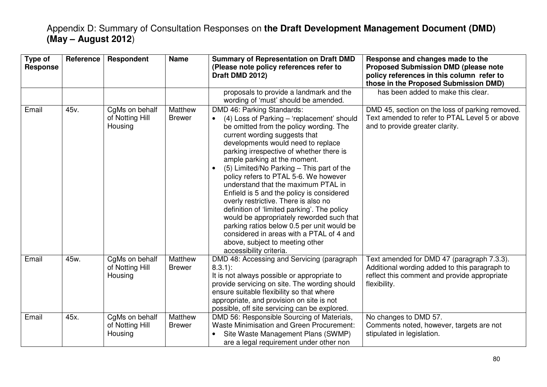| Type of<br><b>Response</b> | Reference | Respondent                                   | <b>Name</b>              | <b>Summary of Representation on Draft DMD</b><br>(Please note policy references refer to<br>Draft DMD 2012)                                                                                                                                                                                                                                                                                                                                                                                                                                                                                                                                                                                                                                                            | Response and changes made to the<br><b>Proposed Submission DMD (please note</b><br>policy references in this column refer to<br>those in the Proposed Submission DMD) |
|----------------------------|-----------|----------------------------------------------|--------------------------|------------------------------------------------------------------------------------------------------------------------------------------------------------------------------------------------------------------------------------------------------------------------------------------------------------------------------------------------------------------------------------------------------------------------------------------------------------------------------------------------------------------------------------------------------------------------------------------------------------------------------------------------------------------------------------------------------------------------------------------------------------------------|-----------------------------------------------------------------------------------------------------------------------------------------------------------------------|
|                            |           |                                              |                          | proposals to provide a landmark and the<br>wording of 'must' should be amended.                                                                                                                                                                                                                                                                                                                                                                                                                                                                                                                                                                                                                                                                                        | has been added to make this clear.                                                                                                                                    |
| Email                      | 45v.      | CgMs on behalf<br>of Notting Hill<br>Housing | Matthew<br><b>Brewer</b> | DMD 46: Parking Standards:<br>(4) Loss of Parking - 'replacement' should<br>$\bullet$<br>be omitted from the policy wording. The<br>current wording suggests that<br>developments would need to replace<br>parking irrespective of whether there is<br>ample parking at the moment.<br>(5) Limited/No Parking - This part of the<br>$\bullet$<br>policy refers to PTAL 5-6. We however<br>understand that the maximum PTAL in<br>Enfield is 5 and the policy is considered<br>overly restrictive. There is also no<br>definition of 'limited parking'. The policy<br>would be appropriately reworded such that<br>parking ratios below 0.5 per unit would be<br>considered in areas with a PTAL of 4 and<br>above, subject to meeting other<br>accessibility criteria. | DMD 45, section on the loss of parking removed.<br>Text amended to refer to PTAL Level 5 or above<br>and to provide greater clarity.                                  |
| Email                      | 45w.      | CgMs on behalf<br>of Notting Hill<br>Housing | Matthew<br><b>Brewer</b> | DMD 48: Accessing and Servicing (paragraph<br>$8.3.1$ :<br>It is not always possible or appropriate to<br>provide servicing on site. The wording should<br>ensure suitable flexibility so that where<br>appropriate, and provision on site is not<br>possible, off site servicing can be explored.                                                                                                                                                                                                                                                                                                                                                                                                                                                                     | Text amended for DMD 47 (paragraph 7.3.3).<br>Additional wording added to this paragraph to<br>reflect this comment and provide appropriate<br>flexibility.           |
| Email                      | 45x.      | CgMs on behalf<br>of Notting Hill<br>Housing | Matthew<br><b>Brewer</b> | DMD 56: Responsible Sourcing of Materials,<br><b>Waste Minimisation and Green Procurement:</b><br>Site Waste Management Plans (SWMP)<br>are a legal requirement under other non                                                                                                                                                                                                                                                                                                                                                                                                                                                                                                                                                                                        | No changes to DMD 57.<br>Comments noted, however, targets are not<br>stipulated in legislation.                                                                       |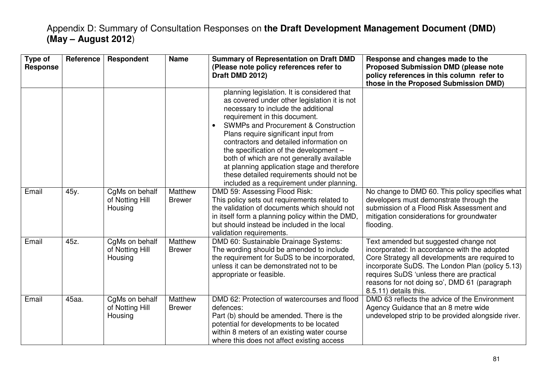| Type of<br><b>Response</b> | <b>Reference</b> | <b>Respondent</b>                            | <b>Name</b>              | <b>Summary of Representation on Draft DMD</b><br>(Please note policy references refer to<br>Draft DMD 2012)                                                                                                                                                                                                                                                                                                                                                                                                                                                                                                                                                                             | Response and changes made to the<br><b>Proposed Submission DMD (please note</b><br>policy references in this column refer to<br>those in the Proposed Submission DMD)                                                                                                                                            |
|----------------------------|------------------|----------------------------------------------|--------------------------|-----------------------------------------------------------------------------------------------------------------------------------------------------------------------------------------------------------------------------------------------------------------------------------------------------------------------------------------------------------------------------------------------------------------------------------------------------------------------------------------------------------------------------------------------------------------------------------------------------------------------------------------------------------------------------------------|------------------------------------------------------------------------------------------------------------------------------------------------------------------------------------------------------------------------------------------------------------------------------------------------------------------|
| Email                      | 45y.             | CgMs on behalf<br>of Notting Hill<br>Housing | Matthew<br><b>Brewer</b> | planning legislation. It is considered that<br>as covered under other legislation it is not<br>necessary to include the additional<br>requirement in this document.<br><b>SWMPs and Procurement &amp; Construction</b><br>$\bullet$<br>Plans require significant input from<br>contractors and detailed information on<br>the specification of the development -<br>both of which are not generally available<br>at planning application stage and therefore<br>these detailed requirements should not be<br>included as a requirement under planning.<br>DMD 59: Assessing Flood Risk:<br>This policy sets out requirements related to<br>the validation of documents which should not | No change to DMD 60. This policy specifies what<br>developers must demonstrate through the<br>submission of a Flood Risk Assessment and                                                                                                                                                                          |
|                            |                  |                                              |                          | in itself form a planning policy within the DMD,<br>but should instead be included in the local<br>validation requirements.                                                                                                                                                                                                                                                                                                                                                                                                                                                                                                                                                             | mitigation considerations for groundwater<br>flooding.                                                                                                                                                                                                                                                           |
| Email                      | 45z.             | CgMs on behalf<br>of Notting Hill<br>Housing | Matthew<br><b>Brewer</b> | DMD 60: Sustainable Drainage Systems:<br>The wording should be amended to include<br>the requirement for SuDS to be incorporated,<br>unless it can be demonstrated not to be<br>appropriate or feasible.                                                                                                                                                                                                                                                                                                                                                                                                                                                                                | Text amended but suggested change not<br>incorporated: In accordance with the adopted<br>Core Strategy all developments are required to<br>incorporate SuDS. The London Plan (policy 5.13)<br>requires SuDS 'unless there are practical<br>reasons for not doing so', DMD 61 (paragraph<br>8.5.11) details this. |
| Email                      | 45aa.            | CgMs on behalf<br>of Notting Hill<br>Housing | Matthew<br><b>Brewer</b> | DMD 62: Protection of watercourses and flood<br>defences:<br>Part (b) should be amended. There is the<br>potential for developments to be located<br>within 8 meters of an existing water course<br>where this does not affect existing access                                                                                                                                                                                                                                                                                                                                                                                                                                          | DMD 63 reflects the advice of the Environment<br>Agency Guidance that an 8 metre wide<br>undeveloped strip to be provided alongside river.                                                                                                                                                                       |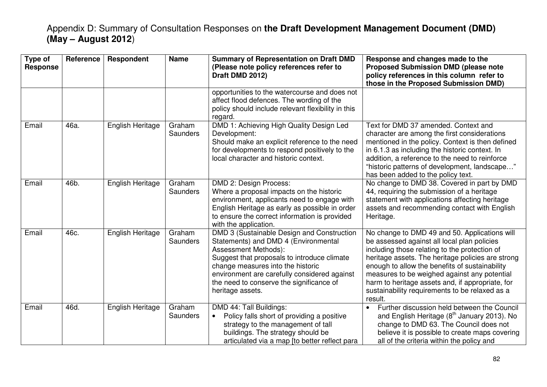| Type of<br><b>Response</b> | Reference | Respondent       | <b>Name</b>        | <b>Summary of Representation on Draft DMD</b><br>(Please note policy references refer to<br>Draft DMD 2012)                                                                                                                                                                                                    | Response and changes made to the<br><b>Proposed Submission DMD (please note</b><br>policy references in this column refer to<br>those in the Proposed Submission DMD)                                                                                                                                                                                                                                                 |
|----------------------------|-----------|------------------|--------------------|----------------------------------------------------------------------------------------------------------------------------------------------------------------------------------------------------------------------------------------------------------------------------------------------------------------|-----------------------------------------------------------------------------------------------------------------------------------------------------------------------------------------------------------------------------------------------------------------------------------------------------------------------------------------------------------------------------------------------------------------------|
|                            |           |                  |                    | opportunities to the watercourse and does not<br>affect flood defences. The wording of the<br>policy should include relevant flexibility in this<br>regard.                                                                                                                                                    |                                                                                                                                                                                                                                                                                                                                                                                                                       |
| Email                      | 46a.      | English Heritage | Graham<br>Saunders | DMD 1: Achieving High Quality Design Led<br>Development:<br>Should make an explicit reference to the need<br>for developments to respond positively to the<br>local character and historic context.                                                                                                            | Text for DMD 37 amended. Context and<br>character are among the first considerations<br>mentioned in the policy. Context is then defined<br>in 6.1.3 as including the historic context. In<br>addition, a reference to the need to reinforce<br>"historic patterns of development, landscape"<br>has been added to the policy text.                                                                                   |
| Email                      | 46b.      | English Heritage | Graham<br>Saunders | DMD 2: Design Process:<br>Where a proposal impacts on the historic<br>environment, applicants need to engage with<br>English Heritage as early as possible in order<br>to ensure the correct information is provided<br>with the application.                                                                  | No change to DMD 38. Covered in part by DMD<br>44, requiring the submission of a heritage<br>statement with applications affecting heritage<br>assets and recommending contact with English<br>Heritage.                                                                                                                                                                                                              |
| Email                      | 46c.      | English Heritage | Graham<br>Saunders | DMD 3 (Sustainable Design and Construction<br>Statements) and DMD 4 (Environmental<br>Assessment Methods):<br>Suggest that proposals to introduce climate<br>change measures into the historic<br>environment are carefully considered against<br>the need to conserve the significance of<br>heritage assets. | No change to DMD 49 and 50. Applications will<br>be assessed against all local plan policies<br>including those relating to the protection of<br>heritage assets. The heritage policies are strong<br>enough to allow the benefits of sustainability<br>measures to be weighed against any potential<br>harm to heritage assets and, if appropriate, for<br>sustainability requirements to be relaxed as a<br>result. |
| Email                      | 46d.      | English Heritage | Graham<br>Saunders | DMD 44: Tall Buildings:<br>Policy falls short of providing a positive<br>$\bullet$<br>strategy to the management of tall<br>buildings. The strategy should be<br>articulated via a map [to better reflect para                                                                                                 | Further discussion held between the Council<br>$\bullet$<br>and English Heritage (8 <sup>th</sup> January 2013). No<br>change to DMD 63. The Council does not<br>believe it is possible to create maps covering<br>all of the criteria within the policy and                                                                                                                                                          |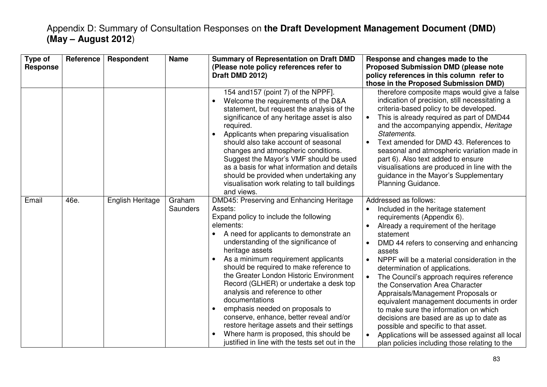| Type of<br><b>Response</b> | Reference | <b>Respondent</b> | <b>Name</b>        | <b>Summary of Representation on Draft DMD</b><br>(Please note policy references refer to<br>Draft DMD 2012)                                                                                                                                                                                                                                                                                                                                                                                                                                                                                                                                                                                     | Response and changes made to the<br><b>Proposed Submission DMD (please note</b><br>policy references in this column refer to<br>those in the Proposed Submission DMD)                                                                                                                                                                                                                                                                                                                                                                                                                                                                                                                                    |
|----------------------------|-----------|-------------------|--------------------|-------------------------------------------------------------------------------------------------------------------------------------------------------------------------------------------------------------------------------------------------------------------------------------------------------------------------------------------------------------------------------------------------------------------------------------------------------------------------------------------------------------------------------------------------------------------------------------------------------------------------------------------------------------------------------------------------|----------------------------------------------------------------------------------------------------------------------------------------------------------------------------------------------------------------------------------------------------------------------------------------------------------------------------------------------------------------------------------------------------------------------------------------------------------------------------------------------------------------------------------------------------------------------------------------------------------------------------------------------------------------------------------------------------------|
|                            |           |                   |                    | 154 and 157 (point 7) of the NPPF].<br>Welcome the requirements of the D&A<br>statement, but request the analysis of the<br>significance of any heritage asset is also<br>required.<br>Applicants when preparing visualisation<br>$\bullet$<br>should also take account of seasonal<br>changes and atmospheric conditions.<br>Suggest the Mayor's VMF should be used<br>as a basis for what information and details<br>should be provided when undertaking any<br>visualisation work relating to tall buildings<br>and views.                                                                                                                                                                   | therefore composite maps would give a false<br>indication of precision, still necessitating a<br>criteria-based policy to be developed.<br>This is already required as part of DMD44<br>and the accompanying appendix, Heritage<br>Statements.<br>Text amended for DMD 43. References to<br>seasonal and atmospheric variation made in<br>part 6). Also text added to ensure<br>visualisations are produced in line with the<br>guidance in the Mayor's Supplementary<br>Planning Guidance.                                                                                                                                                                                                              |
| Email                      | 46e.      | English Heritage  | Graham<br>Saunders | DMD45: Preserving and Enhancing Heritage<br>Assets:<br>Expand policy to include the following<br>elements:<br>A need for applicants to demonstrate an<br>understanding of the significance of<br>heritage assets<br>As a minimum requirement applicants<br>should be required to make reference to<br>the Greater London Historic Environment<br>Record (GLHER) or undertake a desk top<br>analysis and reference to other<br>documentations<br>emphasis needed on proposals to<br>$\bullet$<br>conserve, enhance, better reveal and/or<br>restore heritage assets and their settings<br>Where harm is proposed, this should be<br>$\bullet$<br>justified in line with the tests set out in the | Addressed as follows:<br>Included in the heritage statement<br>requirements (Appendix 6).<br>Already a requirement of the heritage<br>statement<br>DMD 44 refers to conserving and enhancing<br>assets<br>NPPF will be a material consideration in the<br>$\bullet$<br>determination of applications.<br>The Council's approach requires reference<br>the Conservation Area Character<br>Appraisals/Management Proposals or<br>equivalent management documents in order<br>to make sure the information on which<br>decisions are based are as up to date as<br>possible and specific to that asset.<br>Applications will be assessed against all local<br>plan policies including those relating to the |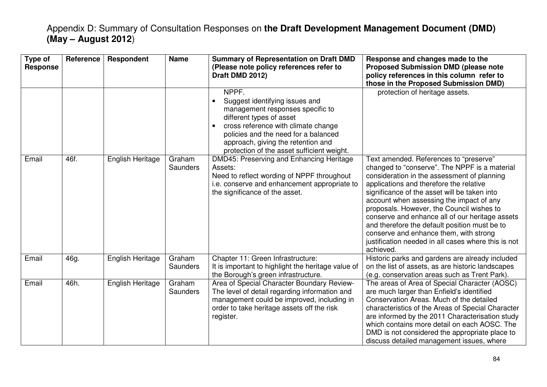| Type of<br><b>Response</b> | <b>Reference</b> | Respondent       | <b>Name</b>        | <b>Summary of Representation on Draft DMD</b><br>(Please note policy references refer to<br>Draft DMD 2012)                                                                                                                                                                                          | Response and changes made to the<br><b>Proposed Submission DMD (please note</b><br>policy references in this column refer to<br>those in the Proposed Submission DMD)                                                                                                                                                                                                                                                                                                                                                                        |
|----------------------------|------------------|------------------|--------------------|------------------------------------------------------------------------------------------------------------------------------------------------------------------------------------------------------------------------------------------------------------------------------------------------------|----------------------------------------------------------------------------------------------------------------------------------------------------------------------------------------------------------------------------------------------------------------------------------------------------------------------------------------------------------------------------------------------------------------------------------------------------------------------------------------------------------------------------------------------|
|                            |                  |                  |                    | NPPF.<br>Suggest identifying issues and<br>$\bullet$<br>management responses specific to<br>different types of asset<br>cross reference with climate change<br>$\bullet$<br>policies and the need for a balanced<br>approach, giving the retention and<br>protection of the asset sufficient weight. | protection of heritage assets.                                                                                                                                                                                                                                                                                                                                                                                                                                                                                                               |
| Email                      | 46f.             | English Heritage | Graham<br>Saunders | DMD45: Preserving and Enhancing Heritage<br>Assets:<br>Need to reflect wording of NPPF throughout<br>i.e. conserve and enhancement appropriate to<br>the significance of the asset.                                                                                                                  | Text amended. References to "preserve"<br>changed to "conserve". The NPPF is a material<br>consideration in the assessment of planning<br>applications and therefore the relative<br>significance of the asset will be taken into<br>account when assessing the impact of any<br>proposals. However, the Council wishes to<br>conserve and enhance all of our heritage assets<br>and therefore the default position must be to<br>conserve and enhance them, with strong<br>justification needed in all cases where this is not<br>achieved. |
| Email                      | 46g.             | English Heritage | Graham<br>Saunders | Chapter 11: Green Infrastructure:<br>It is important to highlight the heritage value of<br>the Borough's green infrastructure.                                                                                                                                                                       | Historic parks and gardens are already included<br>on the list of assets, as are historic landscapes<br>(e.g. conservation areas such as Trent Park).                                                                                                                                                                                                                                                                                                                                                                                        |
| Email                      | 46h.             | English Heritage | Graham<br>Saunders | Area of Special Character Boundary Review-<br>The level of detail regarding information and<br>management could be improved, including in<br>order to take heritage assets off the risk<br>register.                                                                                                 | The areas of Area of Special Character (AOSC)<br>are much larger than Enfield's identified<br>Conservation Areas. Much of the detailed<br>characteristics of the Areas of Special Character<br>are informed by the 2011 Characterisation study<br>which contains more detail on each AOSC. The<br>DMD is not considered the appropriate place to<br>discuss detailed management issues, where                                                                                                                                                |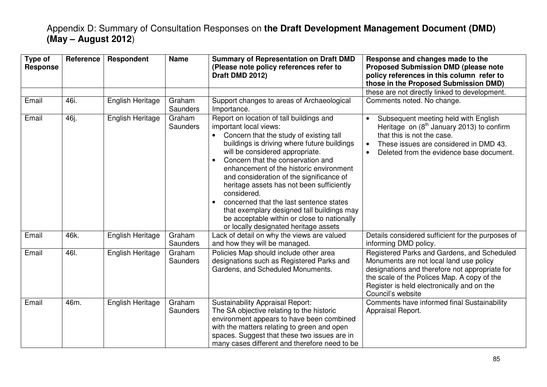| Type of<br><b>Response</b> | Reference | Respondent       | <b>Name</b>               | <b>Summary of Representation on Draft DMD</b><br>(Please note policy references refer to<br>Draft DMD 2012)                                                                                                                                                                                                                                                                                                                                                                                                                                                                           | Response and changes made to the<br><b>Proposed Submission DMD (please note</b><br>policy references in this column refer to<br>those in the Proposed Submission DMD)                                                                                      |
|----------------------------|-----------|------------------|---------------------------|---------------------------------------------------------------------------------------------------------------------------------------------------------------------------------------------------------------------------------------------------------------------------------------------------------------------------------------------------------------------------------------------------------------------------------------------------------------------------------------------------------------------------------------------------------------------------------------|------------------------------------------------------------------------------------------------------------------------------------------------------------------------------------------------------------------------------------------------------------|
|                            |           |                  |                           |                                                                                                                                                                                                                                                                                                                                                                                                                                                                                                                                                                                       | these are not directly linked to development.                                                                                                                                                                                                              |
| Email                      | 46i.      | English Heritage | Graham<br><b>Saunders</b> | Support changes to areas of Archaeological<br>Importance.                                                                                                                                                                                                                                                                                                                                                                                                                                                                                                                             | Comments noted. No change.                                                                                                                                                                                                                                 |
| Email                      | 46j.      | English Heritage | Graham<br><b>Saunders</b> | Report on location of tall buildings and<br>important local views:<br>Concern that the study of existing tall<br>buildings is driving where future buildings<br>will be considered appropriate.<br>Concern that the conservation and<br>$\bullet$<br>enhancement of the historic environment<br>and consideration of the significance of<br>heritage assets has not been sufficiently<br>considered.<br>concerned that the last sentence states<br>that exemplary designed tall buildings may<br>be acceptable within or close to nationally<br>or locally designated heritage assets | Subsequent meeting held with English<br>Heritage on $(8th$ January 2013) to confirm<br>that this is not the case.<br>These issues are considered in DMD 43.<br>Deleted from the evidence base document.                                                    |
| Email                      | 46k.      | English Heritage | Graham<br>Saunders        | Lack of detail on why the views are valued<br>and how they will be managed.                                                                                                                                                                                                                                                                                                                                                                                                                                                                                                           | Details considered sufficient for the purposes of<br>informing DMD policy.                                                                                                                                                                                 |
| Email                      | 46I.      | English Heritage | Graham<br>Saunders        | Policies Map should include other area<br>designations such as Registered Parks and<br>Gardens, and Scheduled Monuments.                                                                                                                                                                                                                                                                                                                                                                                                                                                              | Registered Parks and Gardens, and Scheduled<br>Monuments are not local land use policy<br>designations and therefore not appropriate for<br>the scale of the Polices Map. A copy of the<br>Register is held electronically and on the<br>Council's website |
| Email                      | 46m.      | English Heritage | Graham<br><b>Saunders</b> | <b>Sustainability Appraisal Report:</b><br>The SA objective relating to the historic<br>environment appears to have been combined<br>with the matters relating to green and open<br>spaces. Suggest that these two issues are in<br>many cases different and therefore need to be                                                                                                                                                                                                                                                                                                     | Comments have informed final Sustainability<br>Appraisal Report.                                                                                                                                                                                           |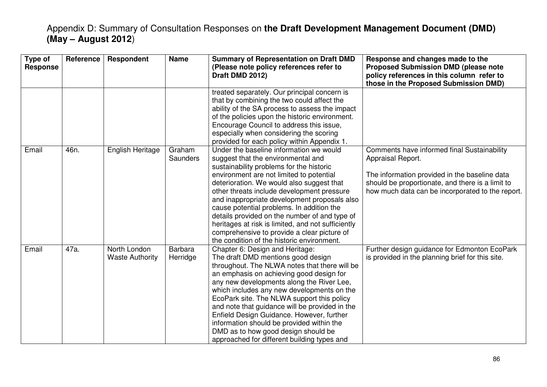| Type of<br><b>Response</b> | Reference | Respondent                             | <b>Name</b>                | <b>Summary of Representation on Draft DMD</b><br>(Please note policy references refer to<br>Draft DMD 2012)                                                                                                                                                                                                                                                                                                                                                                                                                                                       | Response and changes made to the<br><b>Proposed Submission DMD (please note</b><br>policy references in this column refer to<br>those in the Proposed Submission DMD)                                                     |
|----------------------------|-----------|----------------------------------------|----------------------------|-------------------------------------------------------------------------------------------------------------------------------------------------------------------------------------------------------------------------------------------------------------------------------------------------------------------------------------------------------------------------------------------------------------------------------------------------------------------------------------------------------------------------------------------------------------------|---------------------------------------------------------------------------------------------------------------------------------------------------------------------------------------------------------------------------|
|                            |           |                                        |                            | treated separately. Our principal concern is<br>that by combining the two could affect the<br>ability of the SA process to assess the impact<br>of the policies upon the historic environment.<br>Encourage Council to address this issue,<br>especially when considering the scoring<br>provided for each policy within Appendix 1.                                                                                                                                                                                                                              |                                                                                                                                                                                                                           |
| Email                      | 46n.      | English Heritage                       | Graham<br>Saunders         | Under the baseline information we would<br>suggest that the environmental and<br>sustainability problems for the historic<br>environment are not limited to potential<br>deterioration. We would also suggest that<br>other threats include development pressure<br>and inappropriate development proposals also<br>cause potential problems. In addition the<br>details provided on the number of and type of<br>heritages at risk is limited, and not sufficiently<br>comprehensive to provide a clear picture of<br>the condition of the historic environment. | Comments have informed final Sustainability<br>Appraisal Report.<br>The information provided in the baseline data<br>should be proportionate, and there is a limit to<br>how much data can be incorporated to the report. |
| Email                      | 47a.      | North London<br><b>Waste Authority</b> | <b>Barbara</b><br>Herridge | Chapter 6: Design and Heritage:<br>The draft DMD mentions good design<br>throughout. The NLWA notes that there will be<br>an emphasis on achieving good design for<br>any new developments along the River Lee,<br>which includes any new developments on the<br>EcoPark site. The NLWA support this policy<br>and note that guidance will be provided in the<br>Enfield Design Guidance. However, further<br>information should be provided within the<br>DMD as to how good design should be<br>approached for different building types and                     | Further design guidance for Edmonton EcoPark<br>is provided in the planning brief for this site.                                                                                                                          |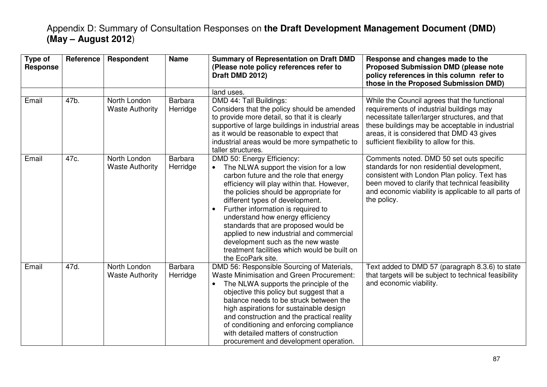| Type of<br><b>Response</b> | Reference | <b>Respondent</b>                      | <b>Name</b>                | <b>Summary of Representation on Draft DMD</b><br>(Please note policy references refer to<br>Draft DMD 2012)                                                                                                                                                                                                                                                                                                                                                                                                      | Response and changes made to the<br><b>Proposed Submission DMD (please note</b><br>policy references in this column refer to<br>those in the Proposed Submission DMD)                                                                                                                   |
|----------------------------|-----------|----------------------------------------|----------------------------|------------------------------------------------------------------------------------------------------------------------------------------------------------------------------------------------------------------------------------------------------------------------------------------------------------------------------------------------------------------------------------------------------------------------------------------------------------------------------------------------------------------|-----------------------------------------------------------------------------------------------------------------------------------------------------------------------------------------------------------------------------------------------------------------------------------------|
|                            |           |                                        |                            | land uses.                                                                                                                                                                                                                                                                                                                                                                                                                                                                                                       |                                                                                                                                                                                                                                                                                         |
| Email                      | 47b.      | North London<br><b>Waste Authority</b> | <b>Barbara</b><br>Herridge | DMD 44: Tall Buildings:<br>Considers that the policy should be amended<br>to provide more detail, so that it is clearly<br>supportive of large buildings in industrial areas<br>as it would be reasonable to expect that<br>industrial areas would be more sympathetic to<br>taller structures.                                                                                                                                                                                                                  | While the Council agrees that the functional<br>requirements of industrial buildings may<br>necessitate taller/larger structures, and that<br>these buildings may be acceptable in industrial<br>areas, it is considered that DMD 43 gives<br>sufficient flexibility to allow for this. |
| Email                      | 47c.      | North London<br><b>Waste Authority</b> | <b>Barbara</b><br>Herridge | DMD 50: Energy Efficiency:<br>The NLWA support the vision for a low<br>carbon future and the role that energy<br>efficiency will play within that. However,<br>the policies should be appropriate for<br>different types of development.<br>Further information is required to<br>understand how energy efficiency<br>standards that are proposed would be<br>applied to new industrial and commercial<br>development such as the new waste<br>treatment facilities which would be built on<br>the EcoPark site. | Comments noted. DMD 50 set outs specific<br>standards for non residential development,<br>consistent with London Plan policy. Text has<br>been moved to clarify that technical feasibility<br>and economic viability is applicable to all parts of<br>the policy.                       |
| Email                      | 47d.      | North London<br><b>Waste Authority</b> | <b>Barbara</b><br>Herridge | DMD 56: Responsible Sourcing of Materials,<br><b>Waste Minimisation and Green Procurement:</b><br>The NLWA supports the principle of the<br>objective this policy but suggest that a<br>balance needs to be struck between the<br>high aspirations for sustainable design<br>and construction and the practical reality<br>of conditioning and enforcing compliance<br>with detailed matters of construction<br>procurement and development operation.                                                           | Text added to DMD 57 (paragraph 8.3.6) to state<br>that targets will be subject to technical feasibility<br>and economic viability.                                                                                                                                                     |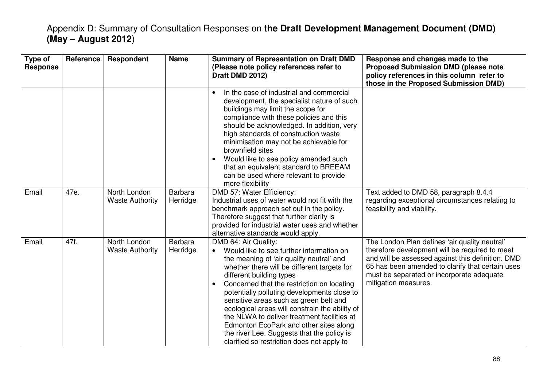| Type of<br><b>Response</b> | Reference | Respondent                             | <b>Name</b>                | <b>Summary of Representation on Draft DMD</b><br>(Please note policy references refer to<br>Draft DMD 2012)                                                                                                                                                                                                                                                                                                                                                                                                                                                                                     | Response and changes made to the<br><b>Proposed Submission DMD (please note</b><br>policy references in this column refer to<br>those in the Proposed Submission DMD)                                                                                                         |
|----------------------------|-----------|----------------------------------------|----------------------------|-------------------------------------------------------------------------------------------------------------------------------------------------------------------------------------------------------------------------------------------------------------------------------------------------------------------------------------------------------------------------------------------------------------------------------------------------------------------------------------------------------------------------------------------------------------------------------------------------|-------------------------------------------------------------------------------------------------------------------------------------------------------------------------------------------------------------------------------------------------------------------------------|
|                            |           |                                        |                            | In the case of industrial and commercial<br>$\bullet$<br>development, the specialist nature of such<br>buildings may limit the scope for<br>compliance with these policies and this<br>should be acknowledged. In addition, very<br>high standards of construction waste<br>minimisation may not be achievable for<br>brownfield sites<br>Would like to see policy amended such<br>$\bullet$<br>that an equivalent standard to BREEAM<br>can be used where relevant to provide<br>more flexibility                                                                                              |                                                                                                                                                                                                                                                                               |
| Email                      | 47e.      | North London<br><b>Waste Authority</b> | Barbara<br>Herridge        | DMD 57: Water Efficiency:<br>Industrial uses of water would not fit with the<br>benchmark approach set out in the policy.<br>Therefore suggest that further clarity is<br>provided for industrial water uses and whether<br>alternative standards would apply.                                                                                                                                                                                                                                                                                                                                  | Text added to DMD 58, paragraph 8.4.4<br>regarding exceptional circumstances relating to<br>feasibility and viability.                                                                                                                                                        |
| Email                      | 47f.      | North London<br><b>Waste Authority</b> | <b>Barbara</b><br>Herridge | DMD 64: Air Quality:<br>Would like to see further information on<br>$\bullet$<br>the meaning of 'air quality neutral' and<br>whether there will be different targets for<br>different building types<br>Concerned that the restriction on locating<br>$\bullet$<br>potentially polluting developments close to<br>sensitive areas such as green belt and<br>ecological areas will constrain the ability of<br>the NLWA to deliver treatment facilities at<br>Edmonton EcoPark and other sites along<br>the river Lee. Suggests that the policy is<br>clarified so restriction does not apply to | The London Plan defines 'air quality neutral'<br>therefore development will be required to meet<br>and will be assessed against this definition. DMD<br>65 has been amended to clarify that certain uses<br>must be separated or incorporate adequate<br>mitigation measures. |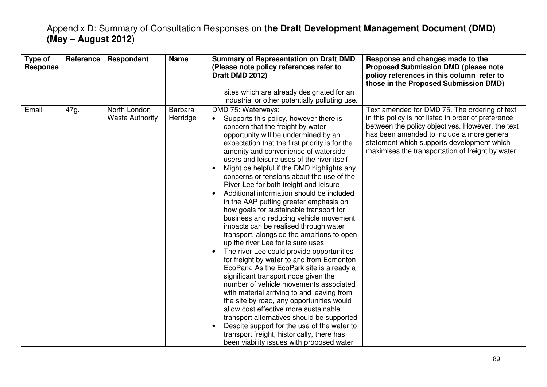| Type of<br>Reference<br><b>Response</b> | Respondent                             | <b>Name</b>                | <b>Summary of Representation on Draft DMD</b><br>(Please note policy references refer to<br>Draft DMD 2012)                                                                                                                                                                                                                                                                                                                                                                                                                                                                                                                                                                                                                                                                                                                                                                                                                                                                                                                                                                                                                                                                                                                                                                                                                 | Response and changes made to the<br><b>Proposed Submission DMD (please note</b><br>policy references in this column refer to<br>those in the Proposed Submission DMD)                                                                                                                                     |
|-----------------------------------------|----------------------------------------|----------------------------|-----------------------------------------------------------------------------------------------------------------------------------------------------------------------------------------------------------------------------------------------------------------------------------------------------------------------------------------------------------------------------------------------------------------------------------------------------------------------------------------------------------------------------------------------------------------------------------------------------------------------------------------------------------------------------------------------------------------------------------------------------------------------------------------------------------------------------------------------------------------------------------------------------------------------------------------------------------------------------------------------------------------------------------------------------------------------------------------------------------------------------------------------------------------------------------------------------------------------------------------------------------------------------------------------------------------------------|-----------------------------------------------------------------------------------------------------------------------------------------------------------------------------------------------------------------------------------------------------------------------------------------------------------|
|                                         |                                        |                            | sites which are already designated for an<br>industrial or other potentially polluting use.                                                                                                                                                                                                                                                                                                                                                                                                                                                                                                                                                                                                                                                                                                                                                                                                                                                                                                                                                                                                                                                                                                                                                                                                                                 |                                                                                                                                                                                                                                                                                                           |
| Email<br>47g.                           | North London<br><b>Waste Authority</b> | <b>Barbara</b><br>Herridge | DMD 75: Waterways:<br>Supports this policy, however there is<br>$\bullet$<br>concern that the freight by water<br>opportunity will be undermined by an<br>expectation that the first priority is for the<br>amenity and convenience of waterside<br>users and leisure uses of the river itself<br>Might be helpful if the DMD highlights any<br>concerns or tensions about the use of the<br>River Lee for both freight and leisure<br>Additional information should be included<br>in the AAP putting greater emphasis on<br>how goals for sustainable transport for<br>business and reducing vehicle movement<br>impacts can be realised through water<br>transport, alongside the ambitions to open<br>up the river Lee for leisure uses.<br>The river Lee could provide opportunities<br>$\bullet$<br>for freight by water to and from Edmonton<br>EcoPark. As the EcoPark site is already a<br>significant transport node given the<br>number of vehicle movements associated<br>with material arriving to and leaving from<br>the site by road, any opportunities would<br>allow cost effective more sustainable<br>transport alternatives should be supported<br>Despite support for the use of the water to<br>$\bullet$<br>transport freight, historically, there has<br>been viability issues with proposed water | Text amended for DMD 75. The ordering of text<br>in this policy is not listed in order of preference<br>between the policy objectives. However, the text<br>has been amended to include a more general<br>statement which supports development which<br>maximises the transportation of freight by water. |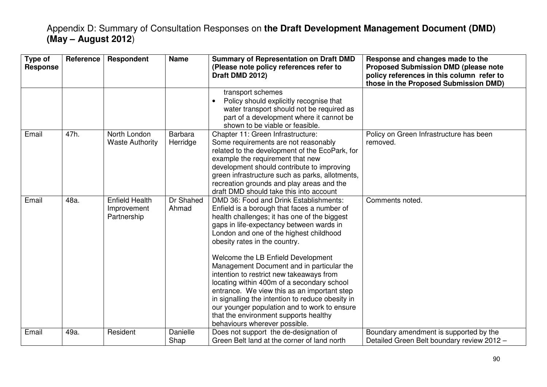| Type of<br><b>Response</b> | Reference | Respondent                                          | <b>Name</b>                | <b>Summary of Representation on Draft DMD</b><br>(Please note policy references refer to<br>Draft DMD 2012)                                                                                                                                                                                                                                                                                                                                                                                                                                                                                                                                                             | Response and changes made to the<br><b>Proposed Submission DMD (please note</b><br>policy references in this column refer to<br>those in the Proposed Submission DMD) |
|----------------------------|-----------|-----------------------------------------------------|----------------------------|-------------------------------------------------------------------------------------------------------------------------------------------------------------------------------------------------------------------------------------------------------------------------------------------------------------------------------------------------------------------------------------------------------------------------------------------------------------------------------------------------------------------------------------------------------------------------------------------------------------------------------------------------------------------------|-----------------------------------------------------------------------------------------------------------------------------------------------------------------------|
|                            |           |                                                     |                            | transport schemes<br>Policy should explicitly recognise that<br>water transport should not be required as<br>part of a development where it cannot be<br>shown to be viable or feasible.                                                                                                                                                                                                                                                                                                                                                                                                                                                                                |                                                                                                                                                                       |
| Email                      | 47h.      | North London<br><b>Waste Authority</b>              | <b>Barbara</b><br>Herridge | Chapter 11: Green Infrastructure:<br>Some requirements are not reasonably<br>related to the development of the EcoPark, for<br>example the requirement that new<br>development should contribute to improving<br>green infrastructure such as parks, allotments,<br>recreation grounds and play areas and the<br>draft DMD should take this into account                                                                                                                                                                                                                                                                                                                | Policy on Green Infrastructure has been<br>removed.                                                                                                                   |
| Email                      | 48a.      | <b>Enfield Health</b><br>Improvement<br>Partnership | Dr Shahed<br>Ahmad         | DMD 36: Food and Drink Establishments:<br>Enfield is a borough that faces a number of<br>health challenges; it has one of the biggest<br>gaps in life-expectancy between wards in<br>London and one of the highest childhood<br>obesity rates in the country.<br>Welcome the LB Enfield Development<br>Management Document and in particular the<br>intention to restrict new takeaways from<br>locating within 400m of a secondary school<br>entrance. We view this as an important step<br>in signalling the intention to reduce obesity in<br>our younger population and to work to ensure<br>that the environment supports healthy<br>behaviours wherever possible. | Comments noted.                                                                                                                                                       |
| Email                      | 49a.      | Resident                                            | Danielle<br>Shap           | Does not support the de-designation of<br>Green Belt land at the corner of land north                                                                                                                                                                                                                                                                                                                                                                                                                                                                                                                                                                                   | Boundary amendment is supported by the<br>Detailed Green Belt boundary review 2012 -                                                                                  |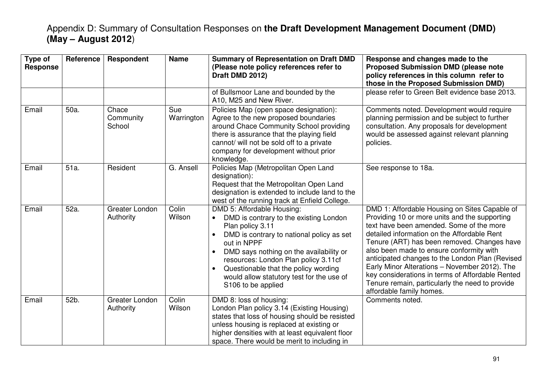| Type of<br><b>Response</b> | <b>Reference</b> | Respondent                   | <b>Name</b>       | <b>Summary of Representation on Draft DMD</b><br>(Please note policy references refer to<br>Draft DMD 2012)                                                                                                                                                                                                                                                                               | Response and changes made to the<br><b>Proposed Submission DMD (please note</b><br>policy references in this column refer to<br>those in the Proposed Submission DMD)                                                                                                                                                                                                                                                                                                                                                       |
|----------------------------|------------------|------------------------------|-------------------|-------------------------------------------------------------------------------------------------------------------------------------------------------------------------------------------------------------------------------------------------------------------------------------------------------------------------------------------------------------------------------------------|-----------------------------------------------------------------------------------------------------------------------------------------------------------------------------------------------------------------------------------------------------------------------------------------------------------------------------------------------------------------------------------------------------------------------------------------------------------------------------------------------------------------------------|
|                            |                  |                              |                   | of Bullsmoor Lane and bounded by the<br>A10, M25 and New River.                                                                                                                                                                                                                                                                                                                           | please refer to Green Belt evidence base 2013.                                                                                                                                                                                                                                                                                                                                                                                                                                                                              |
| Email                      | 50a.             | Chace<br>Community<br>School | Sue<br>Warrington | Policies Map (open space designation):<br>Agree to the new proposed boundaries<br>around Chace Community School providing<br>there is assurance that the playing field<br>cannot/ will not be sold off to a private<br>company for development without prior<br>knowledge.                                                                                                                | Comments noted. Development would require<br>planning permission and be subject to further<br>consultation. Any proposals for development<br>would be assessed against relevant planning<br>policies.                                                                                                                                                                                                                                                                                                                       |
| Email                      | 51a.             | Resident                     | G. Ansell         | Policies Map (Metropolitan Open Land<br>designation):<br>Request that the Metropolitan Open Land<br>designation is extended to include land to the<br>west of the running track at Enfield College.                                                                                                                                                                                       | See response to 18a.                                                                                                                                                                                                                                                                                                                                                                                                                                                                                                        |
| Email                      | 52a.             | Greater London<br>Authority  | Colin<br>Wilson   | DMD 5: Affordable Housing:<br>DMD is contrary to the existing London<br>Plan policy 3.11<br>DMD is contrary to national policy as set<br>$\bullet$<br>out in NPPF<br>DMD says nothing on the availability or<br>$\bullet$<br>resources: London Plan policy 3.11cf<br>Questionable that the policy wording<br>$\bullet$<br>would allow statutory test for the use of<br>S106 to be applied | DMD 1: Affordable Housing on Sites Capable of<br>Providing 10 or more units and the supporting<br>text have been amended. Some of the more<br>detailed information on the Affordable Rent<br>Tenure (ART) has been removed. Changes have<br>also been made to ensure conformity with<br>anticipated changes to the London Plan (Revised<br>Early Minor Alterations - November 2012). The<br>key considerations in terms of Affordable Rented<br>Tenure remain, particularly the need to provide<br>affordable family homes. |
| Email                      | 52b.             | Greater London<br>Authority  | Colin<br>Wilson   | DMD 8: loss of housing:<br>London Plan policy 3.14 (Existing Housing)<br>states that loss of housing should be resisted<br>unless housing is replaced at existing or<br>higher densities with at least equivalent floor<br>space. There would be merit to including in                                                                                                                    | Comments noted.                                                                                                                                                                                                                                                                                                                                                                                                                                                                                                             |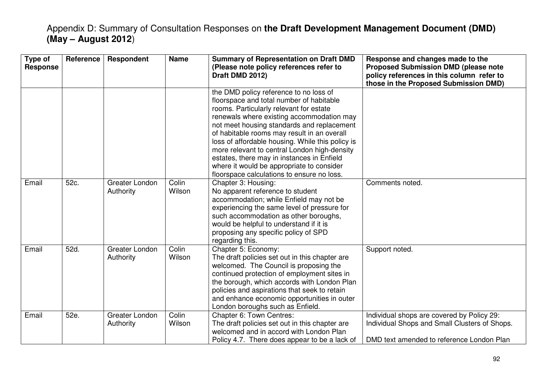| Type of<br><b>Response</b> | Reference | <b>Respondent</b>           | <b>Name</b>     | <b>Summary of Representation on Draft DMD</b><br>(Please note policy references refer to<br>Draft DMD 2012)                                                                                                                                                                                                                                                                                                                                                                                                          | Response and changes made to the<br><b>Proposed Submission DMD (please note</b><br>policy references in this column refer to<br>those in the Proposed Submission DMD) |
|----------------------------|-----------|-----------------------------|-----------------|----------------------------------------------------------------------------------------------------------------------------------------------------------------------------------------------------------------------------------------------------------------------------------------------------------------------------------------------------------------------------------------------------------------------------------------------------------------------------------------------------------------------|-----------------------------------------------------------------------------------------------------------------------------------------------------------------------|
|                            |           |                             |                 | the DMD policy reference to no loss of<br>floorspace and total number of habitable<br>rooms. Particularly relevant for estate<br>renewals where existing accommodation may<br>not meet housing standards and replacement<br>of habitable rooms may result in an overall<br>loss of affordable housing. While this policy is<br>more relevant to central London high-density<br>estates, there may in instances in Enfield<br>where it would be appropriate to consider<br>floorspace calculations to ensure no loss. |                                                                                                                                                                       |
| Email                      | 52c.      | Greater London<br>Authority | Colin<br>Wilson | Chapter 3: Housing:<br>No apparent reference to student<br>accommodation; while Enfield may not be<br>experiencing the same level of pressure for<br>such accommodation as other boroughs,<br>would be helpful to understand if it is<br>proposing any specific policy of SPD<br>regarding this.                                                                                                                                                                                                                     | Comments noted.                                                                                                                                                       |
| Email                      | 52d.      | Greater London<br>Authority | Colin<br>Wilson | Chapter 5: Economy:<br>The draft policies set out in this chapter are<br>welcomed. The Council is proposing the<br>continued protection of employment sites in<br>the borough, which accords with London Plan<br>policies and aspirations that seek to retain<br>and enhance economic opportunities in outer<br>London boroughs such as Enfield.                                                                                                                                                                     | Support noted.                                                                                                                                                        |
| Email                      | 52e.      | Greater London<br>Authority | Colin<br>Wilson | Chapter 6: Town Centres:<br>The draft policies set out in this chapter are<br>welcomed and in accord with London Plan<br>Policy 4.7. There does appear to be a lack of                                                                                                                                                                                                                                                                                                                                               | Individual shops are covered by Policy 29:<br>Individual Shops and Small Clusters of Shops.<br>DMD text amended to reference London Plan                              |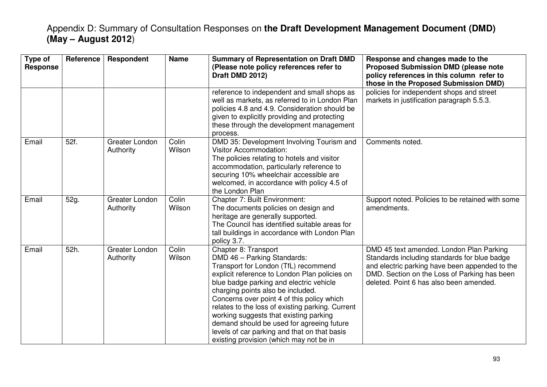| Type of<br><b>Response</b> | <b>Reference</b> | Respondent                  | <b>Name</b>     | <b>Summary of Representation on Draft DMD</b><br>(Please note policy references refer to<br>Draft DMD 2012)                                                                                                                                                                                                                                                                                                                                                                                                      | Response and changes made to the<br><b>Proposed Submission DMD (please note</b><br>policy references in this column refer to<br>those in the Proposed Submission DMD)                                                                 |
|----------------------------|------------------|-----------------------------|-----------------|------------------------------------------------------------------------------------------------------------------------------------------------------------------------------------------------------------------------------------------------------------------------------------------------------------------------------------------------------------------------------------------------------------------------------------------------------------------------------------------------------------------|---------------------------------------------------------------------------------------------------------------------------------------------------------------------------------------------------------------------------------------|
|                            |                  |                             |                 | reference to independent and small shops as<br>well as markets, as referred to in London Plan<br>policies 4.8 and 4.9. Consideration should be<br>given to explicitly providing and protecting<br>these through the development management<br>process.                                                                                                                                                                                                                                                           | policies for independent shops and street<br>markets in justification paragraph 5.5.3.                                                                                                                                                |
| Email                      | 52f.             | Greater London<br>Authority | Colin<br>Wilson | DMD 35: Development Involving Tourism and<br><b>Visitor Accommodation:</b><br>The policies relating to hotels and visitor<br>accommodation, particularly reference to<br>securing 10% wheelchair accessible are<br>welcomed, in accordance with policy 4.5 of<br>the London Plan                                                                                                                                                                                                                                 | Comments noted.                                                                                                                                                                                                                       |
| Email                      | 52g.             | Greater London<br>Authority | Colin<br>Wilson | Chapter 7: Built Environment:<br>The documents policies on design and<br>heritage are generally supported.<br>The Council has identified suitable areas for<br>tall buildings in accordance with London Plan<br>policy 3.7.                                                                                                                                                                                                                                                                                      | Support noted. Policies to be retained with some<br>amendments.                                                                                                                                                                       |
| Email                      | 52h.             | Greater London<br>Authority | Colin<br>Wilson | Chapter 8: Transport<br>DMD 46 - Parking Standards:<br>Transport for London (TfL) recommend<br>explicit reference to London Plan policies on<br>blue badge parking and electric vehicle<br>charging points also be included.<br>Concerns over point 4 of this policy which<br>relates to the loss of existing parking. Current<br>working suggests that existing parking<br>demand should be used for agreeing future<br>levels of car parking and that on that basis<br>existing provision (which may not be in | DMD 45 text amended. London Plan Parking<br>Standards including standards for blue badge<br>and electric parking have been appended to the<br>DMD. Section on the Loss of Parking has been<br>deleted. Point 6 has also been amended. |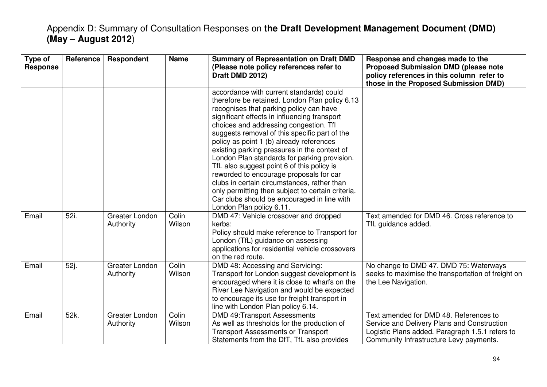| Type of<br><b>Response</b> | <b>Reference</b> | Respondent                  | <b>Name</b>     | <b>Summary of Representation on Draft DMD</b><br>(Please note policy references refer to<br>Draft DMD 2012)                                                                                                                                                                                                                                                                                                                                                                                                                                                                                                                                                                                          | Response and changes made to the<br><b>Proposed Submission DMD (please note</b><br>policy references in this column refer to<br>those in the Proposed Submission DMD)               |
|----------------------------|------------------|-----------------------------|-----------------|------------------------------------------------------------------------------------------------------------------------------------------------------------------------------------------------------------------------------------------------------------------------------------------------------------------------------------------------------------------------------------------------------------------------------------------------------------------------------------------------------------------------------------------------------------------------------------------------------------------------------------------------------------------------------------------------------|-------------------------------------------------------------------------------------------------------------------------------------------------------------------------------------|
|                            |                  |                             |                 | accordance with current standards) could<br>therefore be retained. London Plan policy 6.13<br>recognises that parking policy can have<br>significant effects in influencing transport<br>choices and addressing congestion. Tfl<br>suggests removal of this specific part of the<br>policy as point 1 (b) already references<br>existing parking pressures in the context of<br>London Plan standards for parking provision.<br>TfL also suggest point 6 of this policy is<br>reworded to encourage proposals for car<br>clubs in certain circumstances, rather than<br>only permitting then subject to certain criteria.<br>Car clubs should be encouraged in line with<br>London Plan policy 6.11. |                                                                                                                                                                                     |
| Email                      | 52i.             | Greater London<br>Authority | Colin<br>Wilson | DMD 47: Vehicle crossover and dropped<br>kerbs:<br>Policy should make reference to Transport for<br>London (TfL) guidance on assessing<br>applications for residential vehicle crossovers<br>on the red route.                                                                                                                                                                                                                                                                                                                                                                                                                                                                                       | Text amended for DMD 46. Cross reference to<br>TfL guidance added.                                                                                                                  |
| Email                      | 52j.             | Greater London<br>Authority | Colin<br>Wilson | DMD 48: Accessing and Servicing:<br>Transport for London suggest development is<br>encouraged where it is close to wharfs on the<br>River Lee Navigation and would be expected<br>to encourage its use for freight transport in<br>line with London Plan policy 6.14.                                                                                                                                                                                                                                                                                                                                                                                                                                | No change to DMD 47. DMD 75: Waterways<br>seeks to maximise the transportation of freight on<br>the Lee Navigation.                                                                 |
| Email                      | 52k.             | Greater London<br>Authority | Colin<br>Wilson | <b>DMD 49:Transport Assessments</b><br>As well as thresholds for the production of<br><b>Transport Assessments or Transport</b><br>Statements from the DfT, TfL also provides                                                                                                                                                                                                                                                                                                                                                                                                                                                                                                                        | Text amended for DMD 48. References to<br>Service and Delivery Plans and Construction<br>Logistic Plans added. Paragraph 1.5.1 refers to<br>Community Infrastructure Levy payments. |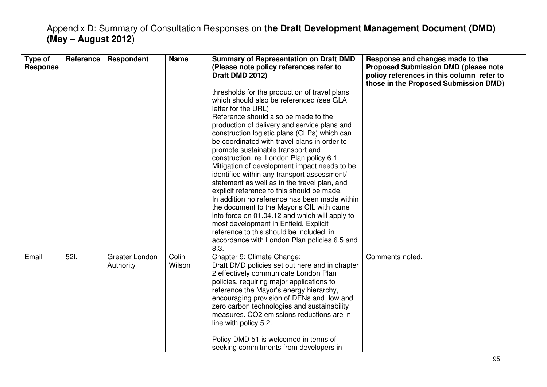| Type of<br><b>Response</b> | <b>Reference</b> | <b>Respondent</b>           | <b>Name</b>     | <b>Summary of Representation on Draft DMD</b><br>(Please note policy references refer to<br>Draft DMD 2012)                                                                                                                                                                                                                                                                                                                                                                                                                                                                                                                                                                                                                                                                                                                                                                          | Response and changes made to the<br><b>Proposed Submission DMD (please note</b><br>policy references in this column refer to<br>those in the Proposed Submission DMD) |
|----------------------------|------------------|-----------------------------|-----------------|--------------------------------------------------------------------------------------------------------------------------------------------------------------------------------------------------------------------------------------------------------------------------------------------------------------------------------------------------------------------------------------------------------------------------------------------------------------------------------------------------------------------------------------------------------------------------------------------------------------------------------------------------------------------------------------------------------------------------------------------------------------------------------------------------------------------------------------------------------------------------------------|-----------------------------------------------------------------------------------------------------------------------------------------------------------------------|
|                            |                  |                             |                 | thresholds for the production of travel plans<br>which should also be referenced (see GLA<br>letter for the URL)<br>Reference should also be made to the<br>production of delivery and service plans and<br>construction logistic plans (CLPs) which can<br>be coordinated with travel plans in order to<br>promote sustainable transport and<br>construction, re. London Plan policy 6.1.<br>Mitigation of development impact needs to be<br>identified within any transport assessment/<br>statement as well as in the travel plan, and<br>explicit reference to this should be made.<br>In addition no reference has been made within<br>the document to the Mayor's CIL with came<br>into force on 01.04.12 and which will apply to<br>most development in Enfield. Explicit<br>reference to this should be included, in<br>accordance with London Plan policies 6.5 and<br>8.3. |                                                                                                                                                                       |
| Email                      | 521.             | Greater London<br>Authority | Colin<br>Wilson | Chapter 9: Climate Change:<br>Draft DMD policies set out here and in chapter<br>2 effectively communicate London Plan<br>policies, requiring major applications to<br>reference the Mayor's energy hierarchy,<br>encouraging provision of DENs and low and<br>zero carbon technologies and sustainability<br>measures. CO2 emissions reductions are in<br>line with policy 5.2.<br>Policy DMD 51 is welcomed in terms of<br>seeking commitments from developers in                                                                                                                                                                                                                                                                                                                                                                                                                   | Comments noted.                                                                                                                                                       |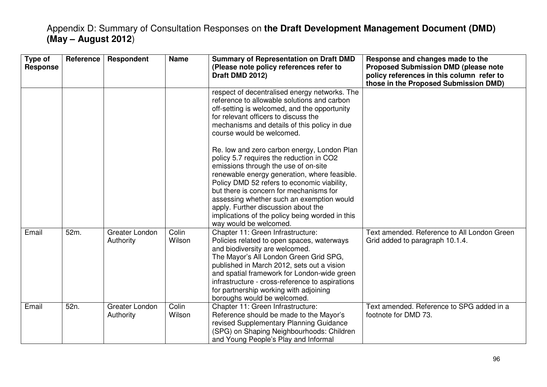| Type of<br><b>Response</b> | Reference | Respondent                  | <b>Name</b>     | <b>Summary of Representation on Draft DMD</b><br>(Please note policy references refer to<br>Draft DMD 2012)                                                                                                                                                                                                                                                                                                                                | Response and changes made to the<br><b>Proposed Submission DMD (please note</b><br>policy references in this column refer to<br>those in the Proposed Submission DMD) |
|----------------------------|-----------|-----------------------------|-----------------|--------------------------------------------------------------------------------------------------------------------------------------------------------------------------------------------------------------------------------------------------------------------------------------------------------------------------------------------------------------------------------------------------------------------------------------------|-----------------------------------------------------------------------------------------------------------------------------------------------------------------------|
|                            |           |                             |                 | respect of decentralised energy networks. The<br>reference to allowable solutions and carbon<br>off-setting is welcomed, and the opportunity<br>for relevant officers to discuss the<br>mechanisms and details of this policy in due<br>course would be welcomed.                                                                                                                                                                          |                                                                                                                                                                       |
|                            |           |                             |                 | Re. low and zero carbon energy, London Plan<br>policy 5.7 requires the reduction in CO2<br>emissions through the use of on-site<br>renewable energy generation, where feasible.<br>Policy DMD 52 refers to economic viability,<br>but there is concern for mechanisms for<br>assessing whether such an exemption would<br>apply. Further discussion about the<br>implications of the policy being worded in this<br>way would be welcomed. |                                                                                                                                                                       |
| Email                      | 52m.      | Greater London<br>Authority | Colin<br>Wilson | Chapter 11: Green Infrastructure:<br>Policies related to open spaces, waterways<br>and biodiversity are welcomed.<br>The Mayor's All London Green Grid SPG,<br>published in March 2012, sets out a vision<br>and spatial framework for London-wide green<br>infrastructure - cross-reference to aspirations<br>for partnership working with adjoining<br>boroughs would be welcomed.                                                       | Text amended. Reference to All London Green<br>Grid added to paragraph 10.1.4.                                                                                        |
| Email                      | 52n.      | Greater London<br>Authority | Colin<br>Wilson | Chapter 11: Green Infrastructure:<br>Reference should be made to the Mayor's<br>revised Supplementary Planning Guidance<br>(SPG) on Shaping Neighbourhoods: Children<br>and Young People's Play and Informal                                                                                                                                                                                                                               | Text amended. Reference to SPG added in a<br>footnote for DMD 73.                                                                                                     |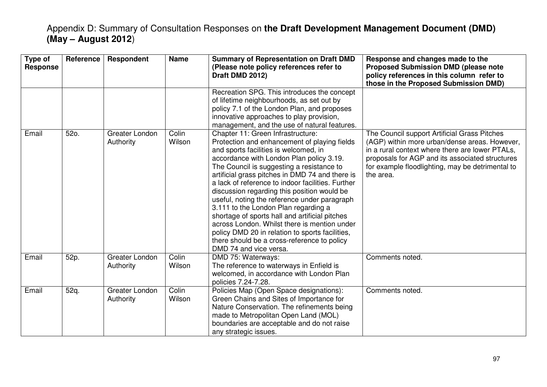| Type of<br><b>Response</b> | Reference | <b>Respondent</b>           | <b>Name</b>     | <b>Summary of Representation on Draft DMD</b><br>(Please note policy references refer to<br>Draft DMD 2012)                                                                                                                                                                                                                                                                                                                                                                                                                                                                                                                                                                                      | Response and changes made to the<br><b>Proposed Submission DMD (please note</b><br>policy references in this column refer to<br>those in the Proposed Submission DMD)                                                                                                |
|----------------------------|-----------|-----------------------------|-----------------|--------------------------------------------------------------------------------------------------------------------------------------------------------------------------------------------------------------------------------------------------------------------------------------------------------------------------------------------------------------------------------------------------------------------------------------------------------------------------------------------------------------------------------------------------------------------------------------------------------------------------------------------------------------------------------------------------|----------------------------------------------------------------------------------------------------------------------------------------------------------------------------------------------------------------------------------------------------------------------|
|                            |           |                             |                 | Recreation SPG. This introduces the concept<br>of lifetime neighbourhoods, as set out by<br>policy 7.1 of the London Plan, and proposes<br>innovative approaches to play provision,<br>management, and the use of natural features.                                                                                                                                                                                                                                                                                                                                                                                                                                                              |                                                                                                                                                                                                                                                                      |
| Email                      | 52o.      | Greater London<br>Authority | Colin<br>Wilson | Chapter 11: Green Infrastructure:<br>Protection and enhancement of playing fields<br>and sports facilities is welcomed, in<br>accordance with London Plan policy 3.19.<br>The Council is suggesting a resistance to<br>artificial grass pitches in DMD 74 and there is<br>a lack of reference to indoor facilities. Further<br>discussion regarding this position would be<br>useful, noting the reference under paragraph<br>3.111 to the London Plan regarding a<br>shortage of sports hall and artificial pitches<br>across London. Whilst there is mention under<br>policy DMD 20 in relation to sports facilities,<br>there should be a cross-reference to policy<br>DMD 74 and vice versa. | The Council support Artificial Grass Pitches<br>(AGP) within more urban/dense areas. However,<br>in a rural context where there are lower PTALs,<br>proposals for AGP and its associated structures<br>for example floodlighting, may be detrimental to<br>the area. |
| Email                      | 52p.      | Greater London<br>Authority | Colin<br>Wilson | DMD 75: Waterways:<br>The reference to waterways in Enfield is<br>welcomed, in accordance with London Plan<br>policies 7.24-7.28.                                                                                                                                                                                                                                                                                                                                                                                                                                                                                                                                                                | Comments noted.                                                                                                                                                                                                                                                      |
| Email                      | 52q.      | Greater London<br>Authority | Colin<br>Wilson | Policies Map (Open Space designations):<br>Green Chains and Sites of Importance for<br>Nature Conservation. The refinements being<br>made to Metropolitan Open Land (MOL)<br>boundaries are acceptable and do not raise<br>any strategic issues.                                                                                                                                                                                                                                                                                                                                                                                                                                                 | Comments noted.                                                                                                                                                                                                                                                      |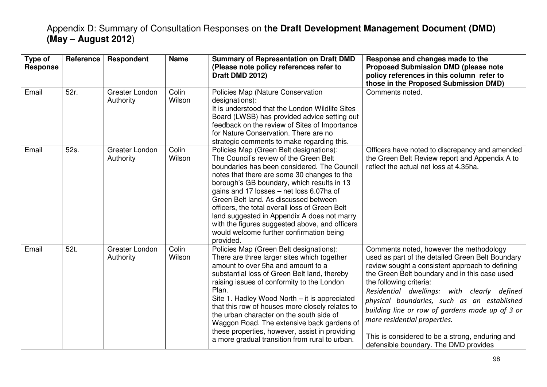| Type of<br><b>Response</b> | Reference | <b>Respondent</b>           | <b>Name</b>     | <b>Summary of Representation on Draft DMD</b><br>(Please note policy references refer to<br>Draft DMD 2012)                                                                                                                                                                                                                                                                                                                                                                                                                           | Response and changes made to the<br><b>Proposed Submission DMD (please note</b><br>policy references in this column refer to<br>those in the Proposed Submission DMD)                                                                                                                                                                                                                                                                                                                                   |
|----------------------------|-----------|-----------------------------|-----------------|---------------------------------------------------------------------------------------------------------------------------------------------------------------------------------------------------------------------------------------------------------------------------------------------------------------------------------------------------------------------------------------------------------------------------------------------------------------------------------------------------------------------------------------|---------------------------------------------------------------------------------------------------------------------------------------------------------------------------------------------------------------------------------------------------------------------------------------------------------------------------------------------------------------------------------------------------------------------------------------------------------------------------------------------------------|
| Email                      | 52r.      | Greater London<br>Authority | Colin<br>Wilson | Policies Map (Nature Conservation<br>designations):<br>It is understood that the London Wildlife Sites<br>Board (LWSB) has provided advice setting out<br>feedback on the review of Sites of Importance<br>for Nature Conservation. There are no<br>strategic comments to make regarding this.                                                                                                                                                                                                                                        | Comments noted.                                                                                                                                                                                                                                                                                                                                                                                                                                                                                         |
| Email                      | 52s.      | Greater London<br>Authority | Colin<br>Wilson | Policies Map (Green Belt designations):<br>The Council's review of the Green Belt<br>boundaries has been considered. The Council<br>notes that there are some 30 changes to the<br>borough's GB boundary, which results in 13<br>gains and 17 losses - net loss 6.07ha of<br>Green Belt land. As discussed between<br>officers, the total overall loss of Green Belt<br>land suggested in Appendix A does not marry<br>with the figures suggested above, and officers<br>would welcome further confirmation being<br>provided.        | Officers have noted to discrepancy and amended<br>the Green Belt Review report and Appendix A to<br>reflect the actual net loss at 4.35ha.                                                                                                                                                                                                                                                                                                                                                              |
| Email                      | 52t.      | Greater London<br>Authority | Colin<br>Wilson | Policies Map (Green Belt designations):<br>There are three larger sites which together<br>amount to over 5ha and amount to a<br>substantial loss of Green Belt land, thereby<br>raising issues of conformity to the London<br>Plan.<br>Site 1. Hadley Wood North - it is appreciated<br>that this row of houses more closely relates to<br>the urban character on the south side of<br>Waggon Road. The extensive back gardens of<br>these properties, however, assist in providing<br>a more gradual transition from rural to urban. | Comments noted, however the methodology<br>used as part of the detailed Green Belt Boundary<br>review sought a consistent approach to defining<br>the Green Belt boundary and in this case used<br>the following criteria:<br>Residential dwellings: with clearly defined<br>physical boundaries, such as an established<br>building line or row of gardens made up of 3 or<br>more residential properties.<br>This is considered to be a strong, enduring and<br>defensible boundary. The DMD provides |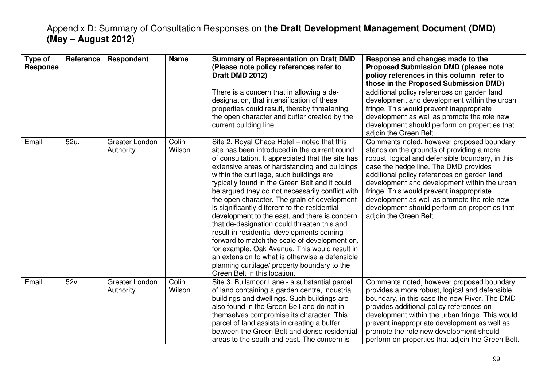| Type of<br><b>Response</b> | <b>Reference</b> | Respondent                  | <b>Name</b>     | <b>Summary of Representation on Draft DMD</b><br>(Please note policy references refer to<br>Draft DMD 2012)                                                                                                                                                                                                                                                                                                                                                                                                                                                                                                                                                                                                                                                                                                                           | Response and changes made to the<br><b>Proposed Submission DMD (please note</b><br>policy references in this column refer to<br>those in the Proposed Submission DMD)                                                                                                                                                                                                                                                                                    |
|----------------------------|------------------|-----------------------------|-----------------|---------------------------------------------------------------------------------------------------------------------------------------------------------------------------------------------------------------------------------------------------------------------------------------------------------------------------------------------------------------------------------------------------------------------------------------------------------------------------------------------------------------------------------------------------------------------------------------------------------------------------------------------------------------------------------------------------------------------------------------------------------------------------------------------------------------------------------------|----------------------------------------------------------------------------------------------------------------------------------------------------------------------------------------------------------------------------------------------------------------------------------------------------------------------------------------------------------------------------------------------------------------------------------------------------------|
|                            |                  |                             |                 | There is a concern that in allowing a de-<br>designation, that intensification of these<br>properties could result, thereby threatening<br>the open character and buffer created by the<br>current building line.                                                                                                                                                                                                                                                                                                                                                                                                                                                                                                                                                                                                                     | additional policy references on garden land<br>development and development within the urban<br>fringe. This would prevent inappropriate<br>development as well as promote the role new<br>development should perform on properties that<br>adjoin the Green Belt.                                                                                                                                                                                        |
| Email                      | 52u.             | Greater London<br>Authority | Colin<br>Wilson | Site 2. Royal Chace Hotel – noted that this<br>site has been introduced in the current round<br>of consultation. It appreciated that the site has<br>extensive areas of hardstanding and buildings<br>within the curtilage, such buildings are<br>typically found in the Green Belt and it could<br>be argued they do not necessarily conflict with<br>the open character. The grain of development<br>is significantly different to the residential<br>development to the east, and there is concern<br>that de-designation could threaten this and<br>result in residential developments coming<br>forward to match the scale of development on,<br>for example, Oak Avenue. This would result in<br>an extension to what is otherwise a defensible<br>planning curtilage/ property boundary to the<br>Green Belt in this location. | Comments noted, however proposed boundary<br>stands on the grounds of providing a more<br>robust, logical and defensible boundary, in this<br>case the hedge line. The DMD provides<br>additional policy references on garden land<br>development and development within the urban<br>fringe. This would prevent inappropriate<br>development as well as promote the role new<br>development should perform on properties that<br>adjoin the Green Belt. |
| Email                      | 52v.             | Greater London<br>Authority | Colin<br>Wilson | Site 3. Bullsmoor Lane - a substantial parcel<br>of land containing a garden centre, industrial<br>buildings and dwellings. Such buildings are<br>also found in the Green Belt and do not in<br>themselves compromise its character. This<br>parcel of land assists in creating a buffer<br>between the Green Belt and dense residential<br>areas to the south and east. The concern is                                                                                                                                                                                                                                                                                                                                                                                                                                               | Comments noted, however proposed boundary<br>provides a more robust, logical and defensible<br>boundary, in this case the new River. The DMD<br>provides additional policy references on<br>development within the urban fringe. This would<br>prevent inappropriate development as well as<br>promote the role new development should<br>perform on properties that adjoin the Green Belt.                                                              |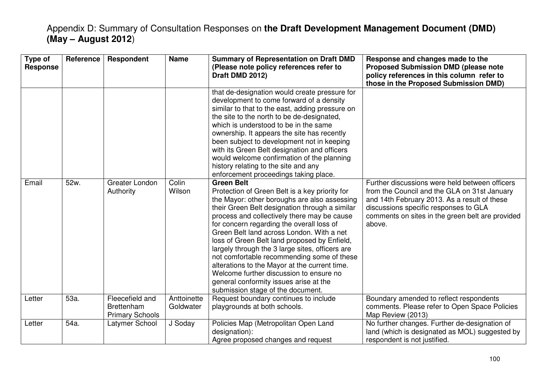| Type of<br><b>Response</b> | Reference | Respondent                                                     | <b>Name</b>              | <b>Summary of Representation on Draft DMD</b><br>(Please note policy references refer to<br>Draft DMD 2012)                                                                                                                                                                                                                                                                                                                                                                                                                                                                            | Response and changes made to the<br><b>Proposed Submission DMD (please note</b><br>policy references in this column refer to<br>those in the Proposed Submission DMD) |
|----------------------------|-----------|----------------------------------------------------------------|--------------------------|----------------------------------------------------------------------------------------------------------------------------------------------------------------------------------------------------------------------------------------------------------------------------------------------------------------------------------------------------------------------------------------------------------------------------------------------------------------------------------------------------------------------------------------------------------------------------------------|-----------------------------------------------------------------------------------------------------------------------------------------------------------------------|
| Email                      | 52w.      | Greater London<br>Authority                                    | Colin<br>Wilson          | that de-designation would create pressure for<br>development to come forward of a density<br>similar to that to the east, adding pressure on<br>the site to the north to be de-designated,<br>which is understood to be in the same<br>ownership. It appears the site has recently<br>been subject to development not in keeping<br>with its Green Belt designation and officers<br>would welcome confirmation of the planning<br>history relating to the site and any<br>enforcement proceedings taking place.<br><b>Green Belt</b><br>Protection of Green Belt is a key priority for | Further discussions were held between officers<br>from the Council and the GLA on 31st January                                                                        |
|                            |           |                                                                |                          | the Mayor: other boroughs are also assessing<br>their Green Belt designation through a similar<br>process and collectively there may be cause<br>for concern regarding the overall loss of<br>Green Belt land across London. With a net<br>loss of Green Belt land proposed by Enfield,<br>largely through the 3 large sites, officers are<br>not comfortable recommending some of these<br>alterations to the Mayor at the current time.<br>Welcome further discussion to ensure no<br>general conformity issues arise at the<br>submission stage of the document.                    | and 14th February 2013. As a result of these<br>discussions specific responses to GLA<br>comments on sites in the green belt are provided<br>above.                   |
| Letter                     | 53a.      | Fleecefield and<br><b>Brettenham</b><br><b>Primary Schools</b> | Anttoinette<br>Goldwater | Request boundary continues to include<br>playgrounds at both schools.                                                                                                                                                                                                                                                                                                                                                                                                                                                                                                                  | Boundary amended to reflect respondents<br>comments. Please refer to Open Space Policies<br>Map Review (2013)                                                         |
| Letter                     | 54a.      | Latymer School                                                 | J Soday                  | Policies Map (Metropolitan Open Land<br>designation):<br>Agree proposed changes and request                                                                                                                                                                                                                                                                                                                                                                                                                                                                                            | No further changes. Further de-designation of<br>land (which is designated as MOL) suggested by<br>respondent is not justified.                                       |